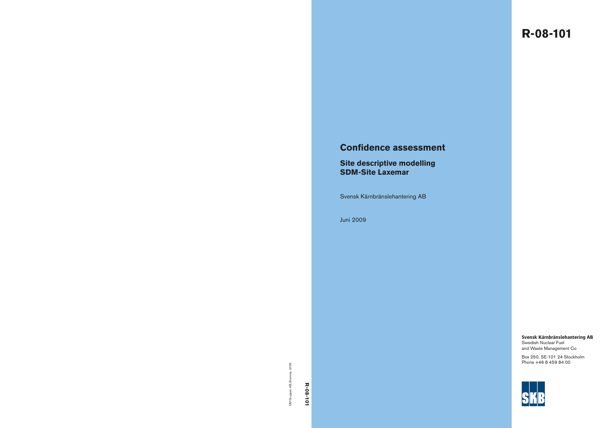# **R-08-101**

# **Confidence assessment**

# **Site descriptive modelling SDM-Site Laxemar**

Svensk Kärnbränslehantering AB

Juni 2009

**Svensk Kärnbränslehantering AB**

Swedish Nuclear Fuel and Waste Management Co

Box 250, SE-101 24 Stockholm Phone +46 8 459 84 00

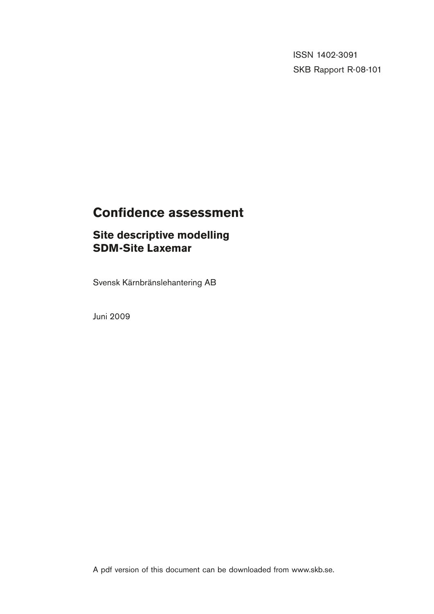**The ett** is the set of the set of the set of the set of the set of the set of the set of the set of the set of the set of the set of the set of the set of the set of the set of the set of the set of the set of the set of **P, R eller TR.** ISSN 1402-3091 SKB Rapport R-08-101

# **Confidence assessment**

# **Site descriptive modelling SDM-Site Laxemar**

Svensk Kärnbränslehantering AB

Juni 2009

A pdf version of this document can be downloaded from www.skb.se.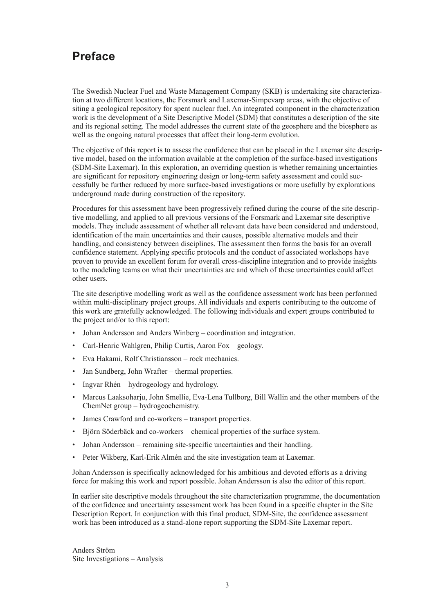# **Preface**

The Swedish Nuclear Fuel and Waste Management Company (SKB) is undertaking site characterization at two different locations, the Forsmark and Laxemar-Simpevarp areas, with the objective of siting a geological repository for spent nuclear fuel. An integrated component in the characterization work is the development of a Site Descriptive Model (SDM) that constitutes a description of the site and its regional setting. The model addresses the current state of the geosphere and the biosphere as well as the ongoing natural processes that affect their long-term evolution.

The objective of this report is to assess the confidence that can be placed in the Laxemar site descriptive model, based on the information available at the completion of the surface-based investigations (SDM-Site Laxemar). In this exploration, an overriding question is whether remaining uncertainties are significant for repository engineering design or long-term safety assessment and could successfully be further reduced by more surface-based investigations or more usefully by explorations underground made during construction of the repository.

Procedures for this assessment have been progressively refined during the course of the site descriptive modelling, and applied to all previous versions of the Forsmark and Laxemar site descriptive models. They include assessment of whether all relevant data have been considered and understood, identification of the main uncertainties and their causes, possible alternative models and their handling, and consistency between disciplines. The assessment then forms the basis for an overall confidence statement. Applying specific protocols and the conduct of associated workshops have proven to provide an excellent forum for overall cross-discipline integration and to provide insights to the modeling teams on what their uncertainties are and which of these uncertainties could affect other users.

The site descriptive modelling work as well as the confidence assessment work has been performed within multi-disciplinary project groups. All individuals and experts contributing to the outcome of this work are gratefully acknowledged. The following individuals and expert groups contributed to the project and/or to this report:

- Johan Andersson and Anders Winberg coordination and integration.
- Carl-Henric Wahlgren, Philip Curtis, Aaron Fox geology.
- Eva Hakami, Rolf Christiansson rock mechanics.
- Jan Sundberg, John Wrafter thermal properties.
- Ingvar Rhén hydrogeology and hydrology.
- Marcus Laaksoharju, John Smellie, Eva-Lena Tullborg, Bill Wallin and the other members of the ChemNet group – hydrogeochemistry.
- James Crawford and co-workers transport properties.
- Biörn Söderbäck and co-workers chemical properties of the surface system.
- Johan Andersson remaining site-specific uncertainties and their handling.
- Peter Wikberg, Karl-Erik Almén and the site investigation team at Laxemar.

Johan Andersson is specifically acknowledged for his ambitious and devoted efforts as a driving force for making this work and report possible. Johan Andersson is also the editor of this report.

In earlier site descriptive models throughout the site characterization programme, the documentation of the confidence and uncertainty assessment work has been found in a specific chapter in the Site Description Report. In conjunction with this final product, SDM-Site, the confidence assessment work has been introduced as a stand-alone report supporting the SDM-Site Laxemar report.

Anders Ström Site Investigations – Analysis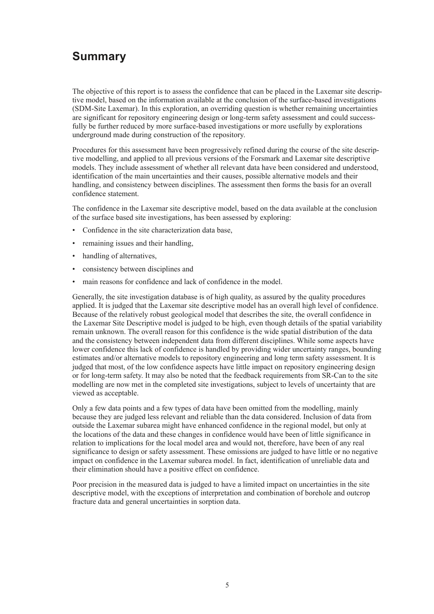# **Summary**

The objective of this report is to assess the confidence that can be placed in the Laxemar site descriptive model, based on the information available at the conclusion of the surface-based investigations (SDM-Site Laxemar). In this exploration, an overriding question is whether remaining uncertainties are significant for repository engineering design or long-term safety assessment and could successfully be further reduced by more surface-based investigations or more usefully by explorations underground made during construction of the repository.

Procedures for this assessment have been progressively refined during the course of the site descriptive modelling, and applied to all previous versions of the Forsmark and Laxemar site descriptive models. They include assessment of whether all relevant data have been considered and understood, identification of the main uncertainties and their causes, possible alternative models and their handling, and consistency between disciplines. The assessment then forms the basis for an overall confidence statement.

The confidence in the Laxemar site descriptive model, based on the data available at the conclusion of the surface based site investigations, has been assessed by exploring:

- • Confidence in the site characterization data base,
- remaining issues and their handling,
- handling of alternatives,
- consistency between disciplines and
- main reasons for confidence and lack of confidence in the model.

Generally, the site investigation database is of high quality, as assured by the quality procedures applied. It is judged that the Laxemar site descriptive model has an overall high level of confidence. Because of the relatively robust geological model that describes the site, the overall confidence in the Laxemar Site Descriptive model is judged to be high, even though details of the spatial variability remain unknown. The overall reason for this confidence is the wide spatial distribution of the data and the consistency between independent data from different disciplines. While some aspects have lower confidence this lack of confidence is handled by providing wider uncertainty ranges, bounding estimates and/or alternative models to repository engineering and long term safety assessment. It is judged that most, of the low confidence aspects have little impact on repository engineering design or for long-term safety. It may also be noted that the feedback requirements from SR-Can to the site modelling are now met in the completed site investigations, subject to levels of uncertainty that are viewed as acceptable.

Only a few data points and a few types of data have been omitted from the modelling, mainly because they are judged less relevant and reliable than the data considered. Inclusion of data from outside the Laxemar subarea might have enhanced confidence in the regional model, but only at the locations of the data and these changes in confidence would have been of little significance in relation to implications for the local model area and would not, therefore, have been of any real significance to design or safety assessment. These omissions are judged to have little or no negative impact on confidence in the Laxemar subarea model. In fact, identification of unreliable data and their elimination should have a positive effect on confidence.

Poor precision in the measured data is judged to have a limited impact on uncertainties in the site descriptive model, with the exceptions of interpretation and combination of borehole and outcrop fracture data and general uncertainties in sorption data.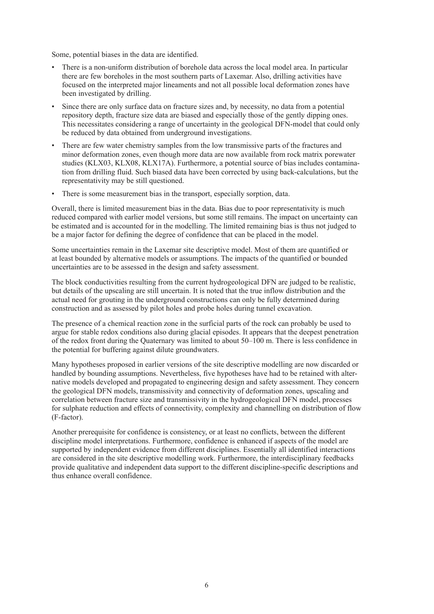Some, potential biases in the data are identified.

- There is a non-uniform distribution of borehole data across the local model area. In particular there are few boreholes in the most southern parts of Laxemar. Also, drilling activities have focused on the interpreted major lineaments and not all possible local deformation zones have been investigated by drilling.
- Since there are only surface data on fracture sizes and, by necessity, no data from a potential repository depth, fracture size data are biased and especially those of the gently dipping ones. This necessitates considering a range of uncertainty in the geological DFN-model that could only be reduced by data obtained from underground investigations.
- There are few water chemistry samples from the low transmissive parts of the fractures and minor deformation zones, even though more data are now available from rock matrix porewater studies (KLX03, KLX08, KLX17A). Furthermore, a potential source of bias includes contamination from drilling fluid. Such biased data have been corrected by using back-calculations, but the representativity may be still questioned.
- • There is some measurement bias in the transport, especially sorption, data.

Overall, there is limited measurement bias in the data. Bias due to poor representativity is much reduced compared with earlier model versions, but some still remains. The impact on uncertainty can be estimated and is accounted for in the modelling. The limited remaining bias is thus not judged to be a major factor for defining the degree of confidence that can be placed in the model.

Some uncertainties remain in the Laxemar site descriptive model. Most of them are quantified or at least bounded by alternative models or assumptions. The impacts of the quantified or bounded uncertainties are to be assessed in the design and safety assessment.

The block conductivities resulting from the current hydrogeological DFN are judged to be realistic, but details of the upscaling are still uncertain. It is noted that the true inflow distribution and the actual need for grouting in the underground constructions can only be fully determined during construction and as assessed by pilot holes and probe holes during tunnel excavation.

The presence of a chemical reaction zone in the surficial parts of the rock can probably be used to argue for stable redox conditions also during glacial episodes. It appears that the deepest penetration of the redox front during the Quaternary was limited to about 50–100 m. There is less confidence in the potential for buffering against dilute groundwaters.

Many hypotheses proposed in earlier versions of the site descriptive modelling are now discarded or handled by bounding assumptions. Nevertheless, five hypotheses have had to be retained with alternative models developed and propagated to engineering design and safety assessment. They concern the geological DFN models, transmissivity and connectivity of deformation zones, upscaling and correlation between fracture size and transmissivity in the hydrogeological DFN model, processes for sulphate reduction and effects of connectivity, complexity and channelling on distribution of flow (F-factor).

Another prerequisite for confidence is consistency, or at least no conflicts, between the different discipline model interpretations. Furthermore, confidence is enhanced if aspects of the model are supported by independent evidence from different disciplines. Essentially all identified interactions are considered in the site descriptive modelling work. Furthermore, the interdisciplinary feedbacks provide qualitative and independent data support to the different discipline-specific descriptions and thus enhance overall confidence.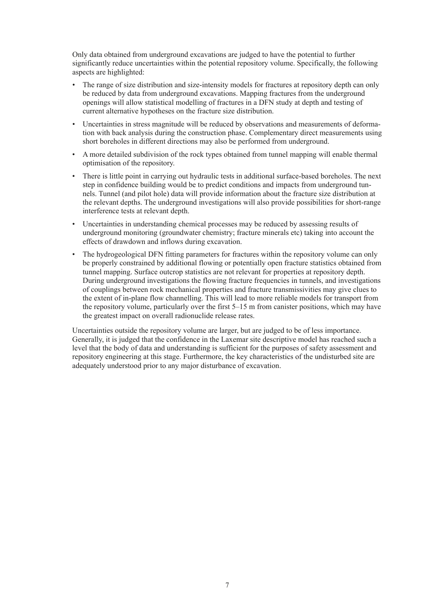Only data obtained from underground excavations are judged to have the potential to further significantly reduce uncertainties within the potential repository volume. Specifically, the following aspects are highlighted:

- The range of size distribution and size-intensity models for fractures at repository depth can only be reduced by data from underground excavations. Mapping fractures from the underground openings will allow statistical modelling of fractures in a DFN study at depth and testing of current alternative hypotheses on the fracture size distribution.
- Uncertainties in stress magnitude will be reduced by observations and measurements of deformation with back analysis during the construction phase. Complementary direct measurements using short boreholes in different directions may also be performed from underground.
- A more detailed subdivision of the rock types obtained from tunnel mapping will enable thermal optimisation of the repository.
- There is little point in carrying out hydraulic tests in additional surface-based boreholes. The next step in confidence building would be to predict conditions and impacts from underground tunnels. Tunnel (and pilot hole) data will provide information about the fracture size distribution at the relevant depths. The underground investigations will also provide possibilities for short-range interference tests at relevant depth.
- Uncertainties in understanding chemical processes may be reduced by assessing results of underground monitoring (groundwater chemistry; fracture minerals etc) taking into account the effects of drawdown and inflows during excavation.
- The hydrogeological DFN fitting parameters for fractures within the repository volume can only be properly constrained by additional flowing or potentially open fracture statistics obtained from tunnel mapping. Surface outcrop statistics are not relevant for properties at repository depth. During underground investigations the flowing fracture frequencies in tunnels, and investigations of couplings between rock mechanical properties and fracture transmissivities may give clues to the extent of in-plane flow channelling. This will lead to more reliable models for transport from the repository volume, particularly over the first 5–15 m from canister positions, which may have the greatest impact on overall radionuclide release rates.

Uncertainties outside the repository volume are larger, but are judged to be of less importance. Generally, it is judged that the confidence in the Laxemar site descriptive model has reached such a level that the body of data and understanding is sufficient for the purposes of safety assessment and repository engineering at this stage. Furthermore, the key characteristics of the undisturbed site are adequately understood prior to any major disturbance of excavation.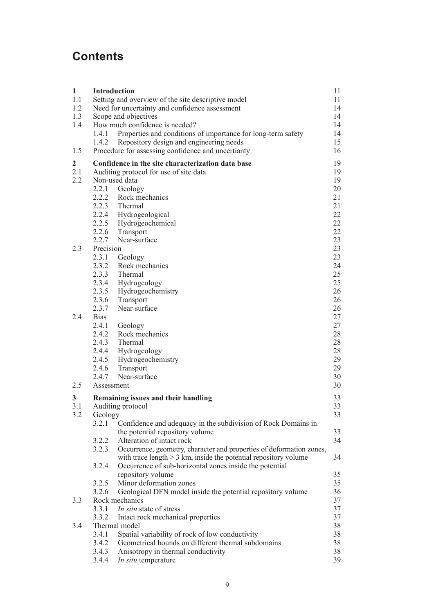# **Contents**

| $\mathbf{1}$<br>1.1<br>1.2<br>1.3<br>1.4 | <b>Introduction</b><br>1.4.1<br>1.4.2                         | Setting and overview of the site descriptive model<br>Need for uncertainty and confidence assessment<br>Scope and objectives<br>How much confidence is needed?<br>Properties and conditions of importance for long-term safety<br>Repository design and engineering needs | 11<br>11<br>14<br>14<br>14<br>14<br>15                   |
|------------------------------------------|---------------------------------------------------------------|---------------------------------------------------------------------------------------------------------------------------------------------------------------------------------------------------------------------------------------------------------------------------|----------------------------------------------------------|
| 1.5                                      |                                                               | Procedure for assessing confidence and uncertianty                                                                                                                                                                                                                        | 16                                                       |
| $\overline{2}$<br>2.1<br>2.2             | Non-used data<br>2.2.1<br>2.2.6<br>2.2.7                      | Confidence in the site characterization data base<br>Auditing protocol for use of site data<br>Geology<br>2.2.2 Rock mechanics<br>2.2.3 Thermal<br>2.2.4 Hydrogeological<br>2.2.5 Hydrogeochemical<br>Transport<br>Near-surface                                           | 19<br>19<br>19<br>20<br>21<br>21<br>22<br>22<br>22<br>23 |
| 2.3                                      | Precision<br>2.3.1<br>2.3.2<br>2.3.6<br>2.3.7                 | Geology<br>Rock mechanics<br>2.3.3 Thermal<br>2.3.4 Hydrogeology<br>2.3.5 Hydrogeochemistry<br>Transport<br>Near-surface                                                                                                                                                  | 23<br>23<br>24<br>25<br>25<br>26<br>26<br>26             |
| 2.4<br>2.5                               | <b>Bias</b><br>2.4.1<br>2.4.2<br>2.4.6<br>2.4.7<br>Assessment | Geology<br>Rock mechanics<br>2.4.3 Thermal<br>2.4.4 Hydrogeology<br>2.4.5 Hydrogeochemistry<br>Transport<br>Near-surface                                                                                                                                                  | 27<br>27<br>28<br>28<br>28<br>29<br>29<br>30<br>30       |
| 3                                        |                                                               | Remaining issues and their handling                                                                                                                                                                                                                                       | 33                                                       |
| 3.1<br>3.2                               | Geology<br>3.2.1                                              | Auditing protocol<br>Confidence and adequacy in the subdivision of Rock Domains in                                                                                                                                                                                        | 33<br>33                                                 |
|                                          | 3.2.2<br>3.2.3                                                | the potential repository volume<br>Alteration of intact rock<br>Occurrence, geometry, character and properties of deformation zones,                                                                                                                                      | 33<br>34                                                 |
|                                          | 3.2.4                                                         | with trace length $> 3$ km, inside the potential repository volume<br>Occurrence of sub-horizontal zones inside the potential<br>repository volume                                                                                                                        | 34<br>35                                                 |
| 3.3                                      | 3.2.5<br>3.2.6                                                | Minor deformation zones<br>Geological DFN model inside the potential repository volume<br>Rock mechanics                                                                                                                                                                  | 35<br>36<br>37                                           |
|                                          | 3.3.1<br>3.3.2                                                | In situ state of stress<br>Intact rock mechanical properties                                                                                                                                                                                                              | 37<br>37                                                 |
| 3.4                                      | 3.4.1<br>3.4.2<br>3.4.3<br>3.4.4                              | Thermal model<br>Spatial variability of rock of low conductivity<br>Geometrical bounds on different thermal subdomains<br>Anisotropy in thermal conductivity<br>In situ temperature                                                                                       | 38<br>38<br>38<br>38<br>39                               |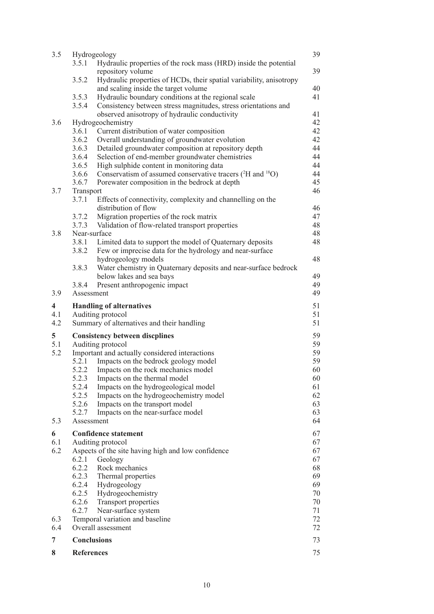| 3.5                     | Hydrogeology                                                                                                                            | 39       |
|-------------------------|-----------------------------------------------------------------------------------------------------------------------------------------|----------|
|                         | 3.5.1<br>Hydraulic properties of the rock mass (HRD) inside the potential                                                               |          |
|                         | repository volume                                                                                                                       | 39       |
|                         | 3.5.2<br>Hydraulic properties of HCDs, their spatial variability, anisotropy                                                            |          |
|                         | and scaling inside the target volume                                                                                                    | 40       |
|                         | 3.5.3<br>Hydraulic boundary conditions at the regional scale                                                                            | 41       |
|                         | Consistency between stress magnitudes, stress orientations and<br>3.5.4                                                                 |          |
|                         | observed anisotropy of hydraulic conductivity                                                                                           | 41       |
| 3.6                     | Hydrogeochemistry                                                                                                                       | 42       |
|                         | 3.6.1<br>Current distribution of water composition                                                                                      | 42       |
|                         | 3.6.2<br>Overall understanding of groundwater evolution                                                                                 | 42       |
|                         | 3.6.3<br>Detailed groundwater composition at repository depth                                                                           | 44       |
|                         | Selection of end-member groundwater chemistries<br>3.6.4<br>3.6.5                                                                       | 44<br>44 |
|                         | High sulphide content in monitoring data<br>Conservatism of assumed conservative tracers ( <sup>2</sup> H and <sup>18</sup> O)<br>3.6.6 | 44       |
|                         | Porewater composition in the bedrock at depth<br>3.6.7                                                                                  | 45       |
| 3.7                     | Transport                                                                                                                               | 46       |
|                         | 3.7.1<br>Effects of connectivity, complexity and channelling on the                                                                     |          |
|                         | distribution of flow                                                                                                                    | 46       |
|                         | 3.7.2<br>Migration properties of the rock matrix                                                                                        | 47       |
|                         | Validation of flow-related transport properties<br>3.7.3                                                                                | 48       |
| 3.8                     | Near-surface                                                                                                                            | 48       |
|                         | 3.8.1<br>Limited data to support the model of Quaternary deposits                                                                       | 48       |
|                         | 3.8.2<br>Few or imprecise data for the hydrology and near-surface                                                                       |          |
|                         | hydrogeology models                                                                                                                     | 48       |
|                         | 3.8.3<br>Water chemistry in Quaternary deposits and near-surface bedrock                                                                |          |
|                         | below lakes and sea bays                                                                                                                | 49       |
|                         | 3.8.4<br>Present anthropogenic impact                                                                                                   | 49       |
| 3.9                     | Assessment                                                                                                                              | 49       |
|                         |                                                                                                                                         |          |
| $\overline{\mathbf{4}}$ | <b>Handling of alternatives</b>                                                                                                         | 51       |
| 4.1                     | Auditing protocol                                                                                                                       | 51       |
| 4.2                     | Summary of alternatives and their handling                                                                                              | 51       |
| 5                       |                                                                                                                                         | 59       |
| 5.1                     | <b>Consistency between discplines</b><br>Auditing protocol                                                                              | 59       |
| 5.2                     | Important and actually considered interactions                                                                                          | 59       |
|                         | Impacts on the bedrock geology model<br>5.2.1                                                                                           | 59       |
|                         | Impacts on the rock mechanics model<br>5.2.2                                                                                            | 60       |
|                         | 5.2.3<br>Impacts on the thermal model                                                                                                   | 60       |
|                         | 5.2.4<br>Impacts on the hydrogeological model                                                                                           | 61       |
|                         | 5.2.5<br>Impacts on the hydrogeochemistry model                                                                                         | 62       |
|                         | 5.2.6<br>Impacts on the transport model                                                                                                 | 63       |
|                         | 5.2.7<br>Impacts on the near-surface model                                                                                              | 63       |
| 5.3                     | Assessment                                                                                                                              | 64       |
| 6                       | <b>Confidence statement</b>                                                                                                             | 67       |
| 6.1                     | Auditing protocol                                                                                                                       | 67       |
| 6.2                     | Aspects of the site having high and low confidence                                                                                      | 67       |
|                         | 6.2.1<br>Geology                                                                                                                        | 67       |
|                         | 6.2.2<br>Rock mechanics                                                                                                                 | 68       |
|                         | 6.2.3<br>Thermal properties                                                                                                             | 69       |
|                         | 6.2.4<br>Hydrogeology                                                                                                                   | 69       |
|                         | 6.2.5<br>Hydrogeochemistry                                                                                                              | 70       |
|                         | 6.2.6<br>Transport properties                                                                                                           | 70       |
|                         | 6.2.7<br>Near-surface system                                                                                                            | 71       |
| 6.3                     | Temporal variation and baseline                                                                                                         | 72       |
| 6.4                     | Overall assessment                                                                                                                      | 72       |
| 7                       | <b>Conclusions</b>                                                                                                                      | 73       |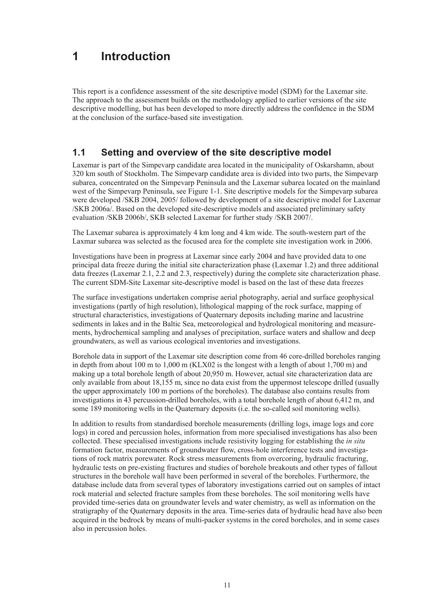# <span id="page-11-0"></span>**1 Introduction**

This report is a confidence assessment of the site descriptive model (SDM) for the Laxemar site. The approach to the assessment builds on the methodology applied to earlier versions of the site descriptive modelling, but has been developed to more directly address the confidence in the SDM at the conclusion of the surface-based site investigation.

### **1.1 Setting and overview of the site descriptive model**

Laxemar is part of the Simpevarp candidate area located in the municipality of Oskarshamn, about 320 km south of Stockholm. The Simpevarp candidate area is divided into two parts, the Simpevarp subarea, concentrated on the Simpevarp Peninsula and the Laxemar subarea located on the mainland west of the Simpevarp Peninsula, see Figure 1-1. Site descriptive models for the Simpevarp subarea were developed /SKB 2004, 2005/ followed by development of a site descriptive model for Laxemar /SKB 2006a/. Based on the developed site-descriptive models and associated preliminary safety evaluation /SKB 2006b/, SKB selected Laxemar for further study /SKB 2007/.

The Laxemar subarea is approximately 4 km long and 4 km wide. The south-western part of the Laxmar subarea was selected as the focused area for the complete site investigation work in 2006.

Investigations have been in progress at Laxemar since early 2004 and have provided data to one principal data freeze during the initial site characterization phase (Laxemar 1.2) and three additional data freezes (Laxemar 2.1, 2.2 and 2.3, respectively) during the complete site characterization phase. The current SDM-Site Laxemar site-descriptive model is based on the last of these data freezes

The surface investigations undertaken comprise aerial photography, aerial and surface geophysical investigations (partly of high resolution), lithological mapping of the rock surface, mapping of structural characteristics, investigations of Quaternary deposits including marine and lacustrine sediments in lakes and in the Baltic Sea, meteorological and hydrological monitoring and measurements, hydrochemical sampling and analyses of precipitation, surface waters and shallow and deep groundwaters, as well as various ecological inventories and investigations.

Borehole data in support of the Laxemar site description come from 46 core-drilled boreholes ranging in depth from about 100 m to 1,000 m (KLX02 is the longest with a length of about 1,700 m) and making up a total borehole length of about 20,950 m. However, actual site characterization data are only available from about 18,155 m, since no data exist from the uppermost telescope drilled (usually the upper approximately 100 m portions of the boreholes). The database also contains results from investigations in 43 percussion-drilled boreholes, with a total borehole length of about 6,412 m, and some 189 monitoring wells in the Quaternary deposits (i.e. the so-called soil monitoring wells).

In addition to results from standardised borehole measurements (drilling logs, image logs and core logs) in cored and percussion holes, information from more specialised investigations has also been collected. These specialised investigations include resistivity logging for establishing the *in situ* formation factor, measurements of groundwater flow, cross-hole interference tests and investigations of rock matrix porewater. Rock stress measurements from overcoring, hydraulic fracturing, hydraulic tests on pre-existing fractures and studies of borehole breakouts and other types of fallout structures in the borehole wall have been performed in several of the boreholes. Furthermore, the database include data from several types of laboratory investigations carried out on samples of intact rock material and selected fracture samples from these boreholes. The soil monitoring wells have provided time-series data on groundwater levels and water chemistry, as well as information on the stratigraphy of the Quaternary deposits in the area. Time-series data of hydraulic head have also been acquired in the bedrock by means of multi-packer systems in the cored boreholes, and in some cases also in percussion holes.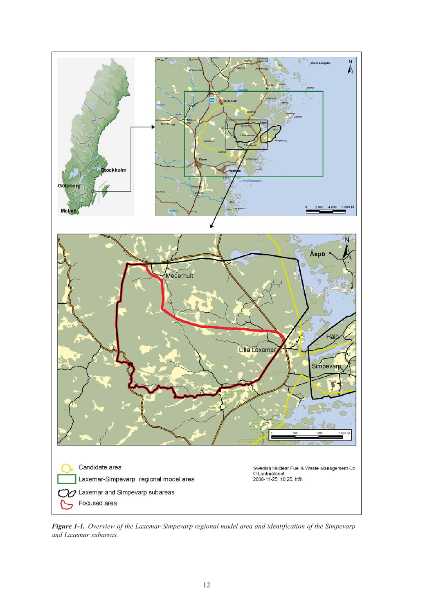

*Figure 1‑1. Overview of the Laxemar-Simpevarp regional model area and identification of the Simpevarp and Laxemar subareas.*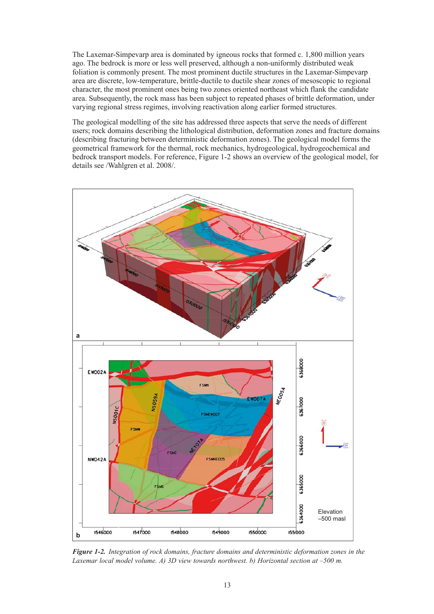The Laxemar-Simpevarp area is dominated by igneous rocks that formed c. 1,800 million years ago. The bedrock is more or less well preserved, although a non-uniformly distributed weak foliation is commonly present. The most prominent ductile structures in the Laxemar-Simpevarp area are discrete, low-temperature, brittle-ductile to ductile shear zones of mesoscopic to regional character, the most prominent ones being two zones oriented northeast which flank the candidate area. Subsequently, the rock mass has been subject to repeated phases of brittle deformation, under varying regional stress regimes, involving reactivation along earlier formed structures.

The geological modelling of the site has addressed three aspects that serve the needs of different users; rock domains describing the lithological distribution, deformation zones and fracture domains (describing fracturing between deterministic deformation zones). The geological model forms the geometrical framework for the thermal, rock mechanics, hydrogeological, hydrogeochemical and bedrock transport models. For reference, Figure 1-2 shows an overview of the geological model, for details see /Wahlgren et al. 2008/.



*Figure 1‑2. Integration of rock domains, fracture domains and deterministic deformation zones in the Laxemar local model volume. A) 3D view towards northwest. b) Horizontal section at –500 m.*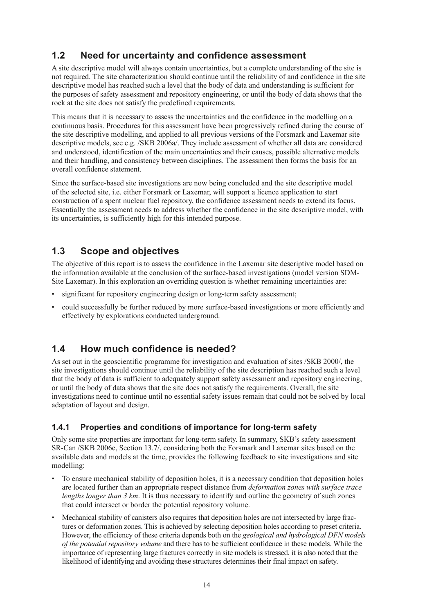# <span id="page-14-0"></span>**1.2 Need for uncertainty and confidence assessment**

A site descriptive model will always contain uncertainties, but a complete understanding of the site is not required. The site characterization should continue until the reliability of and confidence in the site descriptive model has reached such a level that the body of data and understanding is sufficient for the purposes of safety assessment and repository engineering, or until the body of data shows that the rock at the site does not satisfy the predefined requirements.

This means that it is necessary to assess the uncertainties and the confidence in the modelling on a continuous basis. Procedures for this assessment have been progressively refined during the course of the site descriptive modelling, and applied to all previous versions of the Forsmark and Laxemar site descriptive models, see e.g. /SKB 2006a/. They include assessment of whether all data are considered and understood, identification of the main uncertainties and their causes, possible alternative models and their handling, and consistency between disciplines. The assessment then forms the basis for an overall confidence statement.

Since the surface-based site investigations are now being concluded and the site descriptive model of the selected site, i.e. either Forsmark or Laxemar, will support a licence application to start construction of a spent nuclear fuel repository, the confidence assessment needs to extend its focus. Essentially the assessment needs to address whether the confidence in the site descriptive model, with its uncertainties, is sufficiently high for this intended purpose.

# **1.3 Scope and objectives**

The objective of this report is to assess the confidence in the Laxemar site descriptive model based on the information available at the conclusion of the surface-based investigations (model version SDM-Site Laxemar). In this exploration an overriding question is whether remaining uncertainties are:

- significant for repository engineering design or long-term safety assessment;
- could successfully be further reduced by more surface-based investigations or more efficiently and effectively by explorations conducted underground.

# **1.4 How much confidence is needed?**

As set out in the geoscientific programme for investigation and evaluation of sites /SKB 2000/, the site investigations should continue until the reliability of the site description has reached such a level that the body of data is sufficient to adequately support safety assessment and repository engineering, or until the body of data shows that the site does not satisfy the requirements. Overall, the site investigations need to continue until no essential safety issues remain that could not be solved by local adaptation of layout and design.

### **1.4.1 Properties and conditions of importance for long-term safety**

Only some site properties are important for long-term safety. In summary, SKB's safety assessment SR-Can /SKB 2006c, Section 13.7/, considering both the Forsmark and Laxemar sites based on the available data and models at the time, provides the following feedback to site investigations and site modelling:

- To ensure mechanical stability of deposition holes, it is a necessary condition that deposition holes are located further than an appropriate respect distance from *deformation zones with surface trace lengths longer than 3 km*. It is thus necessary to identify and outline the geometry of such zones that could intersect or border the potential repository volume.
- Mechanical stability of canisters also requires that deposition holes are not intersected by large fractures or deformation zones. This is achieved by selecting deposition holes according to preset criteria. However, the efficiency of these criteria depends both on the *geological and hydrological DFN models of the potential repository volume* and there has to be sufficient confidence in these models. While the importance of representing large fractures correctly in site models is stressed, it is also noted that the likelihood of identifying and avoiding these structures determines their final impact on safety.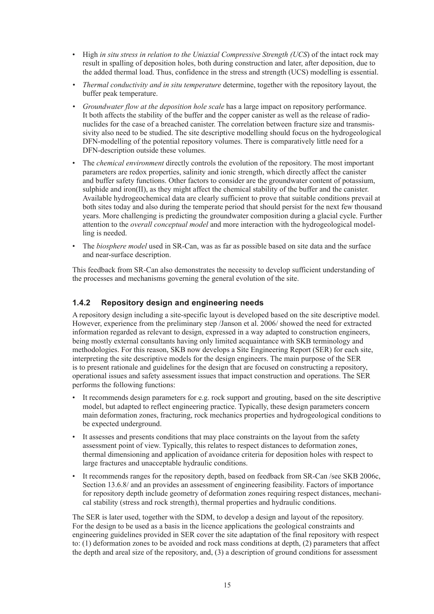- <span id="page-15-0"></span>• High *in situ stress in relation to the Uniaxial Compressive Strength (UCS*) of the intact rock may result in spalling of deposition holes, both during construction and later, after deposition, due to the added thermal load. Thus, confidence in the stress and strength (UCS) modelling is essential.
- *• Thermal conductivity and in situ temperature* determine, together with the repository layout, the buffer peak temperature.
- *• Groundwater flow at the deposition hole scale* has a large impact on repository performance. It both affects the stability of the buffer and the copper canister as well as the release of radionuclides for the case of a breached canister. The correlation between fracture size and transmissivity also need to be studied. The site descriptive modelling should focus on the hydrogeological DFN-modelling of the potential repository volumes. There is comparatively little need for a DFN-description outside these volumes.
- The *chemical environment* directly controls the evolution of the repository. The most important parameters are redox properties, salinity and ionic strength, which directly affect the canister and buffer safety functions. Other factors to consider are the groundwater content of potassium, sulphide and iron(II), as they might affect the chemical stability of the buffer and the canister. Available hydrogeochemical data are clearly sufficient to prove that suitable conditions prevail at both sites today and also during the temperate period that should persist for the next few thousand years. More challenging is predicting the groundwater composition during a glacial cycle. Further attention to the *overall conceptual model* and more interaction with the hydrogeological modelling is needed.
- • The *biosphere model* used in SR-Can, was as far as possible based on site data and the surface and near-surface description.

This feedback from SR-Can also demonstrates the necessity to develop sufficient understanding of the processes and mechanisms governing the general evolution of the site.

#### **1.4.2 Repository design and engineering needs**

A repository design including a site-specific layout is developed based on the site descriptive model. However, experience from the preliminary step /Janson et al. 2006/ showed the need for extracted information regarded as relevant to design, expressed in a way adapted to construction engineers, being mostly external consultants having only limited acquaintance with SKB terminology and methodologies. For this reason, SKB now develops a Site Engineering Report (SER) for each site, interpreting the site descriptive models for the design engineers. The main purpose of the SER is to present rationale and guidelines for the design that are focused on constructing a repository, operational issues and safety assessment issues that impact construction and operations. The SER performs the following functions:

- • It recommends design parameters for e.g. rock support and grouting, based on the site descriptive model, but adapted to reflect engineering practice. Typically, these design parameters concern main deformation zones, fracturing, rock mechanics properties and hydrogeological conditions to be expected underground.
- It assesses and presents conditions that may place constraints on the layout from the safety assessment point of view. Typically, this relates to respect distances to deformation zones, thermal dimensioning and application of avoidance criteria for deposition holes with respect to large fractures and unacceptable hydraulic conditions.
- It recommends ranges for the repository depth, based on feedback from SR-Can /see SKB 2006c, Section 13.6.8/ and an provides an assessment of engineering feasibility. Factors of importance for repository depth include geometry of deformation zones requiring respect distances, mechanical stability (stress and rock strength), thermal properties and hydraulic conditions.

The SER is later used, together with the SDM, to develop a design and layout of the repository. For the design to be used as a basis in the licence applications the geological constraints and engineering guidelines provided in SER cover the site adaptation of the final repository with respect to: (1) deformation zones to be avoided and rock mass conditions at depth, (2) parameters that affect the depth and areal size of the repository, and, (3) a description of ground conditions for assessment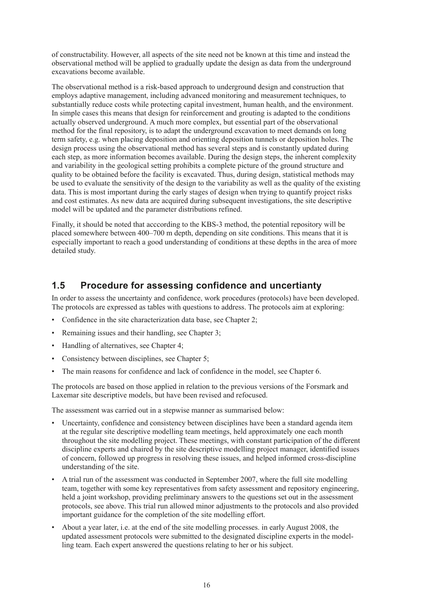<span id="page-16-0"></span>of constructability. However, all aspects of the site need not be known at this time and instead the observational method will be applied to gradually update the design as data from the underground excavations become available.

The observational method is a risk-based approach to underground design and construction that employs adaptive management, including advanced monitoring and measurement techniques, to substantially reduce costs while protecting capital investment, human health, and the environment. In simple cases this means that design for reinforcement and grouting is adapted to the conditions actually observed underground. A much more complex, but essential part of the observational method for the final repository, is to adapt the underground excavation to meet demands on long term safety, e.g. when placing deposition and orienting deposition tunnels or deposition holes. The design process using the observational method has several steps and is constantly updated during each step, as more information becomes available. During the design steps, the inherent complexity and variability in the geological setting prohibits a complete picture of the ground structure and quality to be obtained before the facility is excavated. Thus, during design, statistical methods may be used to evaluate the sensitivity of the design to the variability as well as the quality of the existing data. This is most important during the early stages of design when trying to quantify project risks and cost estimates. As new data are acquired during subsequent investigations, the site descriptive model will be updated and the parameter distributions refined.

Finally, it should be noted that acccording to the KBS-3 method, the potential repository will be placed somewhere between 400–700 m depth, depending on site conditions. This means that it is especially important to reach a good understanding of conditions at these depths in the area of more detailed study.

### **1.5 Procedure for assessing confidence and uncertianty**

In order to assess the uncertainty and confidence, work procedures (protocols) have been developed. The protocols are expressed as tables with questions to address. The protocols aim at exploring:

- Confidence in the site characterization data base, see Chapter 2;
- Remaining issues and their handling, see Chapter 3:
- Handling of alternatives, see Chapter 4;
- Consistency between disciplines, see Chapter 5;
- The main reasons for confidence and lack of confidence in the model, see Chapter 6.

The protocols are based on those applied in relation to the previous versions of the Forsmark and Laxemar site descriptive models, but have been revised and refocused.

The assessment was carried out in a stepwise manner as summarised below:

- Uncertainty, confidence and consistency between disciplines have been a standard agenda item at the regular site descriptive modelling team meetings, held approximately one each month throughout the site modelling project. These meetings, with constant participation of the different discipline experts and chaired by the site descriptive modelling project manager, identified issues of concern, followed up progress in resolving these issues, and helped informed cross-discipline understanding of the site.
- A trial run of the assessment was conducted in September 2007, where the full site modelling team, together with some key representatives from safety assessment and repository engineering, held a joint workshop, providing preliminary answers to the questions set out in the assessment protocols, see above. This trial run allowed minor adjustments to the protocols and also provided important guidance for the completion of the site modelling effort.
- About a year later, i.e. at the end of the site modelling processes, in early August 2008, the updated assessment protocols were submitted to the designated discipline experts in the modelling team. Each expert answered the questions relating to her or his subject.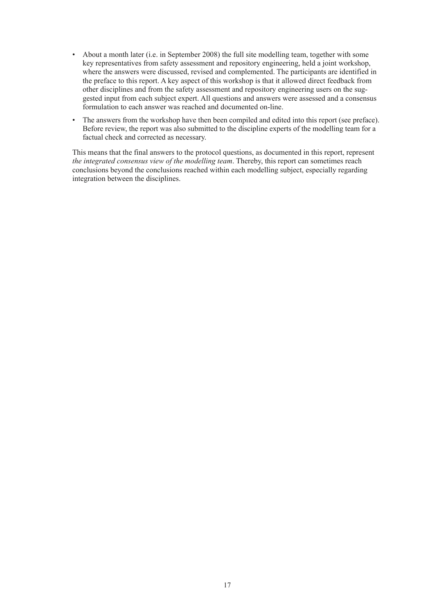- About a month later (i.e. in September 2008) the full site modelling team, together with some key representatives from safety assessment and repository engineering, held a joint workshop, where the answers were discussed, revised and complemented. The participants are identified in the preface to this report. A key aspect of this workshop is that it allowed direct feedback from other disciplines and from the safety assessment and repository engineering users on the suggested input from each subject expert. All questions and answers were assessed and a consensus formulation to each answer was reached and documented on-line.
- The answers from the workshop have then been compiled and edited into this report (see preface). Before review, the report was also submitted to the discipline experts of the modelling team for a factual check and corrected as necessary.

This means that the final answers to the protocol questions, as documented in this report, represent *the integrated consensus view of the modelling team*. Thereby, this report can sometimes reach conclusions beyond the conclusions reached within each modelling subject, especially regarding integration between the disciplines.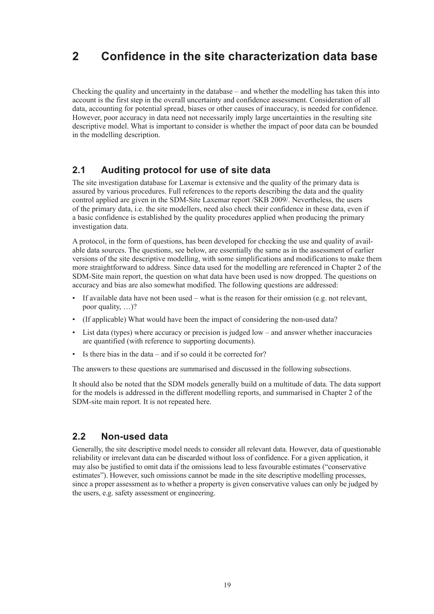# <span id="page-19-0"></span>**2 Confidence in the site characterization data base**

Checking the quality and uncertainty in the database – and whether the modelling has taken this into account is the first step in the overall uncertainty and confidence assessment. Consideration of all data, accounting for potential spread, biases or other causes of inaccuracy, is needed for confidence. However, poor accuracy in data need not necessarily imply large uncertainties in the resulting site descriptive model. What is important to consider is whether the impact of poor data can be bounded in the modelling description.

### **2.1 Auditing protocol for use of site data**

The site investigation database for Laxemar is extensive and the quality of the primary data is assured by various procedures. Full references to the reports describing the data and the quality control applied are given in the SDM-Site Laxemar report /SKB 2009/. Nevertheless, the users of the primary data, i.e. the site modellers, need also check their confidence in these data, even if a basic confidence is established by the quality procedures applied when producing the primary investigation data.

A protocol, in the form of questions, has been developed for checking the use and quality of available data sources. The questions, see below, are essentially the same as in the assessment of earlier versions of the site descriptive modelling, with some simplifications and modifications to make them more straightforward to address. Since data used for the modelling are referenced in Chapter 2 of the SDM-Site main report, the question on what data have been used is now dropped. The questions on accuracy and bias are also somewhat modified. The following questions are addressed:

- If available data have not been used what is the reason for their omission (e.g. not relevant, poor quality, …)?
- (If applicable) What would have been the impact of considering the non-used data?
- List data (types) where accuracy or precision is judged low and answer whether inaccuracies are quantified (with reference to supporting documents).
- Is there bias in the data and if so could it be corrected for?

The answers to these questions are summarised and discussed in the following subsections.

It should also be noted that the SDM models generally build on a multitude of data. The data support for the models is addressed in the different modelling reports, and summarised in Chapter 2 of the SDM-site main report. It is not repeated here.

### **2.2 Non-used data**

Generally, the site descriptive model needs to consider all relevant data. However, data of questionable reliability or irrelevant data can be discarded without loss of confidence. For a given application, it may also be justified to omit data if the omissions lead to less favourable estimates ("conservative estimates"). However, such omissions cannot be made in the site descriptive modelling processes, since a proper assessment as to whether a property is given conservative values can only be judged by the users, e.g. safety assessment or engineering.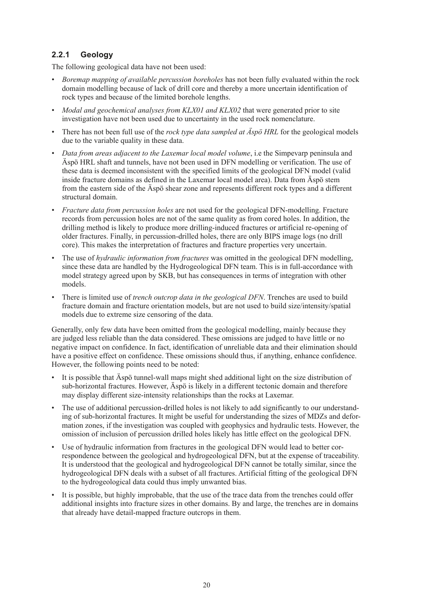### <span id="page-20-0"></span>**2.2.1 Geology**

The following geological data have not been used:

- • *Boremap mapping of available percussion boreholes* has not been fully evaluated within the rock domain modelling because of lack of drill core and thereby a more uncertain identification of rock types and because of the limited borehole lengths.
- *Modal and geochemical analyses from KLX01 and KLX02* that were generated prior to site investigation have not been used due to uncertainty in the used rock nomenclature.
- There has not been full use of the *rock type data sampled at Aspö HRL* for the geological models due to the variable quality in these data.
- • *Data from areas adjacent to the Laxemar local model volume*, i.e the Simpevarp peninsula and Äspö HRL shaft and tunnels, have not been used in DFN modelling or verification. The use of these data is deemed inconsistent with the specified limits of the geological DFN model (valid inside fracture domains as defined in the Laxemar local model area). Data from Äspö stem from the eastern side of the Äspö shear zone and represents different rock types and a different structural domain.
- *Fracture data from percussion holes* are not used for the geological DFN-modelling. Fracture records from percussion holes are not of the same quality as from cored holes. In addition, the drilling method is likely to produce more drilling-induced fractures or artificial re-opening of older fractures. Finally, in percussion-drilled holes, there are only BIPS image logs (no drill core). This makes the interpretation of fractures and fracture properties very uncertain.
- The use of *hydraulic information from fractures* was omitted in the geological DFN modelling. since these data are handled by the Hydrogeological DFN team. This is in full-accordance with model strategy agreed upon by SKB, but has consequences in terms of integration with other models.
- There is limited use of *trench outcrop data in the geological DFN*. Trenches are used to build fracture domain and fracture orientation models, but are not used to build size/intensity/spatial models due to extreme size censoring of the data.

Generally, only few data have been omitted from the geological modelling, mainly because they are judged less reliable than the data considered. These omissions are judged to have little or no negative impact on confidence. In fact, identification of unreliable data and their elimination should have a positive effect on confidence. These omissions should thus, if anything, enhance confidence. However, the following points need to be noted:

- It is possible that Äspö tunnel-wall maps might shed additional light on the size distribution of sub-horizontal fractures. However, Äspö is likely in a different tectonic domain and therefore may display different size-intensity relationships than the rocks at Laxemar.
- The use of additional percussion-drilled holes is not likely to add significantly to our understanding of sub-horizontal fractures. It might be useful for understanding the sizes of MDZs and deformation zones, if the investigation was coupled with geophysics and hydraulic tests. However, the omission of inclusion of percussion drilled holes likely has little effect on the geological DFN.
- Use of hydraulic information from fractures in the geological DFN would lead to better correspondence between the geological and hydrogeological DFN, but at the expense of traceability. It is understood that the geological and hydrogeological DFN cannot be totally similar, since the hydrogeological DFN deals with a subset of all fractures. Artificial fitting of the geological DFN to the hydrogeological data could thus imply unwanted bias.
- It is possible, but highly improbable, that the use of the trace data from the trenches could offer additional insights into fracture sizes in other domains. By and large, the trenches are in domains that already have detail-mapped fracture outcrops in them.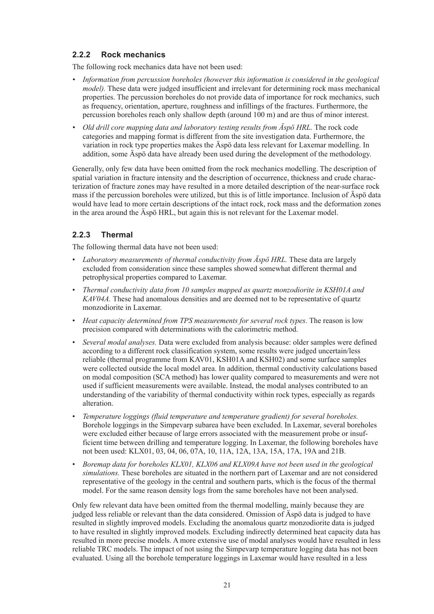#### <span id="page-21-0"></span>**2.2.2 Rock mechanics**

The following rock mechanics data have not been used:

- *• Information from percussion boreholes (however this information is considered in the geological model*). These data were judged insufficient and irrelevant for determining rock mass mechanical properties. The percussion boreholes do not provide data of importance for rock mechanics, such as frequency, orientation, aperture, roughness and infillings of the fractures. Furthermore, the percussion boreholes reach only shallow depth (around 100 m) and are thus of minor interest.
- *• Old drill core mapping data and laboratory testing results from Äspö HRL.* The rock code categories and mapping format is different from the site investigation data. Furthermore, the variation in rock type properties makes the Äspö data less relevant for Laxemar modelling. In addition, some Äspö data have already been used during the development of the methodology.

Generally, only few data have been omitted from the rock mechanics modelling. The description of spatial variation in fracture intensity and the description of occurrence, thickness and crude characterization of fracture zones may have resulted in a more detailed description of the near-surface rock mass if the percussion boreholes were utilized, but this is of little importance. Inclusion of Äspö data would have lead to more certain descriptions of the intact rock, rock mass and the deformation zones in the area around the Äspö HRL, but again this is not relevant for the Laxemar model.

#### **2.2.3 Thermal**

The following thermal data have not been used:

- • *Laboratory measurements of thermal conductivity from Äspö HRL.* These data are largely excluded from consideration since these samples showed somewhat different thermal and petrophysical properties compared to Laxemar.
- • *Thermal conductivity data from 10 samples mapped as quartz monzodiorite in KSH01A and KAV04A.* These had anomalous densities and are deemed not to be representative of quartz monzodiorite in Laxemar.
- • *Heat capacity determined from TPS measurements for several rock types.* The reason is low precision compared with determinations with the calorimetric method.
- *Several modal analyses.* Data were excluded from analysis because: older samples were defined according to a different rock classification system, some results were judged uncertain/less reliable (thermal programme from KAV01, KSH01A and KSH02) and some surface samples were collected outside the local model area. In addition, thermal conductivity calculations based on modal composition (SCA method) has lower quality compared to measurements and were not used if sufficient measurements were available. Instead, the modal analyses contributed to an understanding of the variability of thermal conductivity within rock types, especially as regards alteration.
- • *Temperature loggings (fluid temperature and temperature gradient) for several boreholes.* Borehole loggings in the Simpevarp subarea have been excluded. In Laxemar, several boreholes were excluded either because of large errors associated with the measurement probe or insufficient time between drilling and temperature logging. In Laxemar, the following boreholes have not been used: KLX01, 03, 04, 06, 07A, 10, 11A, 12A, 13A, 15A, 17A, 19A and 21B.
- Boremap data for boreholes KLX01, KLX06 and KLX09A have not been used in the geological *simulations.* These boreholes are situated in the northern part of Laxemar and are not considered representative of the geology in the central and southern parts, which is the focus of the thermal model. For the same reason density logs from the same boreholes have not been analysed.

Only few relevant data have been omitted from the thermal modelling, mainly because they are judged less reliable or relevant than the data considered. Omission of Äspö data is judged to have resulted in slightly improved models. Excluding the anomalous quartz monzodiorite data is judged to have resulted in slightly improved models. Excluding indirectly determined heat capacity data has resulted in more precise models. A more extensive use of modal analyses would have resulted in less reliable TRC models. The impact of not using the Simpevarp temperature logging data has not been evaluated. Using all the borehole temperature loggings in Laxemar would have resulted in a less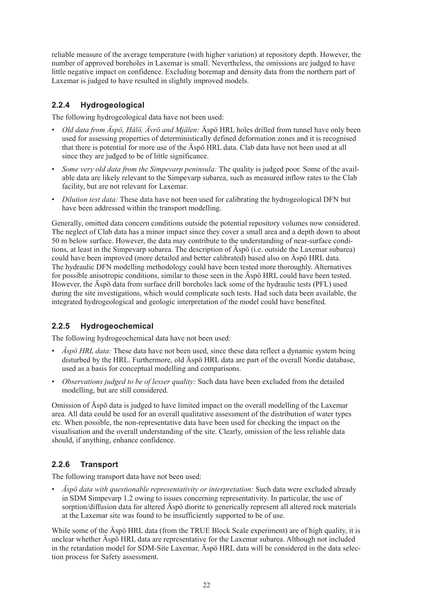<span id="page-22-0"></span>reliable measure of the average temperature (with higher variation) at repository depth. However, the number of approved boreholes in Laxemar is small. Nevertheless, the omissions are judged to have little negative impact on confidence. Excluding boremap and density data from the northern part of Laxemar is judged to have resulted in slightly improved models.

#### **2.2.4 Hydrogeological**

The following hydrogeological data have not been used:

- Old data from Äspö, Hålö, Ävrö and Mjälen: Äspö HRL holes drilled from tunnel have only been used for assessing properties of deterministically defined deformation zones and it is recognised that there is potential for more use of the Äspö HRL data. Clab data have not been used at all since they are judged to be of little significance.
- Some very old data from the Simpevarp peninsula: The quality is judged poor. Some of the available data are likely relevant to the Simpevarp subarea, such as measured inflow rates to the Clab facility, but are not relevant for Laxemar.
- *Dilution test data:* These data have not been used for calibrating the hydrogeological DFN but have been addressed within the transport modelling.

Generally, omitted data concern conditions outside the potential repository volumes now considered. The neglect of Clab data has a minor impact since they cover a small area and a depth down to about 50 m below surface. However, the data may contribute to the understanding of near-surface conditions, at least in the Simpevarp subarea. The description of Äspö (i.e. outside the Laxemar subarea) could have been improved (more detailed and better calibrated) based also on Äspö HRL data. The hydraulic DFN modelling methodology could have been tested more thoroughly. Alternatives for possible anisotropic conditions, similar to those seen in the Äspö HRL could have been tested. However, the Äspö data from surface drill boreholes lack some of the hydraulic tests (PFL) used during the site investigations, which would complicate such tests. Had such data been available, the integrated hydrogeological and geologic interpretation of the model could have benefited.

#### **2.2.5 Hydrogeochemical**

The following hydrogeochemical data have not been used:

- *Äspö HRL data:* These data have not been used, since these data reflect a dynamic system being disturbed by the HRL. Furthermore, old Äspö HRL data are part of the overall Nordic database, used as a basis for conceptual modelling and comparisons.
- • *Observations judged to be of lesser quality:* Such data have been excluded from the detailed modelling, but are still considered.

Omission of Äspö data is judged to have limited impact on the overall modelling of the Laxemar area. All data could be used for an overall qualitative assessment of the distribution of water types etc. When possible, the non-representative data have been used for checking the impact on the visualisation and the overall understanding of the site. Clearly, omission of the less reliable data should, if anything, enhance confidence.

#### **2.2.6 Transport**

The following transport data have not been used:

• *Äspö data with questionable representativity or interpretation:* Such data were excluded already in SDM Simpevarp 1.2 owing to issues concerning representativity. In particular, the use of sorption/diffusion data for altered Äspö diorite to generically represent all altered rock materials at the Laxemar site was found to be insufficiently supported to be of use.

While some of the Äspö HRL data (from the TRUE Block Scale experiment) are of high quality, it is unclear whether Äspö HRL data are representative for the Laxemar subarea. Although not included in the retardation model for SDM-Site Laxemar, Äspö HRL data will be considered in the data selection process for Safety assessment.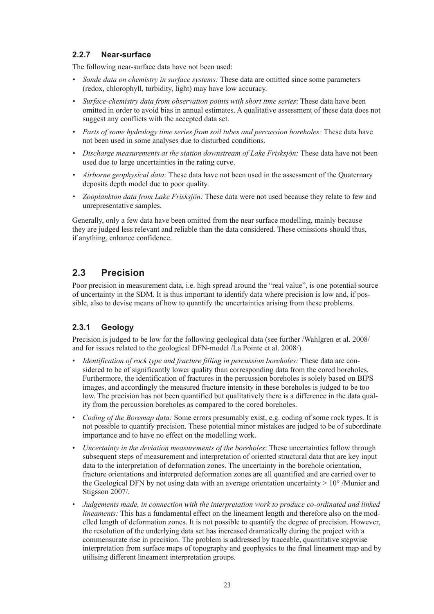#### <span id="page-23-0"></span>**2.2.7 Near-surface**

The following near-surface data have not been used:

- *• Sonde data on chemistry in surface systems:* These data are omitted since some parameters (redox, chlorophyll, turbidity, light) may have low accuracy.
- *• Surface-chemistry data from observation points with short time series*: These data have been omitted in order to avoid bias in annual estimates. A qualitative assessment of these data does not suggest any conflicts with the accepted data set.
- *• Parts of some hydrology time series from soil tubes and percussion boreholes:* These data have not been used in some analyses due to disturbed conditions.
- *• Discharge measurements at the station downstream of Lake Frisksjön:* These data have not been used due to large uncertainties in the rating curve.
- *• Airborne geophysical data:* These data have not been used in the assessment of the Quaternary deposits depth model due to poor quality.
- *• Zooplankton data from Lake Frisksjön:* These data were not used because they relate to few and unrepresentative samples.

Generally, only a few data have been omitted from the near surface modelling, mainly because they are judged less relevant and reliable than the data considered. These omissions should thus, if anything, enhance confidence.

# **2.3 Precision**

Poor precision in measurement data, i.e. high spread around the "real value", is one potential source of uncertainty in the SDM. It is thus important to identify data where precision is low and, if possible, also to devise means of how to quantify the uncertainties arising from these problems.

#### **2.3.1 Geology**

Precision is judged to be low for the following geological data (see further /Wahlgren et al. 2008/ and for issues related to the geological DFN-model /La Pointe et al. 2008/).

- *Identification of rock type and fracture filling in percussion boreholes:* These data are considered to be of significantly lower quality than corresponding data from the cored boreholes. Furthermore, the identification of fractures in the percussion boreholes is solely based on BIPS images, and accordingly the measured fracture intensity in these boreholes is judged to be too low. The precision has not been quantified but qualitatively there is a difference in the data quality from the percussion boreholes as compared to the cored boreholes.
- *Coding of the Boremap data:* Some errors presumably exist, e.g. coding of some rock types. It is not possible to quantify precision. These potential minor mistakes are judged to be of subordinate importance and to have no effect on the modelling work.
- *Uncertainty in the deviation measurements of the boreholes*: These uncertainties follow through subsequent steps of measurement and interpretation of oriented structural data that are key input data to the interpretation of deformation zones. The uncertainty in the borehole orientation, fracture orientations and interpreted deformation zones are all quantified and are carried over to the Geological DFN by not using data with an average orientation uncertainty  $> 10^{\circ}$  /Munier and Stigsson 2007/.
- • *Judgements made, in connection with the interpretation work to produce co-ordinated and linked lineaments:* This has a fundamental effect on the lineament length and therefore also on the modelled length of deformation zones. It is not possible to quantify the degree of precision. However, the resolution of the underlying data set has increased dramatically during the project with a commensurate rise in precision. The problem is addressed by traceable, quantitative stepwise interpretation from surface maps of topography and geophysics to the final lineament map and by utilising different lineament interpretation groups.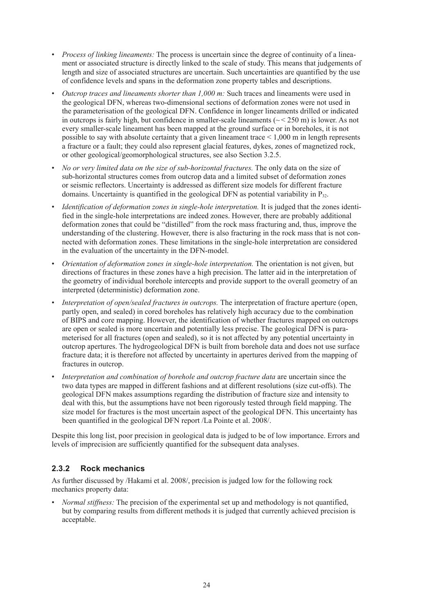- <span id="page-24-0"></span>*Process of linking lineaments:* The process is uncertain since the degree of continuity of a lineament or associated structure is directly linked to the scale of study. This means that judgements of length and size of associated structures are uncertain. Such uncertainties are quantified by the use of confidence levels and spans in the deformation zone property tables and descriptions.
- *Outcrop traces and lineaments shorter than 1,000 m:* Such traces and lineaments were used in the geological DFN, whereas two-dimensional sections of deformation zones were not used in the parameterisation of the geological DFN. Confidence in longer lineaments drilled or indicated in outcrops is fairly high, but confidence in smaller-scale lineaments ( $\sim$   $\leq$  250 m) is lower. As not every smaller-scale lineament has been mapped at the ground surface or in boreholes, it is not possible to say with absolute certainty that a given lineament trace  $\leq 1,000$  m in length represents a fracture or a fault; they could also represent glacial features, dykes, zones of magnetized rock, or other geological/geomorphological structures, see also Section 3.2.5.
- No or very limited data on the size of sub-horizontal fractures. The only data on the size of sub-horizontal structures comes from outcrop data and a limited subset of deformation zones or seismic reflectors. Uncertainty is addressed as different size models for different fracture domains. Uncertainty is quantified in the geological DFN as potential variability in  $P_{32}$ .
- *Identification of deformation zones in single-hole interpretation*. It is judged that the zones identified in the single-hole interpretations are indeed zones. However, there are probably additional deformation zones that could be "distilled" from the rock mass fracturing and, thus, improve the understanding of the clustering. However, there is also fracturing in the rock mass that is not connected with deformation zones. These limitations in the single-hole interpretation are considered in the evaluation of the uncertainty in the DFN-model.
- *Orientation of deformation zones in single-hole interpretation*. The orientation is not given, but directions of fractures in these zones have a high precision. The latter aid in the interpretation of the geometry of individual borehole intercepts and provide support to the overall geometry of an interpreted (deterministic) deformation zone.
- *Interpretation of open/sealed fractures in outcrops.* The interpretation of fracture aperture (open, partly open, and sealed) in cored boreholes has relatively high accuracy due to the combination of BIPS and core mapping. However, the identification of whether fractures mapped on outcrops are open or sealed is more uncertain and potentially less precise. The geological DFN is parameterised for all fractures (open and sealed), so it is not affected by any potential uncertainty in outcrop apertures. The hydrogeological DFN is built from borehole data and does not use surface fracture data; it is therefore not affected by uncertainty in apertures derived from the mapping of fractures in outcrop.
- Interpretation and combination of borehole and outcrop fracture data are uncertain since the two data types are mapped in different fashions and at different resolutions (size cut-offs). The geological DFN makes assumptions regarding the distribution of fracture size and intensity to deal with this, but the assumptions have not been rigorously tested through field mapping. The size model for fractures is the most uncertain aspect of the geological DFN. This uncertainty has been quantified in the geological DFN report /La Pointe et al. 2008/.

Despite this long list, poor precision in geological data is judged to be of low importance. Errors and levels of imprecision are sufficiently quantified for the subsequent data analyses.

#### **2.3.2 Rock mechanics**

As further discussed by /Hakami et al. 2008/, precision is judged low for the following rock mechanics property data:

*Normal stiffness:* The precision of the experimental set up and methodology is not quantified, but by comparing results from different methods it is judged that currently achieved precision is acceptable.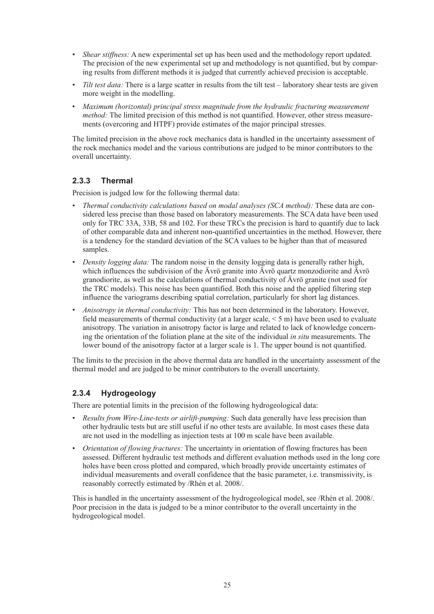- <span id="page-25-0"></span>• *Shear stiffness:* A new experimental set up has been used and the methodology report updated. The precision of the new experimental set up and methodology is not quantified, but by comparing results from different methods it is judged that currently achieved precision is acceptable.
- *Tilt test data:* There is a large scatter in results from the tilt test laboratory shear tests are given more weight in the modelling.
- • *Maximum (horizontal) principal stress magnitude from the hydraulic fracturing measurement method:* The limited precision of this method is not quantified. However, other stress measurements (overcoring and HTPF) provide estimates of the major principal stresses.

The limited precision in the above rock mechanics data is handled in the uncertainty assessment of the rock mechanics model and the various contributions are judged to be minor contributors to the overall uncertainty.

#### **2.3.3 Thermal**

Precision is judged low for the following thermal data:

- • *Thermal conductivity calculations based on modal analyses (SCA method):* These data are considered less precise than those based on laboratory measurements. The SCA data have been used only for TRC 33A, 33B, 58 and 102. For these TRCs the precision is hard to quantify due to lack of other comparable data and inherent non-quantified uncertainties in the method. However, there is a tendency for the standard deviation of the SCA values to be higher than that of measured samples.
- *Density logging data:* The random noise in the density logging data is generally rather high, which influences the subdivision of the Ävrö granite into Ävrö quartz monzodiorite and Ävrö granodiorite, as well as the calculations of thermal conductivity of Ävrö granite (not used for the TRC models). This noise has been quantified. Both this noise and the applied filtering step influence the variograms describing spatial correlation, particularly for short lag distances.
- Anisotropy in thermal conductivity: This has not been determined in the laboratory. However, field measurements of thermal conductivity (at a larger scale,  $\leq$  5 m) have been used to evaluate anisotropy. The variation in anisotropy factor is large and related to lack of knowledge concerning the orientation of the foliation plane at the site of the individual *in situ* measurements. The lower bound of the anisotropy factor at a larger scale is 1. The upper bound is not quantified.

The limits to the precision in the above thermal data are handled in the uncertainty assessment of the thermal model and are judged to be minor contributors to the overall uncertainty.

#### **2.3.4 Hydrogeology**

There are potential limits in the precision of the following hydrogeological data:

- *Results from Wire-Line-tests or airlift-pumping:* Such data generally have less precision than other hydraulic tests but are still useful if no other tests are available. In most cases these data are not used in the modelling as injection tests at 100 m scale have been available.
- *Orientation of flowing fractures:* The uncertainty in orientation of flowing fractures has been assessed. Different hydraulic test methods and different evaluation methods used in the long core holes have been cross plotted and compared, which broadly provide uncertainty estimates of individual measurements and overall confidence that the basic parameter, i.e. transmissivity, is reasonably correctly estimated by /Rhén et al. 2008/.

This is handled in the uncertainty assessment of the hydrogeological model, see /Rhén et al. 2008/. Poor precision in the data is judged to be a minor contributor to the overall uncertainty in the hydrogeological model.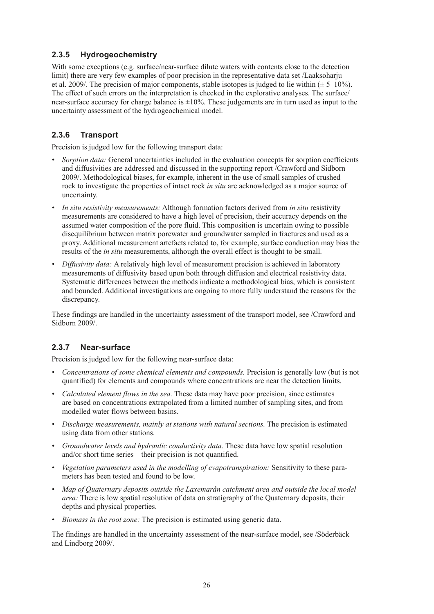#### <span id="page-26-0"></span>**2.3.5 Hydrogeochemistry**

With some exceptions (e.g. surface/near-surface dilute waters with contents close to the detection limit) there are very few examples of poor precision in the representative data set /Laaksoharju et al. 2009/. The precision of major components, stable isotopes is judged to lie within  $(\pm 5-10\%)$ . The effect of such errors on the interpretation is checked in the explorative analyses. The surface/ near-surface accuracy for charge balance is  $\pm 10\%$ . These judgements are in turn used as input to the uncertainty assessment of the hydrogeochemical model.

#### **2.3.6 Transport**

Precision is judged low for the following transport data:

- *Sorption data:* General uncertainties included in the evaluation concepts for sorption coefficients and diffusivities are addressed and discussed in the supporting report /Crawford and Sidborn 2009/. Methodological biases, for example, inherent in the use of small samples of crushed rock to investigate the properties of intact rock *in situ* are acknowledged as a major source of uncertainty.
- *• In situ resistivity measurements:* Although formation factors derived from *in situ* resistivity measurements are considered to have a high level of precision, their accuracy depends on the assumed water composition of the pore fluid. This composition is uncertain owing to possible disequilibrium between matrix porewater and groundwater sampled in fractures and used as a proxy. Additional measurement artefacts related to, for example, surface conduction may bias the results of the *in situ* measurements, although the overall effect is thought to be small.
- *• Diffusivity data:* A relatively high level of measurement precision is achieved in laboratory measurements of diffusivity based upon both through diffusion and electrical resistivity data. Systematic differences between the methods indicate a methodological bias, which is consistent and bounded. Additional investigations are ongoing to more fully understand the reasons for the discrepancy.

These findings are handled in the uncertainty assessment of the transport model, see /Crawford and Sidborn 2009/.

#### **2.3.7 Near-surface**

Precision is judged low for the following near-surface data:

- *• Concentrations of some chemical elements and compounds.* Precision is generally low (but is not quantified) for elements and compounds where concentrations are near the detection limits.
- *• Calculated element flows in the sea.* These data may have poor precision, since estimates are based on concentrations extrapolated from a limited number of sampling sites, and from modelled water flows between basins.
- *• Discharge measurements, mainly at stations with natural sections.* The precision is estimated using data from other stations.
- *• Groundwater levels and hydraulic conductivity data.* These data have low spatial resolution and/or short time series – their precision is not quantified.
- *• Vegetation parameters used in the modelling of evapotranspiration:* Sensitivity to these parameters has been tested and found to be low.
- *• Map of Quaternary deposits outside the Laxemarån catchment area and outside the local model area:* There is low spatial resolution of data on stratigraphy of the Quaternary deposits, their depths and physical properties.
- *• Biomass in the root zone:* The precision is estimated using generic data.

The findings are handled in the uncertainty assessment of the near-surface model, see /Söderbäck and Lindborg 2009/.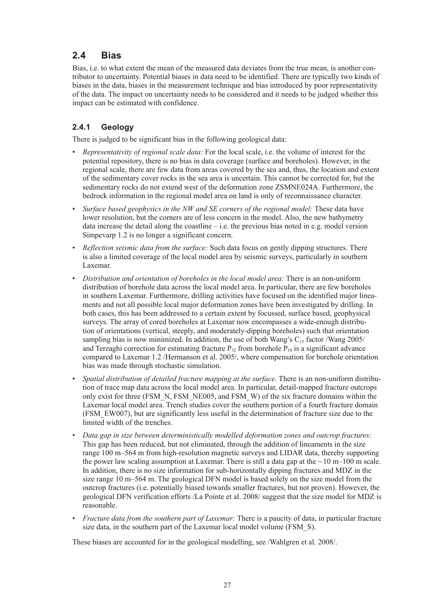# <span id="page-27-0"></span>**2.4 Bias**

Bias, i.e. to what extent the mean of the measured data deviates from the true mean, is another contributor to uncertainty. Potential biases in data need to be identified. There are typically two kinds of biases in the data, biases in the measurement technique and bias introduced by poor representativity of the data. The impact on uncertainty needs to be considered and it needs to be judged whether this impact can be estimated with confidence.

### **2.4.1 Geology**

There is judged to be significant bias in the following geological data:

- • *Representativity of regional scale data:* For the local scale, i.e. the volume of interest for the potential repository, there is no bias in data coverage (surface and boreholes). However, in the regional scale, there are few data from areas covered by the sea and, thus, the location and extent of the sedimentary cover rocks in the sea area is uncertain. This cannot be corrected for, but the sedimentary rocks do not extend west of the deformation zone ZSMNE024A. Furthermore, the bedrock information in the regional model area on land is only of reconnaissance character.
- • *Surface based geophysics in the NW and SE corners of the regional model:* These data have lower resolution, but the corners are of less concern in the model. Also, the new bathymetry data increase the detail along the coastline  $-i.e.$  the previous bias noted in e.g. model version Simpevarp 1.2 is no longer a significant concern.
- • *Reflection seismic data from the surface:* Such data focus on gently dipping structures. There is also a limited coverage of the local model area by seismic surveys, particularly in southern Laxemar.
- *Distribution and orientation of boreholes in the local model area:* There is an non-uniform distribution of borehole data across the local model area. In particular, there are few boreholes in southern Laxemar. Furthermore, drilling activities have focused on the identified major lineaments and not all possible local major deformation zones have been investigated by drilling. In both cases, this has been addressed to a certain extent by focussed, surface based, geophysical surveys. The array of cored boreholes at Laxemar now encompasses a wide-enough distribution of orientations (vertical, steeply, and moderately-dipping boreholes) such that orientation sampling bias is now minimized. In addition, the use of both Wang's  $C_{13}$  factor /Wang 2005/ and Terzaghi correction for estimating fracture  $P_{32}$  from borehole  $P_{10}$  is a significant advance compared to Laxemar 1.2 /Hermanson et al. 2005/, where compensation for borehole orientation bias was made through stochastic simulation.
- *Spatial distribution of detailed fracture mapping at the surface.* There is an non-uniform distribution of trace map data across the local model area. In particular, detail-mapped fracture outcrops only exist for three (FSM\_N, FSM\_NE005, and FSM\_W) of the six fracture domains within the Laxemar local model area. Trench studies cover the southern portion of a fourth fracture domain (FSM\_EW007), but are significantly less useful in the determination of fracture size due to the limited width of the trenches.
- • *Data gap in size between deterministically modelled deformation zones and outcrop fractures:* This gap has been reduced, but not eliminated, through the addition of lineaments in the size range 100 m–564 m from high-resolution magnetic surveys and LIDAR data, thereby supporting the power law scaling assumption at Laxemar. There is still a data gap at the  $\sim$  10 m–100 m scale. In addition, there is no size information for sub-horizontally dipping fractures and MDZ in the size range 10 m–564 m. The geological DFN model is based solely on the size model from the outcrop fractures (i.e. potentially biased towards smaller fractures, but not proven). However, the geological DFN verification efforts /La Pointe et al. 2008/ suggest that the size model for MDZ is reasonable.
- *Fracture data from the southern part of Laxemar:* There is a paucity of data, in particular fracture size data, in the southern part of the Laxemar local model volume (FSM\_S).

These biases are accounted for in the geological modelling, see /Wahlgren et al. 2008/.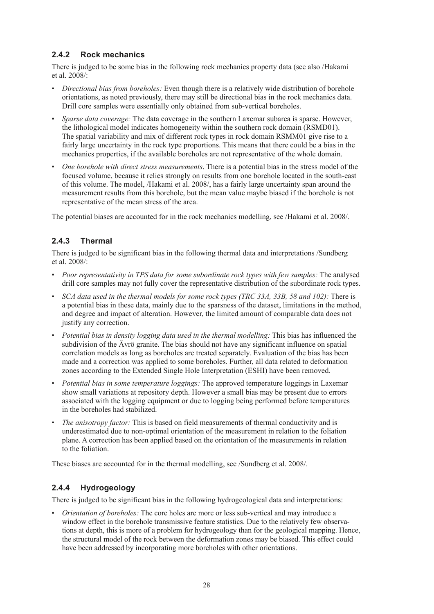#### <span id="page-28-0"></span>**2.4.2 Rock mechanics**

There is judged to be some bias in the following rock mechanics property data (see also /Hakami et al. 2008/:

- *Directional bias from boreholes:* Even though there is a relatively wide distribution of borehole orientations, as noted previously, there may still be directional bias in the rock mechanics data. Drill core samples were essentially only obtained from sub-vertical boreholes.
- *Sparse data coverage:* The data coverage in the southern Laxemar subarea is sparse. However, the lithological model indicates homogeneity within the southern rock domain (RSMD01). The spatial variability and mix of different rock types in rock domain RSMM01 give rise to a fairly large uncertainty in the rock type proportions. This means that there could be a bias in the mechanics properties, if the available boreholes are not representative of the whole domain.
- One borehole with direct stress measurements. There is a potential bias in the stress model of the focused volume, because it relies strongly on results from one borehole located in the south-east of this volume. The model, /Hakami et al. 2008/, has a fairly large uncertainty span around the measurement results from this borehole, but the mean value maybe biased if the borehole is not representative of the mean stress of the area.

The potential biases are accounted for in the rock mechanics modelling, see /Hakami et al. 2008/.

### **2.4.3 Thermal**

There is judged to be significant bias in the following thermal data and interpretations /Sundberg et al. 2008/:

- • *Poor representativity in TPS data for some subordinate rock types with few samples:* The analysed drill core samples may not fully cover the representative distribution of the subordinate rock types.
- • *SCA data used in the thermal models for some rock types (TRC 33A, 33B, 58 and 102):* There is a potential bias in these data, mainly due to the sparsness of the dataset, limitations in the method, and degree and impact of alteration. However, the limited amount of comparable data does not justify any correction.
- • *Potential bias in density logging data used in the thermal modelling:* This bias has influenced the subdivision of the Ävrö granite. The bias should not have any significant influence on spatial correlation models as long as boreholes are treated separately. Evaluation of the bias has been made and a correction was applied to some boreholes. Further, all data related to deformation zones according to the Extended Single Hole Interpretation (ESHI) have been removed.
- • *Potential bias in some temperature loggings:* The approved temperature loggings in Laxemar show small variations at repository depth. However a small bias may be present due to errors associated with the logging equipment or due to logging being performed before temperatures in the boreholes had stabilized.
- *The anisotropy factor:* This is based on field measurements of thermal conductivity and is underestimated due to non-optimal orientation of the measurement in relation to the foliation plane. A correction has been applied based on the orientation of the measurements in relation to the foliation.

These biases are accounted for in the thermal modelling, see /Sundberg et al. 2008/.

#### **2.4.4 Hydrogeology**

There is judged to be significant bias in the following hydrogeological data and interpretations:

*Orientation of boreholes:* The core holes are more or less sub-vertical and may introduce a window effect in the borehole transmissive feature statistics. Due to the relatively few observations at depth, this is more of a problem for hydrogeology than for the geological mapping. Hence, the structural model of the rock between the deformation zones may be biased. This effect could have been addressed by incorporating more boreholes with other orientations.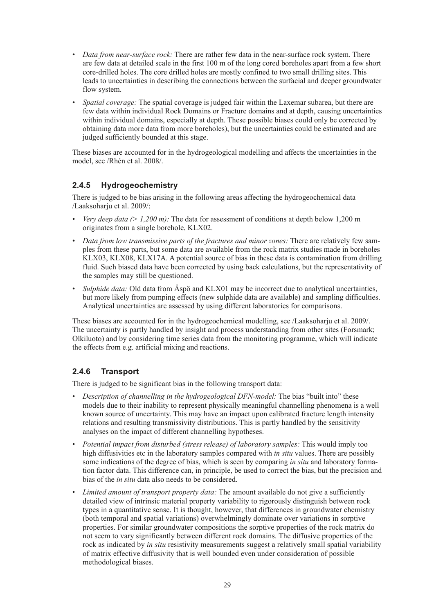- <span id="page-29-0"></span>• *Data from near-surface rock:* There are rather few data in the near-surface rock system. There are few data at detailed scale in the first 100 m of the long cored boreholes apart from a few short core-drilled holes. The core drilled holes are mostly confined to two small drilling sites. This leads to uncertainties in describing the connections between the surfacial and deeper groundwater flow system.
- • *Spatial coverage:* The spatial coverage is judged fair within the Laxemar subarea, but there are few data within individual Rock Domains or Fracture domains and at depth, causing uncertainties within individual domains, especially at depth. These possible biases could only be corrected by obtaining data more data from more boreholes), but the uncertainties could be estimated and are judged sufficiently bounded at this stage.

These biases are accounted for in the hydrogeological modelling and affects the uncertainties in the model, see /Rhén et al. 2008/.

#### **2.4.5 Hydrogeochemistry**

There is judged to be bias arising in the following areas affecting the hydrogeochemical data /Laaksoharju et al. 2009/:

- *Very deep data (> 1,200 m)*: The data for assessment of conditions at depth below 1,200 m originates from a single borehole, KLX02.
- • *Data from low transmissive parts of the fractures and minor zones:* There are relatively few samples from these parts, but some data are available from the rock matrix studies made in boreholes KLX03, KLX08, KLX17A. A potential source of bias in these data is contamination from drilling fluid. Such biased data have been corrected by using back calculations, but the representativity of the samples may still be questioned.
- *Sulphide data:* Old data from Aspo and KLX01 may be incorrect due to analytical uncertainties, but more likely from pumping effects (new sulphide data are available) and sampling difficulties. Analytical uncertainties are assessed by using different laboratories for comparisons.

These biases are accounted for in the hydrogeochemical modelling, see /Laaksoharju et al. 2009/. The uncertainty is partly handled by insight and process understanding from other sites (Forsmark; Olkiluoto) and by considering time series data from the monitoring programme, which will indicate the effects from e.g. artificial mixing and reactions.

#### **2.4.6 Transport**

There is judged to be significant bias in the following transport data:

- *Description of channelling in the hydrogeological DFN-model:* The bias "built into" these models due to their inability to represent physically meaningful channelling phenomena is a well known source of uncertainty. This may have an impact upon calibrated fracture length intensity relations and resulting transmissivity distributions. This is partly handled by the sensitivity analyses on the impact of different channelling hypotheses.
- • *Potential impact from disturbed (stress release) of laboratory samples:* This would imply too high diffusivities etc in the laboratory samples compared with *in situ* values. There are possibly some indications of the degree of bias, which is seen by comparing *in situ* and laboratory formation factor data. This difference can, in principle, be used to correct the bias, but the precision and bias of the *in situ* data also needs to be considered.
- • *Limited amount of transport property data:* The amount available do not give a sufficiently detailed view of intrinsic material property variability to rigorously distinguish between rock types in a quantitative sense. It is thought, however, that differences in groundwater chemistry (both temporal and spatial variations) overwhelmingly dominate over variations in sorptive properties. For similar groundwater compositions the sorptive properties of the rock matrix do not seem to vary significantly between different rock domains. The diffusive properties of the rock as indicated by *in situ* resistivity measurements suggest a relatively small spatial variability of matrix effective diffusivity that is well bounded even under consideration of possible methodological biases.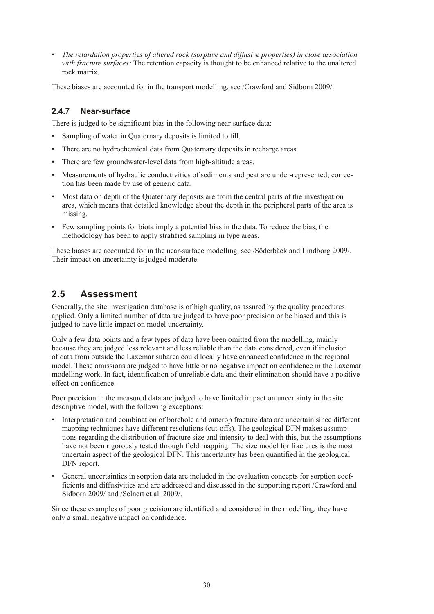<span id="page-30-0"></span>• *The retardation properties of altered rock (sorptive and diffusive properties) in close association with fracture surfaces:* The retention capacity is thought to be enhanced relative to the unaltered rock matrix.

These biases are accounted for in the transport modelling, see /Crawford and Sidborn 2009/.

#### **2.4.7 Near-surface**

There is judged to be significant bias in the following near-surface data:

- Sampling of water in Quaternary deposits is limited to till.
- There are no hydrochemical data from Quaternary deposits in recharge areas.
- There are few groundwater-level data from high-altitude areas.
- Measurements of hydraulic conductivities of sediments and peat are under-represented; correction has been made by use of generic data.
- Most data on depth of the Quaternary deposits are from the central parts of the investigation area, which means that detailed knowledge about the depth in the peripheral parts of the area is missing.
- Few sampling points for biota imply a potential bias in the data. To reduce the bias, the methodology has been to apply stratified sampling in type areas.

These biases are accounted for in the near-surface modelling, see /Söderbäck and Lindborg 2009/. Their impact on uncertainty is judged moderate.

#### **2.5 Assessment**

Generally, the site investigation database is of high quality, as assured by the quality procedures applied. Only a limited number of data are judged to have poor precision or be biased and this is judged to have little impact on model uncertainty.

Only a few data points and a few types of data have been omitted from the modelling, mainly because they are judged less relevant and less reliable than the data considered, even if inclusion of data from outside the Laxemar subarea could locally have enhanced confidence in the regional model. These omissions are judged to have little or no negative impact on confidence in the Laxemar modelling work. In fact, identification of unreliable data and their elimination should have a positive effect on confidence.

Poor precision in the measured data are judged to have limited impact on uncertainty in the site descriptive model, with the following exceptions:

- Interpretation and combination of borehole and outcrop fracture data are uncertain since different mapping techniques have different resolutions (cut-offs). The geological DFN makes assumptions regarding the distribution of fracture size and intensity to deal with this, but the assumptions have not been rigorously tested through field mapping. The size model for fractures is the most uncertain aspect of the geological DFN. This uncertainty has been quantified in the geological DFN report.
- • General uncertainties in sorption data are included in the evaluation concepts for sorption coefficients and diffusivities and are addressed and discussed in the supporting report /Crawford and Sidborn 2009/ and /Selnert et al. 2009/.

Since these examples of poor precision are identified and considered in the modelling, they have only a small negative impact on confidence.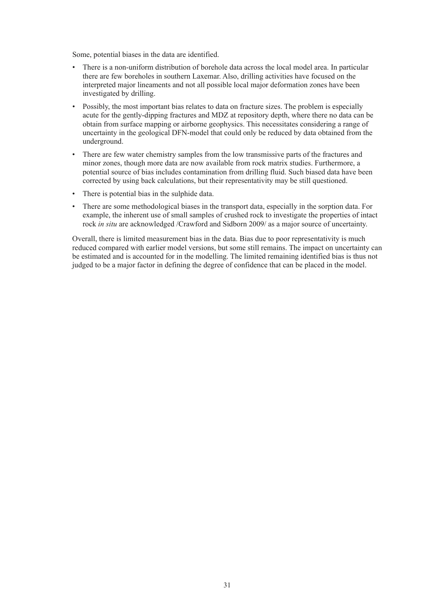Some, potential biases in the data are identified.

- There is a non-uniform distribution of borehole data across the local model area. In particular there are few boreholes in southern Laxemar. Also, drilling activities have focused on the interpreted major lineaments and not all possible local major deformation zones have been investigated by drilling.
- Possibly, the most important bias relates to data on fracture sizes. The problem is especially acute for the gently-dipping fractures and MDZ at repository depth, where there no data can be obtain from surface mapping or airborne geophysics. This necessitates considering a range of uncertainty in the geological DFN-model that could only be reduced by data obtained from the underground.
- There are few water chemistry samples from the low transmissive parts of the fractures and minor zones, though more data are now available from rock matrix studies. Furthermore, a potential source of bias includes contamination from drilling fluid. Such biased data have been corrected by using back calculations, but their representativity may be still questioned.
- • There is potential bias in the sulphide data.
- There are some methodological biases in the transport data, especially in the sorption data. For example, the inherent use of small samples of crushed rock to investigate the properties of intact rock *in situ* are acknowledged /Crawford and Sidborn 2009/ as a major source of uncertainty.

Overall, there is limited measurement bias in the data. Bias due to poor representativity is much reduced compared with earlier model versions, but some still remains. The impact on uncertainty can be estimated and is accounted for in the modelling. The limited remaining identified bias is thus not judged to be a major factor in defining the degree of confidence that can be placed in the model.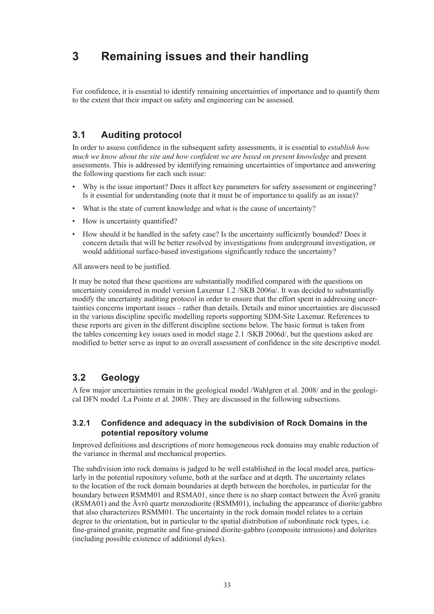# <span id="page-33-0"></span>**3 Remaining issues and their handling**

For confidence, it is essential to identify remaining uncertainties of importance and to quantify them to the extent that their impact on safety and engineering can be assessed.

# **3.1 Auditing protocol**

In order to assess confidence in the subsequent safety assessments, it is essential to *establish how much we know about the site and how confident we are based on present knowledge* and present assessments. This is addressed by identifying remaining uncertainties of importance and answering the following questions for each such issue:

- Why is the issue important? Does it affect key parameters for safety assessment or engineering? Is it essential for understanding (note that it must be of importance to qualify as an issue)?
- What is the state of current knowledge and what is the cause of uncertainty?
- How is uncertainty quantified?
- • How should it be handled in the safety case? Is the uncertainty sufficiently bounded? Does it concern details that will be better resolved by investigations from underground investigation, or would additional surface-based investigations significantly reduce the uncertainty?

All answers need to be justified.

It may be noted that these questions are substantially modified compared with the questions on uncertainty considered in model version Laxemar 1.2 /SKB 2006a/. It was decided to substantially modify the uncertainty auditing protocol in order to ensure that the effort spent in addressing uncertainties concerns important issues – rather than details. Details and minor uncertainties are discussed in the various discipline specific modelling reports supporting SDM-Site Laxemar. References to these reports are given in the different discipline sections below. The basic format is taken from the tables concerning key issues used in model stage 2.1 /SKB 2006d/, but the questions asked are modified to better serve as input to an overall assessment of confidence in the site descriptive model.

### **3.2 Geology**

A few major uncertainties remain in the geological model /Wahlgren et al. 2008/ and in the geological DFN model /La Pointe et al. 2008/. They are discussed in the following subsections.

#### **3.2.1 Confidence and adequacy in the subdivision of Rock Domains in the potential repository volume**

Improved definitions and descriptions of more homogeneous rock domains may enable reduction of the variance in thermal and mechanical properties.

The subdivision into rock domains is judged to be well established in the local model area, particularly in the potential repository volume, both at the surface and at depth. The uncertainty relates to the location of the rock domain boundaries at depth between the boreholes, in particular for the boundary between RSMM01 and RSMA01, since there is no sharp contact between the Ävrö granite (RSMA01) and the Ävrö quartz monzodiorite (RSMM01), including the appearance of diorite/gabbro that also characterizes RSMM01. The uncertainty in the rock domain model relates to a certain degree to the orientation, but in particular to the spatial distribution of subordinate rock types, i.e. fine-grained granite, pegmatite and fine-grained diorite-gabbro (composite intrusions) and dolerites (including possible existence of additional dykes).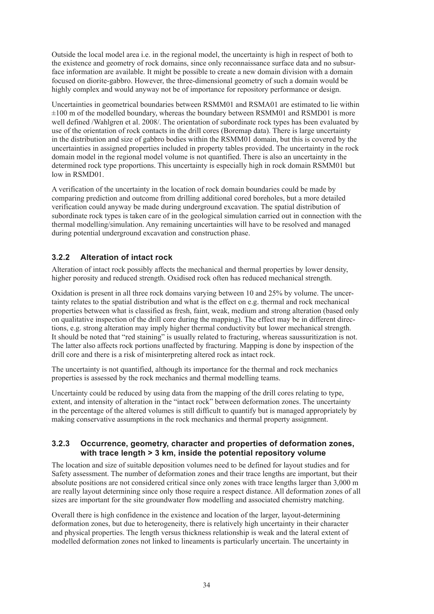<span id="page-34-0"></span>Outside the local model area i.e. in the regional model, the uncertainty is high in respect of both to the existence and geometry of rock domains, since only reconnaissance surface data and no subsurface information are available. It might be possible to create a new domain division with a domain focused on diorite-gabbro. However, the three-dimensional geometry of such a domain would be highly complex and would anyway not be of importance for repository performance or design.

Uncertainties in geometrical boundaries between RSMM01 and RSMA01 are estimated to lie within  $\pm 100$  m of the modelled boundary, whereas the boundary between RSMM01 and RSMD01 is more well defined /Wahlgren et al. 2008/. The orientation of subordinate rock types has been evaluated by use of the orientation of rock contacts in the drill cores (Boremap data). There is large uncertainty in the distribution and size of gabbro bodies within the RSMM01 domain, but this is covered by the uncertainties in assigned properties included in property tables provided. The uncertainty in the rock domain model in the regional model volume is not quantified. There is also an uncertainty in the determined rock type proportions. This uncertainty is especially high in rock domain RSMM01 but low in RSMD01.

A verification of the uncertainty in the location of rock domain boundaries could be made by comparing prediction and outcome from drilling additional cored boreholes, but a more detailed verification could anyway be made during underground excavation. The spatial distribution of subordinate rock types is taken care of in the geological simulation carried out in connection with the thermal modelling/simulation. Any remaining uncertainties will have to be resolved and managed during potential underground excavation and construction phase.

#### **3.2.2 Alteration of intact rock**

Alteration of intact rock possibly affects the mechanical and thermal properties by lower density, higher porosity and reduced strength. Oxidised rock often has reduced mechanical strength.

Oxidation is present in all three rock domains varying between 10 and 25% by volume. The uncertainty relates to the spatial distribution and what is the effect on e.g. thermal and rock mechanical properties between what is classified as fresh, faint, weak, medium and strong alteration (based only on qualitative inspection of the drill core during the mapping). The effect may be in different directions, e.g. strong alteration may imply higher thermal conductivity but lower mechanical strength. It should be noted that "red staining" is usually related to fracturing, whereas saussuritization is not. The latter also affects rock portions unaffected by fracturing. Mapping is done by inspection of the drill core and there is a risk of misinterpreting altered rock as intact rock.

The uncertainty is not quantified, although its importance for the thermal and rock mechanics properties is assessed by the rock mechanics and thermal modelling teams.

Uncertainty could be reduced by using data from the mapping of the drill cores relating to type, extent, and intensity of alteration in the "intact rock" between deformation zones. The uncertainty in the percentage of the altered volumes is still difficult to quantify but is managed appropriately by making conservative assumptions in the rock mechanics and thermal property assignment.

#### **3.2.3 Occurrence, geometry, character and properties of deformation zones, with trace length > 3 km, inside the potential repository volume**

The location and size of suitable deposition volumes need to be defined for layout studies and for Safety assessment. The number of deformation zones and their trace lengths are important, but their absolute positions are not considered critical since only zones with trace lengths larger than 3,000 m are really layout determining since only those require a respect distance. All deformation zones of all sizes are important for the site groundwater flow modelling and associated chemistry matching.

Overall there is high confidence in the existence and location of the larger, layout-determining deformation zones, but due to heterogeneity, there is relatively high uncertainty in their character and physical properties. The length versus thickness relationship is weak and the lateral extent of modelled deformation zones not linked to lineaments is particularly uncertain. The uncertainty in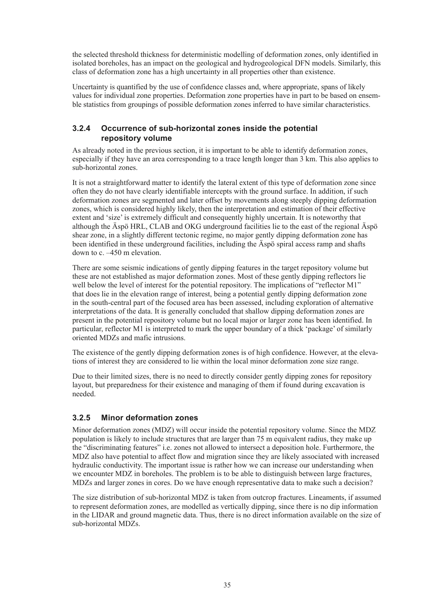<span id="page-35-0"></span>the selected threshold thickness for deterministic modelling of deformation zones, only identified in isolated boreholes, has an impact on the geological and hydrogeological DFN models. Similarly, this class of deformation zone has a high uncertainty in all properties other than existence.

Uncertainty is quantified by the use of confidence classes and, where appropriate, spans of likely values for individual zone properties. Deformation zone properties have in part to be based on ensemble statistics from groupings of possible deformation zones inferred to have similar characteristics.

#### **3.2.4 Occurrence of sub-horizontal zones inside the potential repository volume**

As already noted in the previous section, it is important to be able to identify deformation zones, especially if they have an area corresponding to a trace length longer than 3 km. This also applies to sub-horizontal zones.

It is not a straightforward matter to identify the lateral extent of this type of deformation zone since often they do not have clearly identifiable intercepts with the ground surface. In addition, if such deformation zones are segmented and later offset by movements along steeply dipping deformation zones, which is considered highly likely, then the interpretation and estimation of their effective extent and 'size' is extremely difficult and consequently highly uncertain. It is noteworthy that although the Äspö HRL, CLAB and OKG underground facilities lie to the east of the regional Äspö shear zone, in a slightly different tectonic regime, no major gently dipping deformation zone has been identified in these underground facilities, including the Äspö spiral access ramp and shafts down to c. –450 m elevation.

There are some seismic indications of gently dipping features in the target repository volume but these are not established as major deformation zones. Most of these gently dipping reflectors lie well below the level of interest for the potential repository. The implications of "reflector M1" that does lie in the elevation range of interest, being a potential gently dipping deformation zone in the south-central part of the focused area has been assessed, including exploration of alternative interpretations of the data. It is generally concluded that shallow dipping deformation zones are present in the potential repository volume but no local major or larger zone has been identified. In particular, reflector M1 is interpreted to mark the upper boundary of a thick 'package' of similarly oriented MDZs and mafic intrusions.

The existence of the gently dipping deformation zones is of high confidence. However, at the elevations of interest they are considered to lie within the local minor deformation zone size range.

Due to their limited sizes, there is no need to directly consider gently dipping zones for repository layout, but preparedness for their existence and managing of them if found during excavation is needed.

#### **3.2.5 Minor deformation zones**

Minor deformation zones (MDZ) will occur inside the potential repository volume. Since the MDZ population is likely to include structures that are larger than 75 m equivalent radius, they make up the "discriminating features" i.e. zones not allowed to intersect a deposition hole. Furthermore, the MDZ also have potential to affect flow and migration since they are likely associated with increased hydraulic conductivity. The important issue is rather how we can increase our understanding when we encounter MDZ in boreholes. The problem is to be able to distinguish between large fractures, MDZs and larger zones in cores. Do we have enough representative data to make such a decision?

The size distribution of sub-horizontal MDZ is taken from outcrop fractures. Lineaments, if assumed to represent deformation zones, are modelled as vertically dipping, since there is no dip information in the LIDAR and ground magnetic data. Thus, there is no direct information available on the size of sub-horizontal MDZs.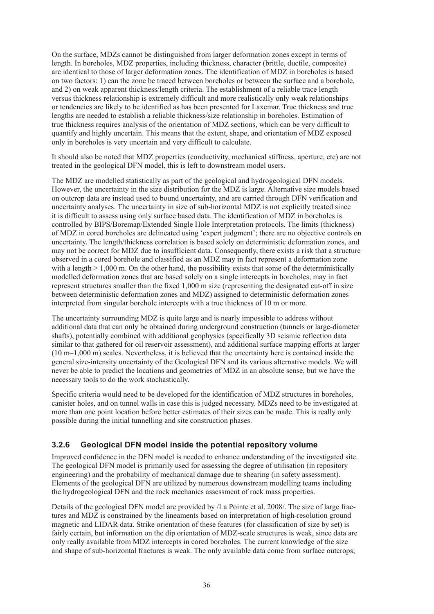On the surface, MDZs cannot be distinguished from larger deformation zones except in terms of length. In boreholes, MDZ properties, including thickness, character (brittle, ductile, composite) are identical to those of larger deformation zones. The identification of MDZ in boreholes is based on two factors: 1) can the zone be traced between boreholes or between the surface and a borehole, and 2) on weak apparent thickness/length criteria. The establishment of a reliable trace length versus thickness relationship is extremely difficult and more realistically only weak relationships or tendencies are likely to be identified as has been presented for Laxemar. True thickness and true lengths are needed to establish a reliable thickness/size relationship in boreholes. Estimation of true thickness requires analysis of the orientation of MDZ sections, which can be very difficult to quantify and highly uncertain. This means that the extent, shape, and orientation of MDZ exposed only in boreholes is very uncertain and very difficult to calculate.

It should also be noted that MDZ properties (conductivity, mechanical stiffness, aperture, etc) are not treated in the geological DFN model, this is left to downstream model users.

The MDZ are modelled statistically as part of the geological and hydrogeological DFN models. However, the uncertainty in the size distribution for the MDZ is large. Alternative size models based on outcrop data are instead used to bound uncertainty, and are carried through DFN verification and uncertainty analyses. The uncertainty in size of sub-horizontal MDZ is not explicitly treated since it is difficult to assess using only surface based data. The identification of MDZ in boreholes is controlled by BIPS/Boremap/Extended Single Hole Interpretation protocols. The limits (thickness) of MDZ in cored boreholes are delineated using 'expert judgment'; there are no objective controls on uncertainty. The length/thickness correlation is based solely on deterministic deformation zones, and may not be correct for MDZ due to insufficient data. Consequently, there exists a risk that a structure observed in a cored borehole and classified as an MDZ may in fact represent a deformation zone with a length  $> 1.000$  m. On the other hand, the possibility exists that some of the deterministically modelled deformation zones that are based solely on a single intercepts in boreholes, may in fact represent structures smaller than the fixed 1,000 m size (representing the designated cut-off in size between deterministic deformation zones and MDZ) assigned to deterministic deformation zones interpreted from singular borehole intercepts with a true thickness of 10 m or more.

The uncertainty surrounding MDZ is quite large and is nearly impossible to address without additional data that can only be obtained during underground construction (tunnels or large-diameter shafts), potentially combined with additional geophysics (specifically 3D seismic reflection data similar to that gathered for oil reservoir assessment), and additional surface mapping efforts at larger (10 m–1,000 m) scales. Nevertheless, it is believed that the uncertainty here is contained inside the general size-intensity uncertainty of the Geological DFN and its various alternative models. We will never be able to predict the locations and geometries of MDZ in an absolute sense, but we have the necessary tools to do the work stochastically.

Specific criteria would need to be developed for the identification of MDZ structures in boreholes, canister holes, and on tunnel walls in case this is judged necessary. MDZs need to be investigated at more than one point location before better estimates of their sizes can be made. This is really only possible during the initial tunnelling and site construction phases.

### **3.2.6 Geological DFN model inside the potential repository volume**

Improved confidence in the DFN model is needed to enhance understanding of the investigated site. The geological DFN model is primarily used for assessing the degree of utilisation (in repository engineering) and the probability of mechanical damage due to shearing (in safety assessment). Elements of the geological DFN are utilized by numerous downstream modelling teams including the hydrogeological DFN and the rock mechanics assessment of rock mass properties.

Details of the geological DFN model are provided by /La Pointe et al. 2008/. The size of large fractures and MDZ is constrained by the lineaments based on interpretation of high-resolution ground magnetic and LIDAR data. Strike orientation of these features (for classification of size by set) is fairly certain, but information on the dip orientation of MDZ-scale structures is weak, since data are only really available from MDZ intercepts in cored boreholes. The current knowledge of the size and shape of sub-horizontal fractures is weak. The only available data come from surface outcrops;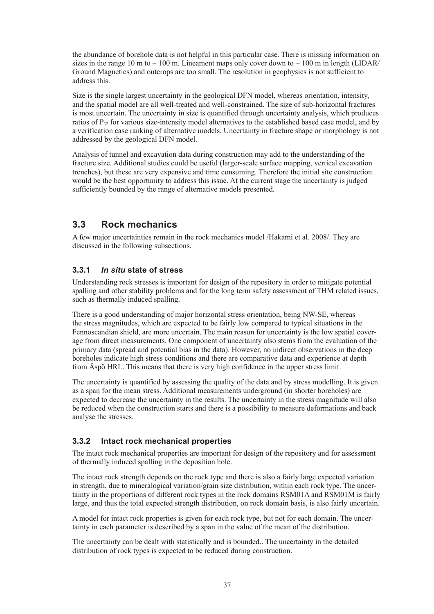the abundance of borehole data is not helpful in this particular case. There is missing information on sizes in the range 10 m to  $\sim$  100 m. Lineament maps only cover down to  $\sim$  100 m in length (LIDAR/ Ground Magnetics) and outcrops are too small. The resolution in geophysics is not sufficient to address this.

Size is the single largest uncertainty in the geological DFN model, whereas orientation, intensity, and the spatial model are all well-treated and well-constrained. The size of sub-horizontal fractures is most uncertain. The uncertainty in size is quantified through uncertainty analysis, which produces ratios of P<sub>32</sub> for various size-intensity model alternatives to the established based case model, and by a verification case ranking of alternative models. Uncertainty in fracture shape or morphology is not addressed by the geological DFN model.

Analysis of tunnel and excavation data during construction may add to the understanding of the fracture size. Additional studies could be useful (larger-scale surface mapping, vertical excavation trenches), but these are very expensive and time consuming. Therefore the initial site construction would be the best opportunity to address this issue. At the current stage the uncertainty is judged sufficiently bounded by the range of alternative models presented.

# **3.3 Rock mechanics**

A few major uncertainties remain in the rock mechanics model /Hakami et al. 2008/. They are discussed in the following subsections.

### **3.3.1** *In situ* **state of stress**

Understanding rock stresses is important for design of the repository in order to mitigate potential spalling and other stability problems and for the long term safety assessment of THM related issues, such as thermally induced spalling.

There is a good understanding of major horizontal stress orientation, being NW-SE, whereas the stress magnitudes, which are expected to be fairly low compared to typical situations in the Fennoscandian shield, are more uncertain. The main reason for uncertainty is the low spatial coverage from direct measurements. One component of uncertainty also stems from the evaluation of the primary data (spread and potential bias in the data). However, no indirect observations in the deep boreholes indicate high stress conditions and there are comparative data and experience at depth from Äspö HRL. This means that there is very high confidence in the upper stress limit.

The uncertainty is quantified by assessing the quality of the data and by stress modelling. It is given as a span for the mean stress. Additional measurements underground (in shorter boreholes) are expected to decrease the uncertainty in the results. The uncertainty in the stress magnitude will also be reduced when the construction starts and there is a possibility to measure deformations and back analyse the stresses.

### **3.3.2 Intact rock mechanical properties**

The intact rock mechanical properties are important for design of the repository and for assessment of thermally induced spalling in the deposition hole.

The intact rock strength depends on the rock type and there is also a fairly large expected variation in strength, due to mineralogical variation/grain size distribution, within each rock type. The uncertainty in the proportions of different rock types in the rock domains RSM01A and RSM01M is fairly large, and thus the total expected strength distribution, on rock domain basis, is also fairly uncertain.

A model for intact rock properties is given for each rock type, but not for each domain. The uncertainty in each parameter is described by a span in the value of the mean of the distribution.

The uncertainty can be dealt with statistically and is bounded.. The uncertainty in the detailed distribution of rock types is expected to be reduced during construction.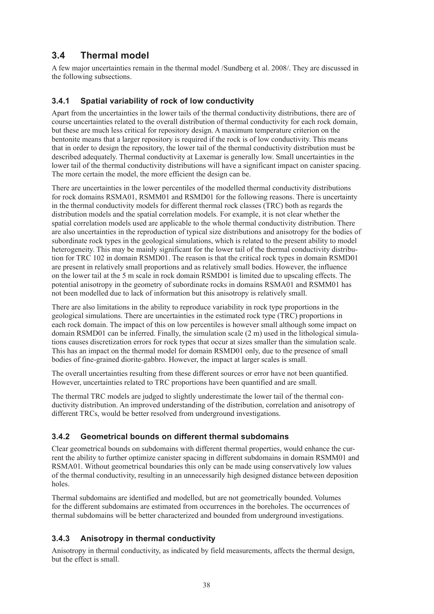# **3.4 Thermal model**

A few major uncertainties remain in the thermal model /Sundberg et al. 2008/. They are discussed in the following subsections.

# **3.4.1 Spatial variability of rock of low conductivity**

Apart from the uncertainties in the lower tails of the thermal conductivity distributions, there are of course uncertainties related to the overall distribution of thermal conductivity for each rock domain, but these are much less critical for repository design. A maximum temperature criterion on the bentonite means that a larger repository is required if the rock is of low conductivity. This means that in order to design the repository, the lower tail of the thermal conductivity distribution must be described adequately. Thermal conductivity at Laxemar is generally low. Small uncertainties in the lower tail of the thermal conductivity distributions will have a significant impact on canister spacing. The more certain the model, the more efficient the design can be.

There are uncertainties in the lower percentiles of the modelled thermal conductivity distributions for rock domains RSMA01, RSMM01 and RSMD01 for the following reasons. There is uncertainty in the thermal conductivity models for different thermal rock classes (TRC) both as regards the distribution models and the spatial correlation models. For example, it is not clear whether the spatial correlation models used are applicable to the whole thermal conductivity distribution. There are also uncertainties in the reproduction of typical size distributions and anisotropy for the bodies of subordinate rock types in the geological simulations, which is related to the present ability to model heterogeneity. This may be mainly significant for the lower tail of the thermal conductivity distribution for TRC 102 in domain RSMD01. The reason is that the critical rock types in domain RSMD01 are present in relatively small proportions and as relatively small bodies. However, the influence on the lower tail at the 5 m scale in rock domain RSMD01 is limited due to upscaling effects. The potential anisotropy in the geometry of subordinate rocks in domains RSMA01 and RSMM01 has not been modelled due to lack of information but this anisotropy is relatively small.

There are also limitations in the ability to reproduce variability in rock type proportions in the geological simulations. There are uncertainties in the estimated rock type (TRC) proportions in each rock domain. The impact of this on low percentiles is however small although some impact on domain RSMD01 can be inferred. Finally, the simulation scale  $(2 \text{ m})$  used in the lithological simulations causes discretization errors for rock types that occur at sizes smaller than the simulation scale. This has an impact on the thermal model for domain RSMD01 only, due to the presence of small bodies of fine-grained diorite-gabbro. However, the impact at larger scales is small.

The overall uncertainties resulting from these different sources or error have not been quantified. However, uncertainties related to TRC proportions have been quantified and are small.

The thermal TRC models are judged to slightly underestimate the lower tail of the thermal conductivity distribution. An improved understanding of the distribution, correlation and anisotropy of different TRCs, would be better resolved from underground investigations.

# **3.4.2 Geometrical bounds on different thermal subdomains**

Clear geometrical bounds on subdomains with different thermal properties, would enhance the current the ability to further optimize canister spacing in different subdomains in domain RSMM01 and RSMA01. Without geometrical boundaries this only can be made using conservatively low values of the thermal conductivity, resulting in an unnecessarily high designed distance between deposition holes.

Thermal subdomains are identified and modelled, but are not geometrically bounded. Volumes for the different subdomains are estimated from occurrences in the boreholes. The occurrences of thermal subdomains will be better characterized and bounded from underground investigations.

# **3.4.3 Anisotropy in thermal conductivity**

Anisotropy in thermal conductivity, as indicated by field measurements, affects the thermal design, but the effect is small.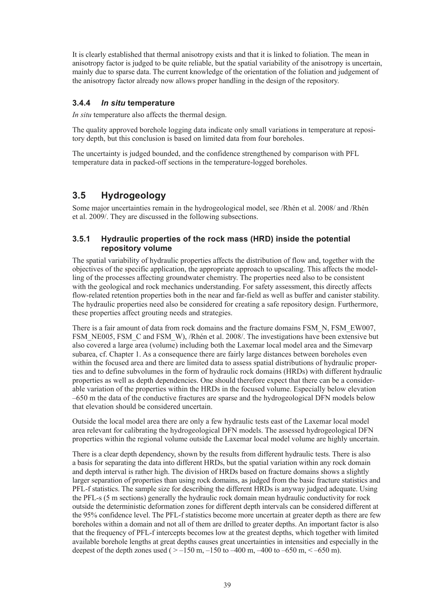It is clearly established that thermal anisotropy exists and that it is linked to foliation. The mean in anisotropy factor is judged to be quite reliable, but the spatial variability of the anisotropy is uncertain, mainly due to sparse data. The current knowledge of the orientation of the foliation and judgement of the anisotropy factor already now allows proper handling in the design of the repository.

### **3.4.4** *In situ* **temperature**

*In situ* temperature also affects the thermal design.

The quality approved borehole logging data indicate only small variations in temperature at repository depth, but this conclusion is based on limited data from four boreholes.

The uncertainty is judged bounded, and the confidence strengthened by comparison with PFL temperature data in packed-off sections in the temperature-logged boreholes.

# **3.5 Hydrogeology**

Some major uncertainties remain in the hydrogeological model, see /Rhén et al. 2008/ and /Rhén et al. 2009/. They are discussed in the following subsections.

### **3.5.1 Hydraulic properties of the rock mass (HRD) inside the potential repository volume**

The spatial variability of hydraulic properties affects the distribution of flow and, together with the objectives of the specific application, the appropriate approach to upscaling. This affects the modelling of the processes affecting groundwater chemistry. The properties need also to be consistent with the geological and rock mechanics understanding. For safety assessment, this directly affects flow-related retention properties both in the near and far-field as well as buffer and canister stability. The hydraulic properties need also be considered for creating a safe repository design. Furthermore, these properties affect grouting needs and strategies.

There is a fair amount of data from rock domains and the fracture domains FSM\_N, FSM\_EW007, FSM\_NE005, FSM\_C and FSM\_W), /Rhén et al. 2008/. The investigations have been extensive but also covered a large area (volume) including both the Laxemar local model area and the Simevarp subarea, cf. Chapter 1. As a consequence there are fairly large distances between boreholes even within the focused area and there are limited data to assess spatial distributions of hydraulic properties and to define subvolumes in the form of hydraulic rock domains (HRDs) with different hydraulic properties as well as depth dependencies. One should therefore expect that there can be a considerable variation of the properties within the HRDs in the focused volume. Especially below elevation –650 m the data of the conductive fractures are sparse and the hydrogeological DFN models below that elevation should be considered uncertain.

Outside the local model area there are only a few hydraulic tests east of the Laxemar local model area relevant for calibrating the hydrogeological DFN models. The assessed hydrogeological DFN properties within the regional volume outside the Laxemar local model volume are highly uncertain.

There is a clear depth dependency, shown by the results from different hydraulic tests. There is also a basis for separating the data into different HRDs, but the spatial variation within any rock domain and depth interval is rather high. The division of HRDs based on fracture domains shows a slightly larger separation of properties than using rock domains, as judged from the basic fracture statistics and PFL-f statistics. The sample size for describing the different HRDs is anyway judged adequate. Using the PFL-s (5 m sections) generally the hydraulic rock domain mean hydraulic conductivity for rock outside the deterministic deformation zones for different depth intervals can be considered different at the 95% confidence level. The PFL-f statistics become more uncertain at greater depth as there are few boreholes within a domain and not all of them are drilled to greater depths. An important factor is also that the frequency of PFL-f intercepts becomes low at the greatest depths, which together with limited available borehole lengths at great depths causes great uncertainties in intensities and especially in the deepest of the depth zones used (  $> -150$  m,  $-150$  to  $-400$  m,  $-400$  to  $-650$  m,  $<-650$  m).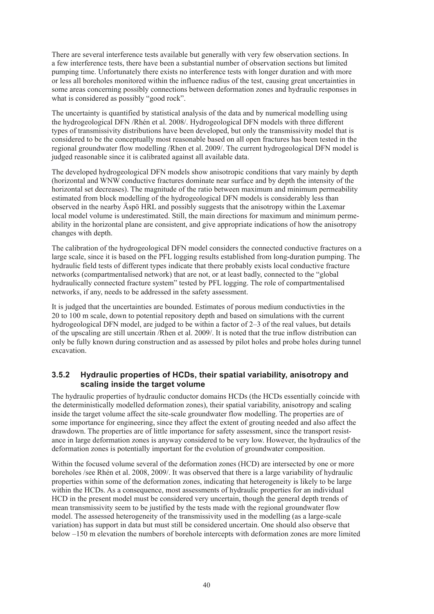There are several interference tests available but generally with very few observation sections. In a few interference tests, there have been a substantial number of observation sections but limited pumping time. Unfortunately there exists no interference tests with longer duration and with more or less all boreholes monitored within the influence radius of the test, causing great uncertainties in some areas concerning possibly connections between deformation zones and hydraulic responses in what is considered as possibly "good rock".

The uncertainty is quantified by statistical analysis of the data and by numerical modelling using the hydrogeological DFN /Rhén et al. 2008/. Hydrogeological DFN models with three different types of transmissivity distributions have been developed, but only the transmissivity model that is considered to be the conceptually most reasonable based on all open fractures has been tested in the regional groundwater flow modelling /Rhen et al. 2009/. The current hydrogeological DFN model is judged reasonable since it is calibrated against all available data.

The developed hydrogeological DFN models show anisotropic conditions that vary mainly by depth (horizontal and WNW conductive fractures dominate near surface and by depth the intensity of the horizontal set decreases). The magnitude of the ratio between maximum and minimum permeability estimated from block modelling of the hydrogeological DFN models is considerably less than observed in the nearby Äspö HRL and possibly suggests that the anisotropy within the Laxemar local model volume is underestimated. Still, the main directions for maximum and minimum permeability in the horizontal plane are consistent, and give appropriate indications of how the anisotropy changes with depth.

The calibration of the hydrogeological DFN model considers the connected conductive fractures on a large scale, since it is based on the PFL logging results established from long-duration pumping. The hydraulic field tests of different types indicate that there probably exists local conductive fracture networks (compartmentalised network) that are not, or at least badly, connected to the "global hydraulically connected fracture system" tested by PFL logging. The role of compartmentalised networks, if any, needs to be addressed in the safety assessment.

It is judged that the uncertainties are bounded. Estimates of porous medium conductivties in the 20 to 100 m scale, down to potential repository depth and based on simulations with the current hydrogeological DFN model, are judged to be within a factor of 2–3 of the real values, but details of the upscaling are still uncertain /Rhen et al. 2009/. It is noted that the true inflow distribution can only be fully known during construction and as assessed by pilot holes and probe holes during tunnel excavation.

#### **3.5.2 Hydraulic properties of HCDs, their spatial variability, anisotropy and scaling inside the target volume**

The hydraulic properties of hydraulic conductor domains HCDs (the HCDs essentially coincide with the deterministically modelled deformation zones), their spatial variability, anisotropy and scaling inside the target volume affect the site-scale groundwater flow modelling. The properties are of some importance for engineering, since they affect the extent of grouting needed and also affect the drawdown. The properties are of little importance for safety assessment, since the transport resistance in large deformation zones is anyway considered to be very low. However, the hydraulics of the deformation zones is potentially important for the evolution of groundwater composition.

Within the focused volume several of the deformation zones (HCD) are intersected by one or more boreholes /see Rhén et al. 2008, 2009/. It was observed that there is a large variability of hydraulic properties within some of the deformation zones, indicating that heterogeneity is likely to be large within the HCDs. As a consequence, most assessments of hydraulic properties for an individual HCD in the present model must be considered very uncertain, though the general depth trends of mean transmissivity seem to be justified by the tests made with the regional groundwater flow model. The assessed heterogeneity of the transmissivity used in the modelling (as a large-scale variation) has support in data but must still be considered uncertain. One should also observe that below –150 m elevation the numbers of borehole intercepts with deformation zones are more limited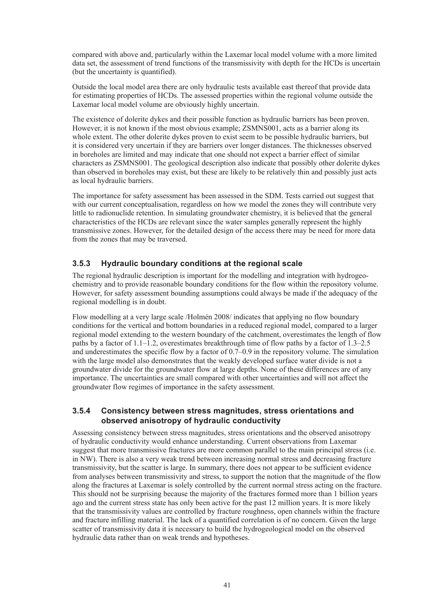compared with above and, particularly within the Laxemar local model volume with a more limited data set, the assessment of trend functions of the transmissivity with depth for the HCDs is uncertain (but the uncertainty is quantified).

Outside the local model area there are only hydraulic tests available east thereof that provide data for estimating properties of HCDs. The assessed properties within the regional volume outside the Laxemar local model volume are obviously highly uncertain.

The existence of dolerite dykes and their possible function as hydraulic barriers has been proven. However, it is not known if the most obvious example; ZSMNS001, acts as a barrier along its whole extent. The other dolerite dykes proven to exist seem to be possible hydraulic barriers, but it is considered very uncertain if they are barriers over longer distances. The thicknesses observed in boreholes are limited and may indicate that one should not expect a barrier effect of similar characters as ZSMNS001. The geological description also indicate that possibly other dolerite dykes than observed in boreholes may exist, but these are likely to be relatively thin and possibly just acts as local hydraulic barriers.

The importance for safety assessment has been assessed in the SDM. Tests carried out suggest that with our current conceptualisation, regardless on how we model the zones they will contribute very little to radionuclide retention. In simulating groundwater chemistry, it is believed that the general characteristics of the HCDs are relevant since the water samples generally represent the highly transmissive zones. However, for the detailed design of the access there may be need for more data from the zones that may be traversed.

### **3.5.3 Hydraulic boundary conditions at the regional scale**

The regional hydraulic description is important for the modelling and integration with hydrogeochemistry and to provide reasonable boundary conditions for the flow within the repository volume. However, for safety assessment bounding assumptions could always be made if the adequacy of the regional modelling is in doubt.

Flow modelling at a very large scale /Holmén 2008/ indicates that applying no flow boundary conditions for the vertical and bottom boundaries in a reduced regional model, compared to a larger regional model extending to the western boundary of the catchment, overestimates the length of flow paths by a factor of 1.1–1.2, overestimates breakthrough time of flow paths by a factor of 1.3–2.5 and underestimates the specific flow by a factor of 0.7–0.9 in the repository volume. The simulation with the large model also demonstrates that the weakly developed surface water divide is not a groundwater divide for the groundwater flow at large depths. None of these differences are of any importance. The uncertainties are small compared with other uncertainties and will not affect the groundwater flow regimes of importance in the safety assessment.

#### **3.5.4 Consistency between stress magnitudes, stress orientations and observed anisotropy of hydraulic conductivity**

Assessing consistency between stress magnitudes, stress orientations and the observed anisotropy of hydraulic conductivity would enhance understanding. Current observations from Laxemar suggest that more transmissive fractures are more common parallel to the main principal stress (i.e. in NW). There is also a very weak trend between increasing normal stress and decreasing fracture transmissivity, but the scatter is large. In summary, there does not appear to be sufficient evidence from analyses between transmissivity and stress, to support the notion that the magnitude of the flow along the fractures at Laxemar is solely controlled by the current normal stress acting on the fracture. This should not be surprising because the majority of the fractures formed more than 1 billion years ago and the current stress state has only been active for the past 12 million years. It is more likely that the transmissivity values are controlled by fracture roughness, open channels within the fracture and fracture infilling material. The lack of a quantified correlation is of no concern. Given the large scatter of transmissivity data it is necessary to build the hydrogeological model on the observed hydraulic data rather than on weak trends and hypotheses.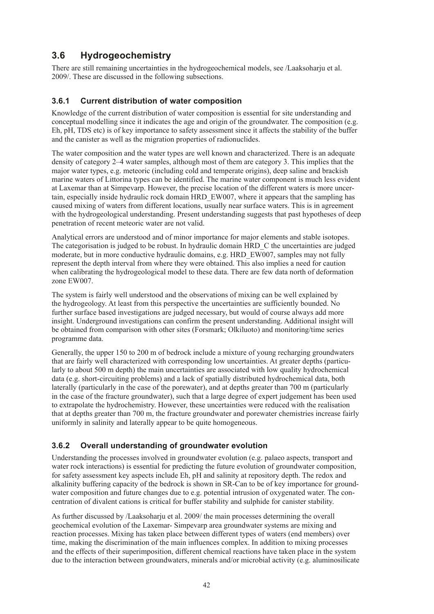# **3.6 Hydrogeochemistry**

There are still remaining uncertainties in the hydrogeochemical models, see /Laaksoharju et al. 2009/. These are discussed in the following subsections.

# **3.6.1 Current distribution of water composition**

Knowledge of the current distribution of water composition is essential for site understanding and conceptual modelling since it indicates the age and origin of the groundwater. The composition (e.g. Eh, pH, TDS etc) is of key importance to safety assessment since it affects the stability of the buffer and the canister as well as the migration properties of radionuclides.

The water composition and the water types are well known and characterized. There is an adequate density of category 2–4 water samples, although most of them are category 3. This implies that the major water types, e.g. meteoric (including cold and temperate origins), deep saline and brackish marine waters of Littorina types can be identified. The marine water component is much less evident at Laxemar than at Simpevarp. However, the precise location of the different waters is more uncertain, especially inside hydraulic rock domain HRD\_EW007, where it appears that the sampling has caused mixing of waters from different locations, usually near surface waters. This is in agreement with the hydrogeological understanding. Present understanding suggests that past hypotheses of deep penetration of recent meteoric water are not valid.

Analytical errors are understood and of minor importance for major elements and stable isotopes. The categorisation is judged to be robust. In hydraulic domain HRD\_C the uncertainties are judged moderate, but in more conductive hydraulic domains, e.g. HRD\_EW007, samples may not fully represent the depth interval from where they were obtained. This also implies a need for caution when calibrating the hydrogeological model to these data. There are few data north of deformation zone EW007.

The system is fairly well understood and the observations of mixing can be well explained by the hydrogeology. At least from this perspective the uncertainties are sufficiently bounded. No further surface based investigations are judged necessary, but would of course always add more insight. Underground investigations can confirm the present understanding. Additional insight will be obtained from comparison with other sites (Forsmark; Olkiluoto) and monitoring/time series programme data.

Generally, the upper 150 to 200 m of bedrock include a mixture of young recharging groundwaters that are fairly well characterized with corresponding low uncertainties. At greater depths (particularly to about 500 m depth) the main uncertainties are associated with low quality hydrochemical data (e.g. short-circuiting problems) and a lack of spatially distributed hydrochemical data, both laterally (particularly in the case of the porewater), and at depths greater than 700 m (particularly in the case of the fracture groundwater), such that a large degree of expert judgement has been used to extrapolate the hydrochemistry. However, these uncertainties were reduced with the realisation that at depths greater than 700 m, the fracture groundwater and porewater chemistries increase fairly uniformly in salinity and laterally appear to be quite homogeneous.

# **3.6.2 Overall understanding of groundwater evolution**

Understanding the processes involved in groundwater evolution (e.g. palaeo aspects, transport and water rock interactions) is essential for predicting the future evolution of groundwater composition, for safety assessment key aspects include Eh, pH and salinity at repository depth. The redox and alkalinity buffering capacity of the bedrock is shown in SR-Can to be of key importance for groundwater composition and future changes due to e.g. potential intrusion of oxygenated water. The concentration of divalent cations is critical for buffer stability and sulphide for canister stability.

As further discussed by /Laaksoharju et al. 2009/ the main processes determining the overall geochemical evolution of the Laxemar- Simpevarp area groundwater systems are mixing and reaction processes. Mixing has taken place between different types of waters (end members) over time, making the discrimination of the main influences complex. In addition to mixing processes and the effects of their superimposition, different chemical reactions have taken place in the system due to the interaction between groundwaters, minerals and/or microbial activity (e.g. aluminosilicate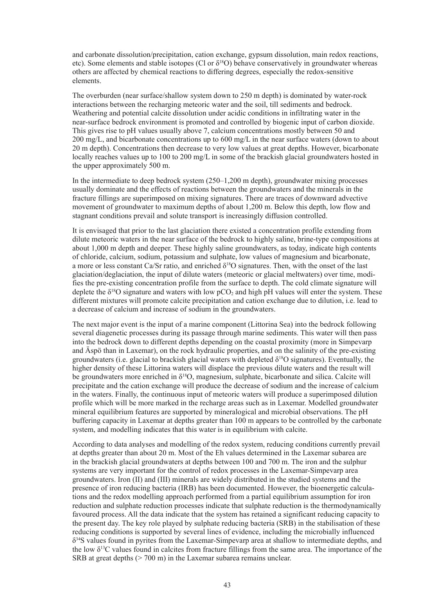and carbonate dissolution/precipitation, cation exchange, gypsum dissolution, main redox reactions, etc). Some elements and stable isotopes (Cl or  $\delta^{18}O$ ) behave conservatively in groundwater whereas others are affected by chemical reactions to differing degrees, especially the redox-sensitive elements.

The overburden (near surface/shallow system down to 250 m depth) is dominated by water-rock interactions between the recharging meteoric water and the soil, till sediments and bedrock. Weathering and potential calcite dissolution under acidic conditions in infiltrating water in the near-surface bedrock environment is promoted and controlled by biogenic input of carbon dioxide. This gives rise to pH values usually above 7, calcium concentrations mostly between 50 and 200 mg/L, and bicarbonate concentrations up to 600 mg/L in the near surface waters (down to about 20 m depth). Concentrations then decrease to very low values at great depths. However, bicarbonate locally reaches values up to 100 to 200 mg/L in some of the brackish glacial groundwaters hosted in the upper approximately 500 m.

In the intermediate to deep bedrock system (250–1,200 m depth), groundwater mixing processes usually dominate and the effects of reactions between the groundwaters and the minerals in the fracture fillings are superimposed on mixing signatures. There are traces of downward advective movement of groundwater to maximum depths of about 1,200 m. Below this depth, low flow and stagnant conditions prevail and solute transport is increasingly diffusion controlled.

It is envisaged that prior to the last glaciation there existed a concentration profile extending from dilute meteoric waters in the near surface of the bedrock to highly saline, brine-type compositions at about 1,000 m depth and deeper. These highly saline groundwaters, as today, indicate high contents of chloride, calcium, sodium, potassium and sulphate, low values of magnesium and bicarbonate, a more or less constant Ca/Sr ratio, and enriched  $\delta^{18}O$  signatures. Then, with the onset of the last glaciation/deglaciation, the input of dilute waters (meteoric or glacial meltwaters) over time, modifies the pre-existing concentration profile from the surface to depth. The cold climate signature will deplete the  $\delta^{18}O$  signature and waters with low pCO<sub>2</sub> and high pH values will enter the system. These different mixtures will promote calcite precipitation and cation exchange due to dilution, i.e. lead to a decrease of calcium and increase of sodium in the groundwaters.

The next major event is the input of a marine component (Littorina Sea) into the bedrock following several diagenetic processes during its passage through marine sediments. This water will then pass into the bedrock down to different depths depending on the coastal proximity (more in Simpevarp and Äspö than in Laxemar), on the rock hydraulic properties, and on the salinity of the pre-existing groundwaters (i.e. glacial to brackish glacial waters with depleted  $\delta^{18}O$  signatures). Eventually, the higher density of these Littorina waters will displace the previous dilute waters and the result will be groundwaters more enriched in  $\delta^{18}O$ , magnesium, sulphate, bicarbonate and silica. Calcite will precipitate and the cation exchange will produce the decrease of sodium and the increase of calcium in the waters. Finally, the continuous input of meteoric waters will produce a superimposed dilution profile which will be more marked in the recharge areas such as in Laxemar. Modelled groundwater mineral equilibrium features are supported by mineralogical and microbial observations. The pH buffering capacity in Laxemar at depths greater than 100 m appears to be controlled by the carbonate system, and modelling indicates that this water is in equilibrium with calcite.

According to data analyses and modelling of the redox system, reducing conditions currently prevail at depths greater than about 20 m. Most of the Eh values determined in the Laxemar subarea are in the brackish glacial groundwaters at depths between 100 and 700 m. The iron and the sulphur systems are very important for the control of redox processes in the Laxemar-Simpevarp area groundwaters. Iron (II) and (III) minerals are widely distributed in the studied systems and the presence of iron reducing bacteria (IRB) has been documented. However, the bioenergetic calculations and the redox modelling approach performed from a partial equilibrium assumption for iron reduction and sulphate reduction processes indicate that sulphate reduction is the thermodynamically favoured process. All the data indicate that the system has retained a significant reducing capacity to the present day. The key role played by sulphate reducing bacteria (SRB) in the stabilisation of these reducing conditions is supported by several lines of evidence, including the microbially influenced  $\delta^{34}$ S values found in pyrites from the Laxemar-Simpevarp area at shallow to intermediate depths, and the low  $\delta^{13}$ C values found in calcites from fracture fillings from the same area. The importance of the SRB at great depths  $(> 700 \text{ m})$  in the Laxemar subarea remains unclear.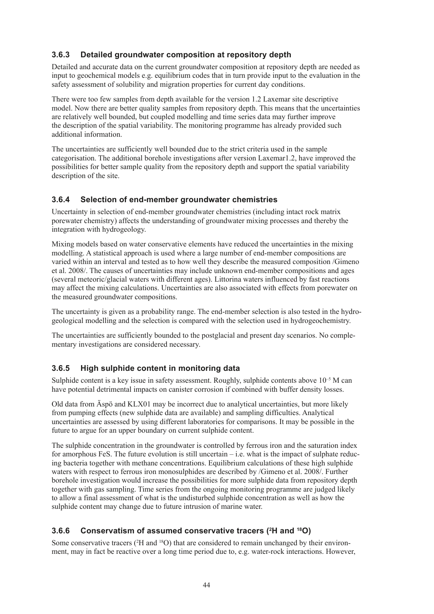### **3.6.3 Detailed groundwater composition at repository depth**

Detailed and accurate data on the current groundwater composition at repository depth are needed as input to geochemical models e.g. equilibrium codes that in turn provide input to the evaluation in the safety assessment of solubility and migration properties for current day conditions.

There were too few samples from depth available for the version 1.2 Laxemar site descriptive model. Now there are better quality samples from repository depth. This means that the uncertainties are relatively well bounded, but coupled modelling and time series data may further improve the description of the spatial variability. The monitoring programme has already provided such additional information.

The uncertainties are sufficiently well bounded due to the strict criteria used in the sample categorisation. The additional borehole investigations after version Laxemar1.2, have improved the possibilities for better sample quality from the repository depth and support the spatial variability description of the site.

### **3.6.4 Selection of end-member groundwater chemistries**

Uncertainty in selection of end-member groundwater chemistries (including intact rock matrix porewater chemistry) affects the understanding of groundwater mixing processes and thereby the integration with hydrogeology.

Mixing models based on water conservative elements have reduced the uncertainties in the mixing modelling. A statistical approach is used where a large number of end-member compositions are varied within an interval and tested as to how well they describe the measured composition /Gimeno et al. 2008/. The causes of uncertainties may include unknown end-member compositions and ages (several meteoric/glacial waters with different ages). Littorina waters influenced by fast reactions may affect the mixing calculations. Uncertainties are also associated with effects from porewater on the measured groundwater compositions.

The uncertainty is given as a probability range. The end-member selection is also tested in the hydrogeological modelling and the selection is compared with the selection used in hydrogeochemistry.

The uncertainties are sufficiently bounded to the postglacial and present day scenarios. No complementary investigations are considered necessary.

### **3.6.5 High sulphide content in monitoring data**

Sulphide content is a key issue in safety assessment. Roughly, sulphide contents above  $10^{-5}$  M can have potential detrimental impacts on canister corrosion if combined with buffer density losses.

Old data from Äspö and KLX01 may be incorrect due to analytical uncertainties, but more likely from pumping effects (new sulphide data are available) and sampling difficulties. Analytical uncertainties are assessed by using different laboratories for comparisons. It may be possible in the future to argue for an upper boundary on current sulphide content.

The sulphide concentration in the groundwater is controlled by ferrous iron and the saturation index for amorphous FeS. The future evolution is still uncertain  $-i.e.$  what is the impact of sulphate reducing bacteria together with methane concentrations. Equilibrium calculations of these high sulphide waters with respect to ferrous iron monosulphides are described by /Gimeno et al. 2008/. Further borehole investigation would increase the possibilities for more sulphide data from repository depth together with gas sampling. Time series from the ongoing monitoring programme are judged likely to allow a final assessment of what is the undisturbed sulphide concentration as well as how the sulphide content may change due to future intrusion of marine water.

# **3.6.6 Conservatism of assumed conservative tracers (2 H and 18O)**

Some conservative tracers (<sup>2</sup>H and <sup>18</sup>O) that are considered to remain unchanged by their environment, may in fact be reactive over a long time period due to, e.g. water-rock interactions. However,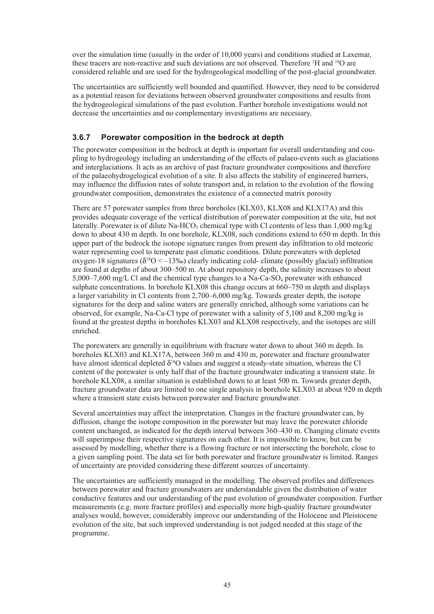over the simulation time (usually in the order of 10,000 years) and conditions studied at Laxemar, these tracers are non-reactive and such deviations are not observed. Therefore <sup>2</sup>H and <sup>18</sup>O are considered reliable and are used for the hydrogeological modelling of the post-glacial groundwater.

The uncertainties are sufficiently well bounded and quantified. However, they need to be considered as a potential reason for deviations between observed groundwater compositions and results from the hydrogeological simulations of the past evolution. Further borehole investigations would not decrease the uncertainties and no complementary investigations are necessary.

### **3.6.7 Porewater composition in the bedrock at depth**

The porewater composition in the bedrock at depth is important for overall understanding and coupling to hydrogeology including an understanding of the effects of palaeo-events such as glaciations and interglaciations. It acts as an archive of past fracture groundwater compositions and therefore of the palaeohydrogelogical evolution of a site. It also affects the stability of engineered barriers, may influence the diffusion rates of solute transport and, in relation to the evolution of the flowing groundwater composition, demonstrates the existence of a connected matrix porosity

There are 57 porewater samples from three boreholes (KLX03, KLX08 and KLX17A) and this provides adequate coverage of the vertical distribution of porewater composition at the site, but not laterally. Porewater is of dilute Na-HCO<sub>3</sub> chemical type with Cl contents of less than  $1,000$  mg/kg down to about 430 m depth. In one borehole, KLX08, such conditions extend to 650 m depth. In this upper part of the bedrock the isotope signature ranges from present day infiltration to old meteoric water representing cool to temperate past climatic conditions. Dilute porewaters with depleted oxygen-18 signatures ( $\delta^{18}$ O < –13‰) clearly indicating cold- climate (possibly glacial) infiltration are found at depths of about 300–500 m. At about repository depth, the salinity increases to about  $5,000-7,600$  mg/L Cl and the chemical type changes to a Na-Ca-SO<sub>4</sub> porewater with enhanced sulphate concentrations. In borehole KLX08 this change occurs at 660–750 m depth and displays a larger variability in Cl contents from 2,700–6,000 mg/kg. Towards greater depth, the isotope signatures for the deep and saline waters are generally enriched, although some variations can be observed, for example, Na-Ca-Cl type of porewater with a salinity of 5,100 and 8,200 mg/kg is found at the greatest depths in boreholes KLX03 and KLX08 respectively, and the isotopes are still enriched.

The porewaters are generally in equilibrium with fracture water down to about 360 m depth. In boreholes KLX03 and KLX17A, between 360 m and 430 m, porewater and fracture groundwater have almost identical depleted  $\delta^{18}O$  values and suggest a steady-state situation, whereas the Cl content of the porewater is only half that of the fracture groundwater indicating a transient state. In borehole KLX08, a similar situation is established down to at least 500 m. Towards greater depth, fracture groundwater data are limited to one single analysis in borehole KLX03 at about 920 m depth where a transient state exists between porewater and fracture groundwater.

Several uncertainties may affect the interpretation. Changes in the fracture groundwater can, by diffusion, change the isotope composition in the porewater but may leave the porewater chloride content unchanged, as indicated for the depth interval between 360–430 m. Changing climate events will superimpose their respective signatures on each other. It is impossible to know, but can be assessed by modelling, whether there is a flowing fracture or not intersecting the borehole, close to a given sampling point. The data set for both porewater and fracture groundwater is limited. Ranges of uncertainty are provided considering these different sources of uncertainty.

The uncertainties are sufficiently managed in the modelling. The observed profiles and differences between porewater and fracture groundwaters are understandable given the distribution of water conductive features and our understanding of the past evolution of groundwater composition. Further measurements (e.g. more fracture profiles) and especially more high-quality fracture groundwater analyses would, however, considerably improve our understanding of the Holocene and Pleistocene evolution of the site, but such improved understanding is not judged needed at this stage of the programme.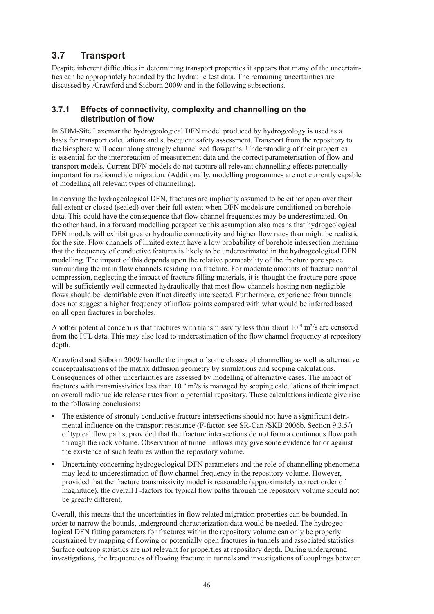# **3.7 Transport**

Despite inherent difficulties in determining transport properties it appears that many of the uncertainties can be appropriately bounded by the hydraulic test data. The remaining uncertainties are discussed by /Crawford and Sidborn 2009/ and in the following subsections.

### **3.7.1 Effects of connectivity, complexity and channelling on the distribution of flow**

In SDM-Site Laxemar the hydrogeological DFN model produced by hydrogeology is used as a basis for transport calculations and subsequent safety assessment. Transport from the repository to the biosphere will occur along strongly channelized flowpaths. Understanding of their properties is essential for the interpretation of measurement data and the correct parameterisation of flow and transport models. Current DFN models do not capture all relevant channelling effects potentially important for radionuclide migration. (Additionally, modelling programmes are not currently capable of modelling all relevant types of channelling).

In deriving the hydrogeological DFN, fractures are implicitly assumed to be either open over their full extent or closed (sealed) over their full extent when DFN models are conditioned on borehole data. This could have the consequence that flow channel frequencies may be underestimated. On the other hand, in a forward modelling perspective this assumption also means that hydrogeological DFN models will exhibit greater hydraulic connectivity and higher flow rates than might be realistic for the site. Flow channels of limited extent have a low probability of borehole intersection meaning that the frequency of conductive features is likely to be underestimated in the hydrogeological DFN modelling. The impact of this depends upon the relative permeability of the fracture pore space surrounding the main flow channels residing in a fracture. For moderate amounts of fracture normal compression, neglecting the impact of fracture filling materials, it is thought the fracture pore space will be sufficiently well connected hydraulically that most flow channels hosting non-negligible flows should be identifiable even if not directly intersected. Furthermore, experience from tunnels does not suggest a higher frequency of inflow points compared with what would be inferred based on all open fractures in boreholes.

Another potential concern is that fractures with transmissivity less than about  $10^{-9}$  m<sup>2</sup>/s are censored from the PFL data. This may also lead to underestimation of the flow channel frequency at repository depth.

/Crawford and Sidborn 2009/ handle the impact of some classes of channelling as well as alternative conceptualisations of the matrix diffusion geometry by simulations and scoping calculations. Consequences of other uncertainties are assessed by modelling of alternative cases. The impact of fractures with transmissivities less than  $10^{-9}$  m<sup>2</sup>/s is managed by scoping calculations of their impact on overall radionuclide release rates from a potential repository. These calculations indicate give rise to the following conclusions:

- The existence of strongly conductive fracture intersections should not have a significant detrimental influence on the transport resistance (F-factor, see SR-Can /SKB 2006b, Section 9.3.5/) of typical flow paths, provided that the fracture intersections do not form a continuous flow path through the rock volume. Observation of tunnel inflows may give some evidence for or against the existence of such features within the repository volume.
- Uncertainty concerning hydrogeological DFN parameters and the role of channelling phenomena may lead to underestimation of flow channel frequency in the repository volume. However, provided that the fracture transmissivity model is reasonable (approximately correct order of magnitude), the overall F-factors for typical flow paths through the repository volume should not be greatly different.

Overall, this means that the uncertainties in flow related migration properties can be bounded. In order to narrow the bounds, underground characterization data would be needed. The hydrogeological DFN fitting parameters for fractures within the repository volume can only be properly constrained by mapping of flowing or potentially open fractures in tunnels and associated statistics. Surface outcrop statistics are not relevant for properties at repository depth. During underground investigations, the frequencies of flowing fracture in tunnels and investigations of couplings between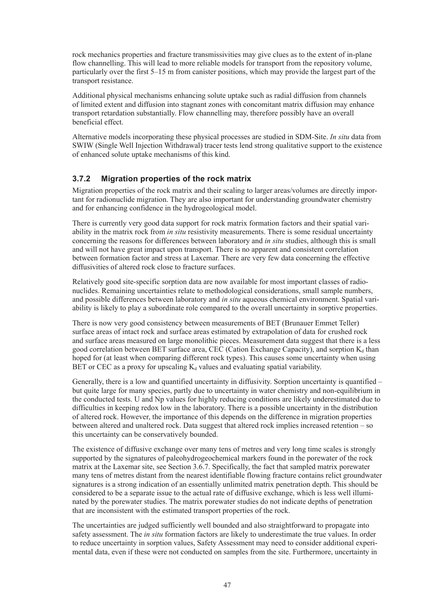rock mechanics properties and fracture transmissivities may give clues as to the extent of in-plane flow channelling. This will lead to more reliable models for transport from the repository volume, particularly over the first 5–15 m from canister positions, which may provide the largest part of the transport resistance.

Additional physical mechanisms enhancing solute uptake such as radial diffusion from channels of limited extent and diffusion into stagnant zones with concomitant matrix diffusion may enhance transport retardation substantially. Flow channelling may, therefore possibly have an overall beneficial effect.

Alternative models incorporating these physical processes are studied in SDM-Site. *In situ* data from SWIW (Single Well Injection Withdrawal) tracer tests lend strong qualitative support to the existence of enhanced solute uptake mechanisms of this kind.

# **3.7.2 Migration properties of the rock matrix**

Migration properties of the rock matrix and their scaling to larger areas/volumes are directly important for radionuclide migration. They are also important for understanding groundwater chemistry and for enhancing confidence in the hydrogeological model.

There is currently very good data support for rock matrix formation factors and their spatial variability in the matrix rock from *in situ* resistivity measurements. There is some residual uncertainty concerning the reasons for differences between laboratory and *in situ* studies, although this is small and will not have great impact upon transport. There is no apparent and consistent correlation between formation factor and stress at Laxemar. There are very few data concerning the effective diffusivities of altered rock close to fracture surfaces.

Relatively good site-specific sorption data are now available for most important classes of radionuclides. Remaining uncertainties relate to methodological considerations, small sample numbers, and possible differences between laboratory and *in situ* aqueous chemical environment. Spatial variability is likely to play a subordinate role compared to the overall uncertainty in sorptive properties.

There is now very good consistency between measurements of BET (Brunauer Emmet Teller) surface areas of intact rock and surface areas estimated by extrapolation of data for crushed rock and surface areas measured on large monolithic pieces. Measurement data suggest that there is a less good correlation between BET surface area, CEC (Cation Exchange Capacity), and sorption  $K_d$  than hoped for (at least when comparing different rock types). This causes some uncertainty when using BET or CEC as a proxy for upscaling  $K_d$  values and evaluating spatial variability.

Generally, there is a low and quantified uncertainty in diffusivity. Sorption uncertainty is quantified – but quite large for many species, partly due to uncertainty in water chemistry and non-equilibrium in the conducted tests. U and Np values for highly reducing conditions are likely underestimated due to difficulties in keeping redox low in the laboratory. There is a possible uncertainty in the distribution of altered rock. However, the importance of this depends on the difference in migration properties between altered and unaltered rock. Data suggest that altered rock implies increased retention – so this uncertainty can be conservatively bounded.

The existence of diffusive exchange over many tens of metres and very long time scales is strongly supported by the signatures of paleohydrogeochemical markers found in the porewater of the rock matrix at the Laxemar site, see Section 3.6.7. Specifically, the fact that sampled matrix porewater many tens of metres distant from the nearest identifiable flowing fracture contains relict groundwater signatures is a strong indication of an essentially unlimited matrix penetration depth. This should be considered to be a separate issue to the actual rate of diffusive exchange, which is less well illuminated by the porewater studies. The matrix porewater studies do not indicate depths of penetration that are inconsistent with the estimated transport properties of the rock.

The uncertainties are judged sufficiently well bounded and also straightforward to propagate into safety assessment. The *in situ* formation factors are likely to underestimate the true values. In order to reduce uncertainty in sorption values, Safety Assessment may need to consider additional experimental data, even if these were not conducted on samples from the site. Furthermore, uncertainty in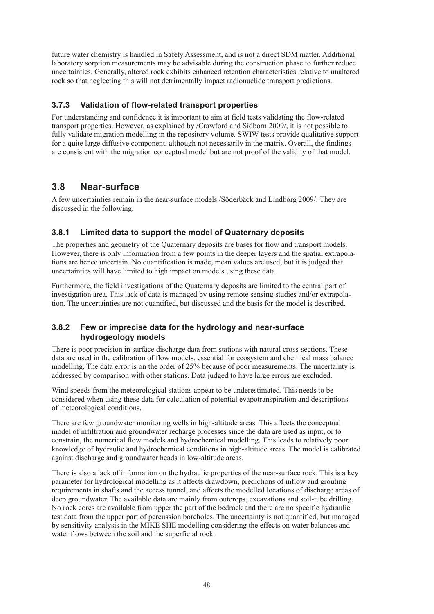future water chemistry is handled in Safety Assessment, and is not a direct SDM matter. Additional laboratory sorption measurements may be advisable during the construction phase to further reduce uncertainties. Generally, altered rock exhibits enhanced retention characteristics relative to unaltered rock so that neglecting this will not detrimentally impact radionuclide transport predictions.

# **3.7.3 Validation of flow-related transport properties**

For understanding and confidence it is important to aim at field tests validating the flow-related transport properties. However, as explained by /Crawford and Sidborn 2009/, it is not possible to fully validate migration modelling in the repository volume. SWIW tests provide qualitative support for a quite large diffusive component, although not necessarily in the matrix. Overall, the findings are consistent with the migration conceptual model but are not proof of the validity of that model.

# **3.8 Near-surface**

A few uncertainties remain in the near-surface models /Söderbäck and Lindborg 2009/. They are discussed in the following.

# **3.8.1 Limited data to support the model of Quaternary deposits**

The properties and geometry of the Quaternary deposits are bases for flow and transport models. However, there is only information from a few points in the deeper layers and the spatial extrapolations are hence uncertain. No quantification is made, mean values are used, but it is judged that uncertainties will have limited to high impact on models using these data.

Furthermore, the field investigations of the Quaternary deposits are limited to the central part of investigation area. This lack of data is managed by using remote sensing studies and/or extrapolation. The uncertainties are not quantified, but discussed and the basis for the model is described.

# **3.8.2 Few or imprecise data for the hydrology and near-surface hydrogeology models**

There is poor precision in surface discharge data from stations with natural cross-sections. These data are used in the calibration of flow models, essential for ecosystem and chemical mass balance modelling. The data error is on the order of 25% because of poor measurements. The uncertainty is addressed by comparison with other stations. Data judged to have large errors are excluded.

Wind speeds from the meteorological stations appear to be underestimated. This needs to be considered when using these data for calculation of potential evapotranspiration and descriptions of meteorological conditions.

There are few groundwater monitoring wells in high-altitude areas. This affects the conceptual model of infiltration and groundwater recharge processes since the data are used as input, or to constrain, the numerical flow models and hydrochemical modelling. This leads to relatively poor knowledge of hydraulic and hydrochemical conditions in high-altitude areas. The model is calibrated against discharge and groundwater heads in low-altitude areas.

There is also a lack of information on the hydraulic properties of the near-surface rock. This is a key parameter for hydrological modelling as it affects drawdown, predictions of inflow and grouting requirements in shafts and the access tunnel, and affects the modelled locations of discharge areas of deep groundwater. The available data are mainly from outcrops, excavations and soil-tube drilling. No rock cores are available from upper the part of the bedrock and there are no specific hydraulic test data from the upper part of percussion boreholes. The uncertainty is not quantified, but managed by sensitivity analysis in the MIKE SHE modelling considering the effects on water balances and water flows between the soil and the superficial rock.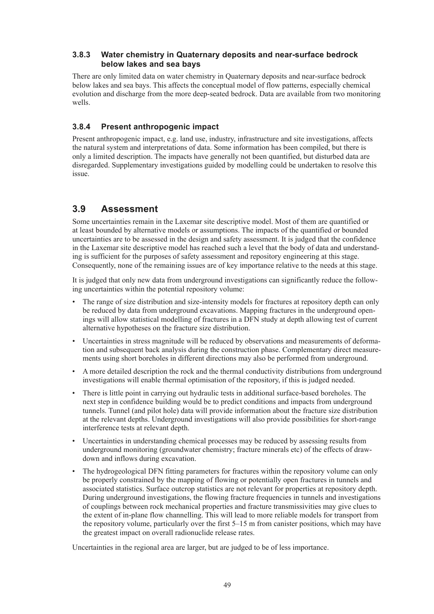### **3.8.3 Water chemistry in Quaternary deposits and near-surface bedrock below lakes and sea bays**

There are only limited data on water chemistry in Quaternary deposits and near-surface bedrock below lakes and sea bays. This affects the conceptual model of flow patterns, especially chemical evolution and discharge from the more deep-seated bedrock. Data are available from two monitoring wells.

# **3.8.4 Present anthropogenic impact**

Present anthropogenic impact, e.g. land use, industry, infrastructure and site investigations, affects the natural system and interpretations of data. Some information has been compiled, but there is only a limited description. The impacts have generally not been quantified, but disturbed data are disregarded. Supplementary investigations guided by modelling could be undertaken to resolve this issue.

# **3.9 Assessment**

Some uncertainties remain in the Laxemar site descriptive model. Most of them are quantified or at least bounded by alternative models or assumptions. The impacts of the quantified or bounded uncertainties are to be assessed in the design and safety assessment. It is judged that the confidence in the Laxemar site descriptive model has reached such a level that the body of data and understanding is sufficient for the purposes of safety assessment and repository engineering at this stage. Consequently, none of the remaining issues are of key importance relative to the needs at this stage.

It is judged that only new data from underground investigations can significantly reduce the following uncertainties within the potential repository volume:

- The range of size distribution and size-intensity models for fractures at repository depth can only be reduced by data from underground excavations. Mapping fractures in the underground openings will allow statistical modelling of fractures in a DFN study at depth allowing test of current alternative hypotheses on the fracture size distribution.
- • Uncertainties in stress magnitude will be reduced by observations and measurements of deformation and subsequent back analysis during the construction phase. Complementary direct measurements using short boreholes in different directions may also be performed from underground.
- • A more detailed description the rock and the thermal conductivity distributions from underground investigations will enable thermal optimisation of the repository, if this is judged needed.
- There is little point in carrying out hydraulic tests in additional surface-based boreholes. The next step in confidence building would be to predict conditions and impacts from underground tunnels. Tunnel (and pilot hole) data will provide information about the fracture size distribution at the relevant depths. Underground investigations will also provide possibilities for short-range interference tests at relevant depth.
- Uncertainties in understanding chemical processes may be reduced by assessing results from underground monitoring (groundwater chemistry; fracture minerals etc) of the effects of drawdown and inflows during excavation.
- The hydrogeological DFN fitting parameters for fractures within the repository volume can only be properly constrained by the mapping of flowing or potentially open fractures in tunnels and associated statistics. Surface outcrop statistics are not relevant for properties at repository depth. During underground investigations, the flowing fracture frequencies in tunnels and investigations of couplings between rock mechanical properties and fracture transmissivities may give clues to the extent of in-plane flow channelling. This will lead to more reliable models for transport from the repository volume, particularly over the first 5–15 m from canister positions, which may have the greatest impact on overall radionuclide release rates.

Uncertainties in the regional area are larger, but are judged to be of less importance.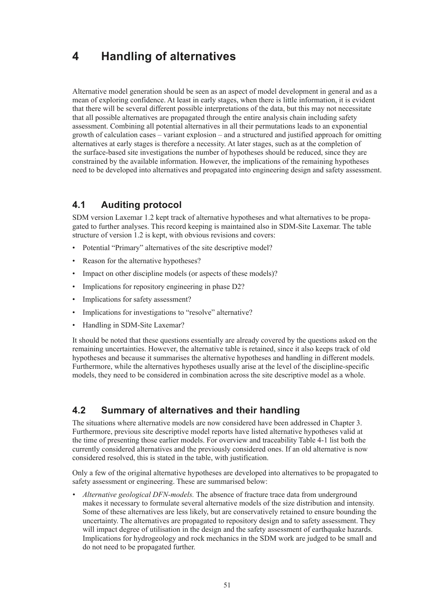# **4 Handling of alternatives**

Alternative model generation should be seen as an aspect of model development in general and as a mean of exploring confidence. At least in early stages, when there is little information, it is evident that there will be several different possible interpretations of the data, but this may not necessitate that all possible alternatives are propagated through the entire analysis chain including safety assessment. Combining all potential alternatives in all their permutations leads to an exponential growth of calculation cases – variant explosion – and a structured and justified approach for omitting alternatives at early stages is therefore a necessity. At later stages, such as at the completion of the surface-based site investigations the number of hypotheses should be reduced, since they are constrained by the available information. However, the implications of the remaining hypotheses need to be developed into alternatives and propagated into engineering design and safety assessment.

# **4.1 Auditing protocol**

SDM version Laxemar 1.2 kept track of alternative hypotheses and what alternatives to be propagated to further analyses. This record keeping is maintained also in SDM-Site Laxemar. The table structure of version 1.2 is kept, with obvious revisions and covers:

- Potential "Primary" alternatives of the site descriptive model?
- Reason for the alternative hypotheses?
- Impact on other discipline models (or aspects of these models)?
- Implications for repository engineering in phase D2?
- Implications for safety assessment?
- Implications for investigations to "resolve" alternative?
- Handling in SDM-Site Laxemar?

It should be noted that these questions essentially are already covered by the questions asked on the remaining uncertainties. However, the alternative table is retained, since it also keeps track of old hypotheses and because it summarises the alternative hypotheses and handling in different models. Furthermore, while the alternatives hypotheses usually arise at the level of the discipline-specific models, they need to be considered in combination across the site descriptive model as a whole.

# **4.2 Summary of alternatives and their handling**

The situations where alternative models are now considered have been addressed in Chapter 3. Furthermore, previous site descriptive model reports have listed alternative hypotheses valid at the time of presenting those earlier models. For overview and traceability Table 4-1 list both the currently considered alternatives and the previously considered ones. If an old alternative is now considered resolved, this is stated in the table, with justification.

Only a few of the original alternative hypotheses are developed into alternatives to be propagated to safety assessment or engineering. These are summarised below:

*• Alternative geological DFN-models.* The absence of fracture trace data from underground makes it necessary to formulate several alternative models of the size distribution and intensity. Some of these alternatives are less likely, but are conservatively retained to ensure bounding the uncertainty. The alternatives are propagated to repository design and to safety assessment. They will impact degree of utilisation in the design and the safety assessment of earthquake hazards. Implications for hydrogeology and rock mechanics in the SDM work are judged to be small and do not need to be propagated further.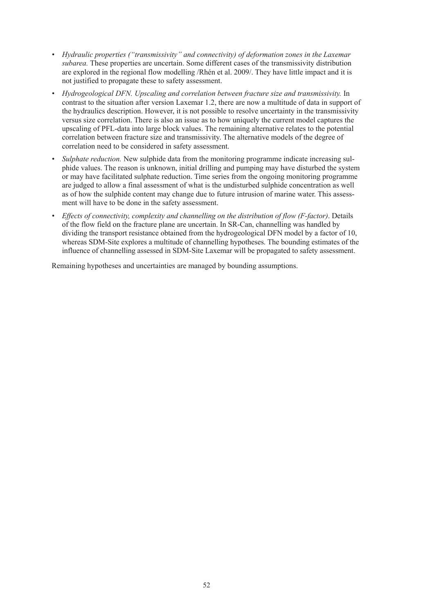- *• Hydraulic properties ("transmissivity" and connectivity) of deformation zones in the Laxemar subarea.* These properties are uncertain. Some different cases of the transmissivity distribution are explored in the regional flow modelling /Rhén et al. 2009/. They have little impact and it is not justified to propagate these to safety assessment.
- *• Hydrogeological DFN. Upscaling and correlation between fracture size and transmissivity.* In contrast to the situation after version Laxemar 1.2, there are now a multitude of data in support of the hydraulics description. However, it is not possible to resolve uncertainty in the transmissivity versus size correlation. There is also an issue as to how uniquely the current model captures the upscaling of PFL-data into large block values. The remaining alternative relates to the potential correlation between fracture size and transmissivity. The alternative models of the degree of correlation need to be considered in safety assessment.
- *Sulphate reduction.* New sulphide data from the monitoring programme indicate increasing sulphide values. The reason is unknown, initial drilling and pumping may have disturbed the system or may have facilitated sulphate reduction. Time series from the ongoing monitoring programme are judged to allow a final assessment of what is the undisturbed sulphide concentration as well as of how the sulphide content may change due to future intrusion of marine water. This assessment will have to be done in the safety assessment.
- *• Effects of connectivity, complexity and channelling on the distribution of flow (F-factor)*. Details of the flow field on the fracture plane are uncertain. In SR-Can, channelling was handled by dividing the transport resistance obtained from the hydrogeological DFN model by a factor of 10, whereas SDM-Site explores a multitude of channelling hypotheses. The bounding estimates of the influence of channelling assessed in SDM-Site Laxemar will be propagated to safety assessment.

Remaining hypotheses and uncertainties are managed by bounding assumptions.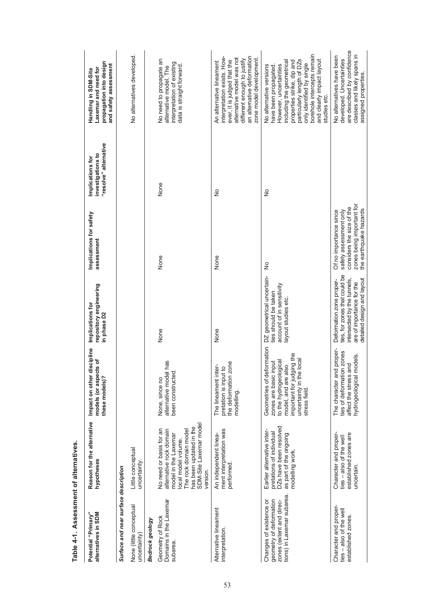| Potential "Primary"<br>alternatives in SDM                                                                   | Reason for the alternative<br>hypotheses                                                                                                                                                   | discipline<br>models (or aspects of<br>Impact on other<br>these models)?                                                                                                                   | repository engineering<br>Implications for<br>in phase D2                                                                                           | Implications for safety<br>assessment                                                                                                | "resolve" alternative<br>investigations to<br>Implications for | propagation into design<br>and safety assessment<br>Laxemar and need for<br>Handling in SDM-Site                                                                                                                                                                           |
|--------------------------------------------------------------------------------------------------------------|--------------------------------------------------------------------------------------------------------------------------------------------------------------------------------------------|--------------------------------------------------------------------------------------------------------------------------------------------------------------------------------------------|-----------------------------------------------------------------------------------------------------------------------------------------------------|--------------------------------------------------------------------------------------------------------------------------------------|----------------------------------------------------------------|----------------------------------------------------------------------------------------------------------------------------------------------------------------------------------------------------------------------------------------------------------------------------|
| Surface and near surface description                                                                         |                                                                                                                                                                                            |                                                                                                                                                                                            |                                                                                                                                                     |                                                                                                                                      |                                                                |                                                                                                                                                                                                                                                                            |
| None (little conceptual<br>uncertainty)                                                                      | Little conceptual<br>uncertainty.                                                                                                                                                          |                                                                                                                                                                                            |                                                                                                                                                     |                                                                                                                                      |                                                                | No alternatives developed                                                                                                                                                                                                                                                  |
| Bedrock geology                                                                                              |                                                                                                                                                                                            |                                                                                                                                                                                            |                                                                                                                                                     |                                                                                                                                      |                                                                |                                                                                                                                                                                                                                                                            |
| Domains in the Laxemar<br>Geometry of Rock<br>subarea.                                                       | SDM-Site Laxemar model<br>has been updated in the<br>No need or basis for an<br>The rock domain model<br>alternative rock domain<br>model in the Laxemar<br>ocal model volume.<br>version. | alternative model has<br>been constructed.<br>None, since no                                                                                                                               | None                                                                                                                                                | None                                                                                                                                 | None                                                           | No need to propagate an<br>interpretation of existing<br>data is straight forward.<br>alternative model. The                                                                                                                                                               |
| Alternative lineament<br>interpretation.                                                                     | ment interpretation was<br>An independent linea-<br>performed                                                                                                                              | zone<br>The lineament inter-<br>pretation is input to<br>the deformation<br>modelling.                                                                                                     | None                                                                                                                                                | None                                                                                                                                 | $\frac{1}{2}$                                                  | an alternative deformation<br>interpretation exists. How-<br>zone model development.<br>alternative model was not<br>different enough to justify<br>ever, it is judged that the<br>An alternative lineament                                                                |
| tions) in Laxemar subarea.<br>geometry of deformation<br>Changes of existence or<br>zones (extent and direc- | DZs have been resolved<br>Earlier alternative inter-<br>pretations of individual<br>as part of the ongoing<br>modelling work.                                                              | leformation<br>important for judging the<br>e local<br>to the hydrogeological<br>; input<br>model, and are also<br>Geometries of d<br>zones are basic<br>uncertainty in th<br>stress field | DZ geometrical uncertain-<br>account of in sensitivity<br>ties should be taken<br>ayout studies etc.                                                | $\frac{1}{2}$                                                                                                                        | $\frac{1}{2}$                                                  | borehole intercepts remain<br>particularly length of DZs<br>and clearly impact layout<br>including the geometrical<br>properties strike, dip and<br>only identified by single<br>However, uncertainties<br>No alternative versions<br>have been propagated<br>studies etc. |
| Character and proper-<br>ties - also of the well<br>established zones.                                       | Character and proper-<br>established zones are<br>ties - also of the well<br>uncertain.                                                                                                    | The character and proper-<br>ties of deformation zones<br>models.<br>and<br>affect the stress<br>hydrogeological                                                                           | ties, for zones that could be<br>intersected by the tunnels,<br>detailed design and layout<br>Deformation zone proper-<br>are of importance for the | zones being important for<br>considers the size of the<br>the earthquake hazards<br>Of no importance since<br>safety assessment only |                                                                | are described by confidence<br>classes and likely spans in<br>No alternatives have been<br>developed. Uncertainties<br>assigned properties                                                                                                                                 |

Table 4-1. Assessment of alternatives. **Table 4-1. Assessment of alternatives.**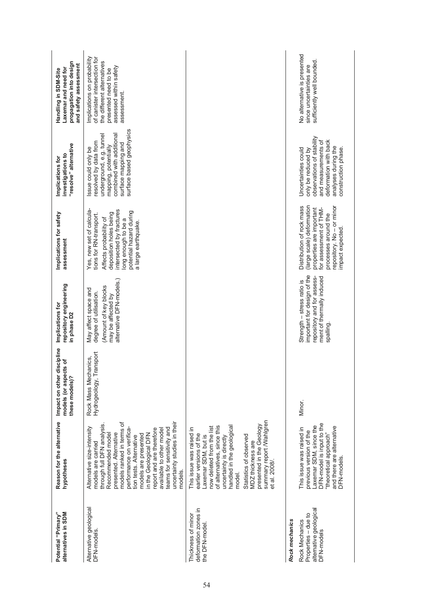| Potential "Primary"<br>alternatives in SDM                                    | Reason for the alternative<br>hypotheses                                                                                                                                                                                                                                                                                                                                                           | discipline<br>cts of<br>Impact on other<br>models (or aspe<br>these models)? | repository engineering<br>Implications for<br>in phase D <sub>2</sub>                                                            | Implications for safety<br>assessment                                                                                                                                                                        | "resolve" alternative<br>investigations to<br>Implications for                                                                                                                 | propagation into design<br>and safety assessment<br>Laxemar and need for<br>Handling in SDM-Site                                                           |
|-------------------------------------------------------------------------------|----------------------------------------------------------------------------------------------------------------------------------------------------------------------------------------------------------------------------------------------------------------------------------------------------------------------------------------------------------------------------------------------------|------------------------------------------------------------------------------|----------------------------------------------------------------------------------------------------------------------------------|--------------------------------------------------------------------------------------------------------------------------------------------------------------------------------------------------------------|--------------------------------------------------------------------------------------------------------------------------------------------------------------------------------|------------------------------------------------------------------------------------------------------------------------------------------------------------|
| Alternative geological<br>DFN-models.                                         | uncertainty studies in their<br>models ranked in terms of<br>through full DFN analysis.<br>Alternative size-intensity<br>teams for sensitivity and<br>performance on verifica-<br>report and are therefore<br>available to other model<br>presented. Alternative<br>in the Geological DFN<br>Recommended model<br>models are presented<br>tion tests. Alternative<br>models are carried<br>models. | Transport<br>Rock Mass Mechanics,<br>Hydrogeology,                           | alternative DFN-models.)<br>Amount of key blocks<br>May affect space and<br>degree of utilisation.<br>may be affected by         | intersected by fractures<br>Yes, new set of calcula-<br>potential hazard during<br>deposition holes being<br>tions for RN-transport.<br>Affects probability of<br>long enough to be a<br>a large earthquake. | surface based geophysics<br>combined with additional<br>underground, e.g. tunnel<br>resolved by data from<br>surface mapping and<br>mapping, potentially<br>ssue could only be | Implications on probability<br>of canister intersection for<br>the different alternatives<br>assessed within safety<br>presented need to be<br>assessment. |
| deformation zones in<br>Thickness of minor<br>the DFN-model                   | summary report /Wahlgren<br>presented in the Geology<br>handled in the geological<br>of alternatives, since this<br>now deleted from the list<br>This issue was raised in<br>earlier versions of the<br>Laxemar SDM, but is<br>Statistics of observed<br>uncertainty is directly<br>MDZ thickness are<br>et al. 2008/.<br>model.                                                                   |                                                                              |                                                                                                                                  |                                                                                                                                                                                                              |                                                                                                                                                                                |                                                                                                                                                            |
| Rock mechanics                                                                |                                                                                                                                                                                                                                                                                                                                                                                                    |                                                                              |                                                                                                                                  |                                                                                                                                                                                                              |                                                                                                                                                                                |                                                                                                                                                            |
| alternative geological<br>Properties - due to<br>Rock Mechanics<br>DFN-models | DFN-model is input to the<br>axemar SDM, since the<br>and there are alternative<br>This issue was raised in<br>previous version of the<br>"theoretical approach"<br>DFN-models.                                                                                                                                                                                                                    | Minor.                                                                       | important for design of the<br>repository and for assess-<br>ment of thermally induced<br>Strength - stress ratio is<br>spalling | Distribution of rock mass<br>(large scale) deformation<br>repository. No - or minor<br>for assessment of THM-<br>properties are important<br>processes around the<br>mpact expected.                         | observations of stability<br>deformation with back<br>and measurements of<br>analyses during the<br>construction phase.<br>Jncertainties could<br>only be reduced by           | No alternative is presented<br>sufficiently well bounded<br>since uncertainties are                                                                        |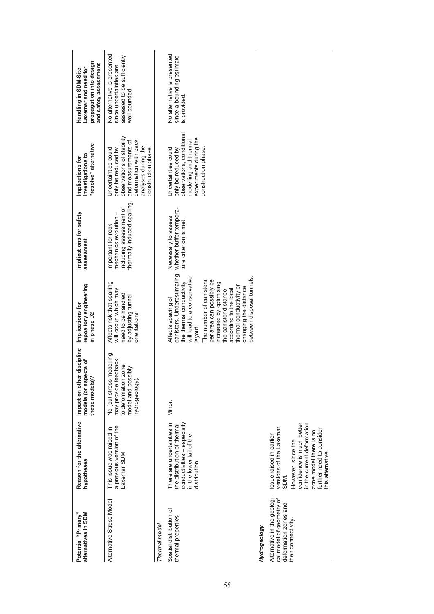| alternatives in SDM<br>Potential "Primary"                                       | Reason for the alternative<br>hypotheses                                                                                                                 | discipline<br>cts of<br>Impact on other<br>models (or aspe<br>these models)?                                    | repository engineering<br>Implications for<br>in phase D <sub>2</sub>                                                                                                                                                                                                                                                                       | Implications for safety<br>assessment                                                                | "resolve" alternative<br>investigations to<br>Implications for                                                                                                       | propagation into design<br>and safety assessment<br>Laxemar and need for<br>Handling in SDM-Site       |
|----------------------------------------------------------------------------------|----------------------------------------------------------------------------------------------------------------------------------------------------------|-----------------------------------------------------------------------------------------------------------------|---------------------------------------------------------------------------------------------------------------------------------------------------------------------------------------------------------------------------------------------------------------------------------------------------------------------------------------------|------------------------------------------------------------------------------------------------------|----------------------------------------------------------------------------------------------------------------------------------------------------------------------|--------------------------------------------------------------------------------------------------------|
| Alternative Stress Model                                                         | a previous version of the<br>This issue was raised in<br>Laxemar SDM                                                                                     | No (but stress modelling<br>may provide feedback<br>to deformation zone<br>model and possibly<br>hydrogeology). | Affects risk that spalling<br>will occur, which may<br>need to be handled<br>by adjusting tunnel<br>orientations.                                                                                                                                                                                                                           | thermally induced spalling.<br>including assessment of<br>mechanics evolution-<br>Important for rock | observations of stability<br>deformation with back<br>and measurements of<br>analyses during the<br>construction phase.<br>Jncertainties could<br>only be reduced by | No alternative is presented<br>assessed to be sufficiently<br>since uncertainties are<br>well bounded. |
| Thermal model                                                                    |                                                                                                                                                          |                                                                                                                 |                                                                                                                                                                                                                                                                                                                                             |                                                                                                      |                                                                                                                                                                      |                                                                                                        |
| Spatial distribution of<br>thermal properties                                    | There are uncertainties in<br>conductivities - especially<br>the distribution of thermal<br>in the lower tail of the<br>distribution.                    | Minor.                                                                                                          | canisters. Underestimating<br>will lead to a conservative<br>between disposal tunnels.<br>per area can possibly be<br>The number of canisters<br>the thermal conductivity<br>increased by optimising<br>thermal conductivity or<br>changing the distance<br>according to the local<br>the canister distance<br>Affects spacing of<br>ayout. | whether buffer tempera-<br>Necessary to assess<br>ture criterion is met.                             | observations, conditional<br>experiments during the<br>modelling and thermal<br>Jncertainties could<br>construction phase.<br>only be reduced by                     | No alternative is presented<br>since a bounding estimate<br>is provided                                |
| Hydrogeology                                                                     |                                                                                                                                                          |                                                                                                                 |                                                                                                                                                                                                                                                                                                                                             |                                                                                                      |                                                                                                                                                                      |                                                                                                        |
| Alternative in the geologi-<br>cal model of geometry of<br>deformation zones and | versions of the Laxemar<br>Issue raised in earlier<br>SDM.                                                                                               |                                                                                                                 |                                                                                                                                                                                                                                                                                                                                             |                                                                                                      |                                                                                                                                                                      |                                                                                                        |
| their connectivity                                                               | confidence is much better<br>in the current deformation<br>further need to consider<br>zone model there is no<br>However, since the<br>this alternative. |                                                                                                                 |                                                                                                                                                                                                                                                                                                                                             |                                                                                                      |                                                                                                                                                                      |                                                                                                        |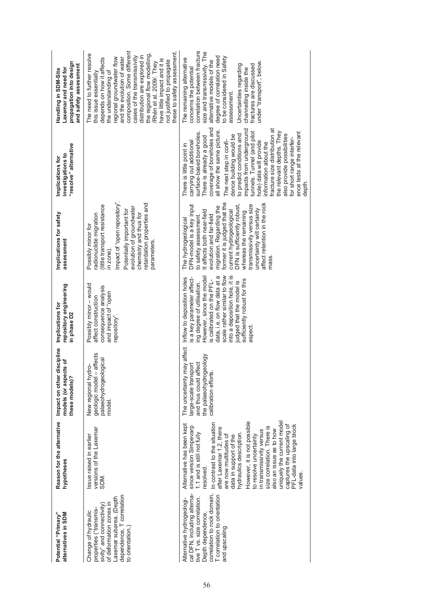| Potential "Primary"<br>alternatives in SDM                                                                                                                                                    | Reason for the alternative<br>hypotheses                                                                                                                                                                                                                                                                                                                                                                                                                                                 | discipline<br>models (or aspects of<br>Impact on other<br>these models)?                                                         | repository engineering<br>Implications for<br>in phase D2                                                                                                                                                                                                                                                             | Implications for safety<br>assessment                                                                                                                                                                                                                                                                                                                                                | "resolve" alternative<br>investigations to<br>Implications for                                                                                                                                                                                                                                                                                                                                                                                                                                                                          | propagation into design<br>and safety assessment<br>Laxemar and need for<br>Handling in SDM-Site                                                                                                                                                                                                                                                                                                                           |
|-----------------------------------------------------------------------------------------------------------------------------------------------------------------------------------------------|------------------------------------------------------------------------------------------------------------------------------------------------------------------------------------------------------------------------------------------------------------------------------------------------------------------------------------------------------------------------------------------------------------------------------------------------------------------------------------------|----------------------------------------------------------------------------------------------------------------------------------|-----------------------------------------------------------------------------------------------------------------------------------------------------------------------------------------------------------------------------------------------------------------------------------------------------------------------|--------------------------------------------------------------------------------------------------------------------------------------------------------------------------------------------------------------------------------------------------------------------------------------------------------------------------------------------------------------------------------------|-----------------------------------------------------------------------------------------------------------------------------------------------------------------------------------------------------------------------------------------------------------------------------------------------------------------------------------------------------------------------------------------------------------------------------------------------------------------------------------------------------------------------------------------|----------------------------------------------------------------------------------------------------------------------------------------------------------------------------------------------------------------------------------------------------------------------------------------------------------------------------------------------------------------------------------------------------------------------------|
| dependence, T correlation<br>Laxemar subarea. (Depth<br>of deformation zones in<br>sivity" and connectivity<br>properties ("transmis-<br>Change of hydraulic<br>to orientation.)              | versions of the Laxemar<br>ssue raised in earlier<br>SDM.                                                                                                                                                                                                                                                                                                                                                                                                                                | geologic model - affects<br>palaeohydrogeological<br>$\frac{1}{2}$<br>New regional hy<br>model                                   | Possibly minor - would<br>consequence analysis<br>and impact of "open<br>affect construction<br>repository".                                                                                                                                                                                                          | retardation properties and<br>impact of "open repository"<br>little transport resistance<br>evolution of groundwater<br>Potentially important for<br>chemistry and thus for<br>adionuclide migration<br>Possibly minor for<br>parameters.<br>n zone)                                                                                                                                 |                                                                                                                                                                                                                                                                                                                                                                                                                                                                                                                                         | composition. Some different<br>these to safety assessment.<br>The need to further resolve<br>the regional flow modelling<br>distribution are explored in<br>cases of the transmissivity<br>and the evolution of water<br>regional groundwater flow<br>depends on how it affects<br>have little impact and it is<br>not justified to propagate<br>Rhén et al. 2009/. They<br>the understanding of<br>this issue essentially |
| correlation to rock domain,<br>cal DFN, including alterna-<br>T correlation to orientation<br>tive T vs. size correlation.<br>Alternative hydrogeologi-<br>Depth dependence,<br>and upscaling | However, it is not possible<br>uniquely the current model<br>In contrast to the situation<br>Alternative has been kept<br>captures the upscaling of<br>PFL-data into large block<br>since version Simpevarp<br>size correlation. There is<br>after Laxemar 1.2, there<br>also an issue as to how<br>in transmissivity versus<br>1.1 and is still not fully<br>hydraulics description<br>are now multitudes of<br>data in support of the<br>to resolve uncertainty<br>resolved.<br>values | may affect<br>the palaeohydrogeology<br>and thus could affect<br>large-scale transport<br>calibration efforts<br>The uncertainty | into a deposition hole, it is<br>scale rather similar to flow<br>However, since the model<br>data, i.e. on flow data at a<br>Inflow to deposition holes<br>is a key parameter affect-<br>is calibrated on the PFL-<br>sufficiently robust for this<br>udged that the model is<br>ing degree of utilisation.<br>aspect | former it is judged that the<br>affect retention in the rock<br>transmissivity versus size<br>DFN-model is a key input<br>DFN is sufficiently robust,<br>migration. Regarding the<br>uncertainty will certainly<br>It affects both near-field<br>current hydrogeological<br>whereas the remaining<br>evolution and far-field<br>to safety assessment.<br>The hydrogeological<br>nass | coverage of boreholes and<br>impacts from underground<br>fracture size distribution at<br>all show the same picture.<br>tunnels. Tunnel (and pilot<br>the relevant depths. They<br>ence tests at the relevant<br>surface-based boreholes.<br>to predict conditions and<br>also provide possibilities<br>dence building would be<br>There is already a good<br>for short range interfer-<br>The next step in confi-<br>hole) data will provide<br>carrying out additional<br>information about the<br>There is little point in<br>depth. | correlation between fracture<br>size and transmissivity. The<br>degree of correlation need<br>to be considered in Safety<br>The remaining alternative<br>alternative models of the<br>under "transport", below<br>Uncertainties regarding<br>fractures are discussed<br>concerns the potential<br>channelling inside the<br>assessment.                                                                                    |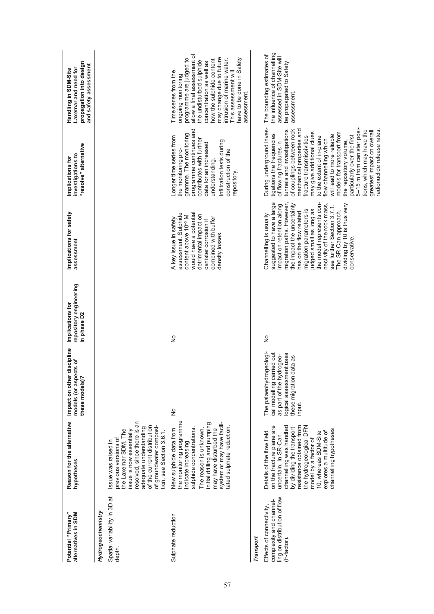| Potential "Primary"<br>alternatives in SDM                                                        | Reason for the alternative<br>hypotheses                                                                                                                                                                                                                                                           | discipline<br>cts of<br>Impact on other<br>models (or aspe<br>these models)?                                                                     | repository engineering<br>Implications for<br>in phase D <sub>2</sub> | Implications for safety<br>assessment                                                                                                                                                                                                                                                                                                                                                        | "resolve" alternative<br>investigations to<br>Implications for                                                                                                                                                                                                                                                                                                                                                                                                                                                                       | propagation into design<br>and safety assessment<br>Laxemar and need for<br>Handling in SDM-Site                                                                                                                                                                                                                       |
|---------------------------------------------------------------------------------------------------|----------------------------------------------------------------------------------------------------------------------------------------------------------------------------------------------------------------------------------------------------------------------------------------------------|--------------------------------------------------------------------------------------------------------------------------------------------------|-----------------------------------------------------------------------|----------------------------------------------------------------------------------------------------------------------------------------------------------------------------------------------------------------------------------------------------------------------------------------------------------------------------------------------------------------------------------------------|--------------------------------------------------------------------------------------------------------------------------------------------------------------------------------------------------------------------------------------------------------------------------------------------------------------------------------------------------------------------------------------------------------------------------------------------------------------------------------------------------------------------------------------|------------------------------------------------------------------------------------------------------------------------------------------------------------------------------------------------------------------------------------------------------------------------------------------------------------------------|
| Hydrogeochemistry                                                                                 |                                                                                                                                                                                                                                                                                                    |                                                                                                                                                  |                                                                       |                                                                                                                                                                                                                                                                                                                                                                                              |                                                                                                                                                                                                                                                                                                                                                                                                                                                                                                                                      |                                                                                                                                                                                                                                                                                                                        |
| Spatial variability in 3D at<br>depth.                                                            | resolved, since there is an<br>of the current distribution<br>of groundwater composi-<br>adequate understanding<br>ssue is now essentially<br>the Laxemar SDM. The<br>tion, see Section 3.6.1.<br>previous versions of<br>Issue was raised in                                                      |                                                                                                                                                  |                                                                       |                                                                                                                                                                                                                                                                                                                                                                                              |                                                                                                                                                                                                                                                                                                                                                                                                                                                                                                                                      |                                                                                                                                                                                                                                                                                                                        |
| Sulphate reduction                                                                                | the monitoring programme<br>system or may have facili-<br>initial drilling and pumping<br>tated sulphate reduction.<br>sulphide concentrations.<br>may have disturbed the<br>The reason is unknown,<br>New sulphide data from<br>indicate increasing                                               | $\frac{1}{2}$                                                                                                                                    | $\frac{1}{2}$                                                         | would have a potential<br>assessment. Sulphide<br>detrimental impact on<br>content above 10 <sup>-5</sup> M<br>combined with buffer<br>A key issue in safety<br>canister corrosion if<br>density losses.                                                                                                                                                                                     | programme continues and<br>gramme. The monitoring<br>Longer time series from<br>contributes with further<br>Infiltration tests during<br>data for an increased<br>the monitoring pro-<br>construction of the<br>understanding.<br>repository.                                                                                                                                                                                                                                                                                        | allow a final assessment of<br>may change due to future<br>have to be done in Safety<br>programme are judged to<br>intrusion of marine water.<br>how the sulphide content<br>the undisturbed sulphide<br>concentration as well as<br>This assessment will<br>Time series from the<br>ongoing monitoring<br>assessment. |
| Transport                                                                                         |                                                                                                                                                                                                                                                                                                    |                                                                                                                                                  |                                                                       |                                                                                                                                                                                                                                                                                                                                                                                              |                                                                                                                                                                                                                                                                                                                                                                                                                                                                                                                                      |                                                                                                                                                                                                                                                                                                                        |
| ling on distribution of flow<br>complexity and channel-<br>Effects of connectivity,<br>(F-factor) | on the fracture plane are<br>channelling was handled<br>the hydrogeological DFN<br>resistance obtained from<br>by dividing the transport<br>channelling hypotheses<br>10, whereas SDM-Site<br>Details of the flow field<br>explores a multitude of<br>uncertain. In SR-Can<br>model by a factor of | The palaeohydrogeologi-<br>logical assessment uses<br>cal modelling carried out<br>as part of the hydrogeo-<br>these migration data as<br>input. | $\frac{1}{2}$                                                         | suggested to have a large<br>the model represents con-<br>the impact the uncertainty<br>nectivity of the rock mass,<br>dividing by 10 is thus very<br>migration paths. However<br>see further Section 3.7.1.<br>impact on retention along<br>udged small as long as<br>migration parameters is<br>The SR-Can approach,<br>has on the flow related<br>Channelling is usually<br>conservative. | During underground inves-<br>5-15 m from canister posi-<br>mechanical properties and<br>tunnels and investigations<br>of couplings between rock<br>tions, which may have the<br>adionuclide release rates<br>greatest impact on overall<br>may give additional clues<br>models for transport from<br>tigations the frequencies<br>will lead to more reliable<br>particularly over the first<br>fracture transmissivities<br>to the extent of in-plane<br>flow channelling which<br>the repository volume,<br>of flowing fractures in | the influence of channelling<br>The bounding estimates of<br>assessed in SDM-Site will<br>be propagated to Safety<br>assessment.                                                                                                                                                                                       |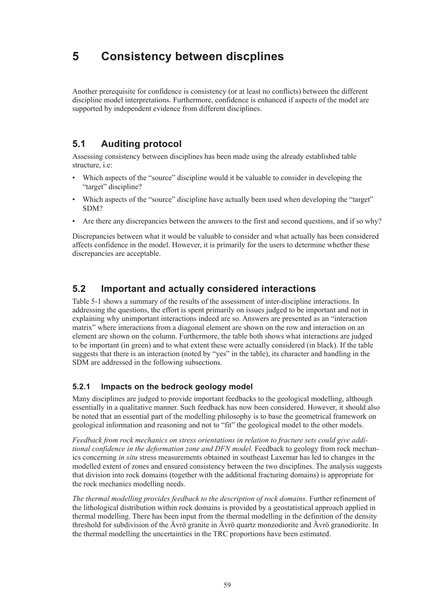# **5 Consistency between discplines**

Another prerequisite for confidence is consistency (or at least no conflicts) between the different discipline model interpretations. Furthermore, confidence is enhanced if aspects of the model are supported by independent evidence from different disciplines.

# **5.1 Auditing protocol**

Assessing consistency between disciplines has been made using the already established table structure, i.e:

- Which aspects of the "source" discipline would it be valuable to consider in developing the "target" discipline?
- Which aspects of the "source" discipline have actually been used when developing the "target" SDM?
- Are there any discrepancies between the answers to the first and second questions, and if so why?

Discrepancies between what it would be valuable to consider and what actually has been considered affects confidence in the model. However, it is primarily for the users to determine whether these discrepancies are acceptable.

# **5.2 Important and actually considered interactions**

Table 5-1 shows a summary of the results of the assessment of inter-discipline interactions. In addressing the questions, the effort is spent primarily on issues judged to be important and not in explaining why unimportant interactions indeed are so. Answers are presented as an "interaction matrix" where interactions from a diagonal element are shown on the row and interaction on an element are shown on the column. Furthermore, the table both shows what interactions are judged to be important (in green) and to what extent these were actually considered (in black). If the table suggests that there is an interaction (noted by "yes" in the table), its character and handling in the SDM are addressed in the following subsections.

### **5.2.1 Impacts on the bedrock geology model**

Many disciplines are judged to provide important feedbacks to the geological modelling, although essentially in a qualitative manner. Such feedback has now been considered. However, it should also be noted that an essential part of the modelling philosophy is to base the geometrical framework on geological information and reasoning and not to "fit" the geological model to the other models.

*Feedback from rock mechanics on stress orientations in relation to fracture sets could give additional confidence in the deformation zone and DFN model.* Feedback to geology from rock mechanics concerning *in situ* stress measurements obtained in southeast Laxemar has led to changes in the modelled extent of zones and ensured consistency between the two disciplines. The analysis suggests that division into rock domains (together with the additional fracturing domains) is appropriate for the rock mechanics modelling needs.

*The thermal modelling provides feedback to the description of rock domains.* Further refinement of the lithological distribution within rock domains is provided by a geostatistical approach applied in thermal modelling. There has been input from the thermal modelling in the definition of the density threshold for subdivision of the Ävrö granite in Ävrö quartz monzodiorite and Ävrö granodiorite. In the thermal modelling the uncertainties in the TRC proportions have been estimated.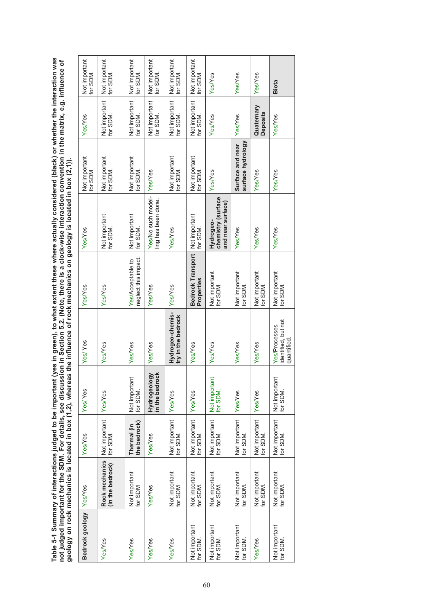Table 5-1 Summary of interactions judged to be important (yes in green), to what extent these where actually considered (black) or whether the interaction was<br>not judged important for the SDM. For details, see discussion i **Table 5-1 Summary of interactions judged to be important (yes in green), to what extent these where actually considered (black) or whether the interaction was not judged important for the SDM. For details, see discussion in Section 5.2. (Note, there is a clock-wise interaction convention in the matrix, e.g. influence of geology on rock mechanics is located in box (1,2), whereas the influence of rock mechanics on geology is located in box (2,1)).**

| Bedrock geology Yes/Yes   |                                    | Yes/Yes                     | Yes/Yes                        | Yes/Yes                                            | Yes/Yes                                   | Yes/Yes                                              | Not important<br>for SDM              | Yes/Yes                       | Not important<br>for SDM  |
|---------------------------|------------------------------------|-----------------------------|--------------------------------|----------------------------------------------------|-------------------------------------------|------------------------------------------------------|---------------------------------------|-------------------------------|---------------------------|
| Yes/Yes                   | Rock mechanics<br>(in the bedrock) | Not important<br>for SDM.   | Yes/Yes                        | Yes/Yes                                            | Yes/Yes                                   | Not important<br>for SDM.                            | Not important<br>for SDM.             | Not important<br>for SDM.     | Not important<br>for SDM. |
| Yes/Yes                   | Not important<br>for SDM           | the bedrock)<br>Thermal (in | Not importan<br>for SDM.       | <b>Yes/Yes</b>                                     | neglect this impact.<br>Yes/Acceptable to | Not important<br>for SDM                             | Not important<br>for SDM.             | Not important<br>for SDM.     | Not important<br>for SDM. |
| Yes/Yes                   | Yes/Yes                            | Yes/Yes                     | Hydrogeology<br>in the bedrock | Yes/Yes                                            | Yes/Yes                                   | Yes/No such model-<br>ling has been done.            | Yes/Yes                               | Not important<br>for SDM.     | Not important<br>for SDM. |
| Yes/Yes                   | Not important<br>for SDM           | Not important<br>for SDM.   | Yes/Yes                        | Hydrogeo-chemis-<br>try in the bedrock             | YesYes                                    | Yes/Yes                                              | Not important<br>for SDM              | Not important<br>for SDM.     | Not important<br>for SDM. |
| Not important<br>for SDM. | Not important<br>for SDM.          | Not important<br>for SDM.   | Yes/Yes                        | Yes/Yes                                            | Bedrock Transport<br>Properties           | Not important<br>for SDM.                            | Not important<br>for SDM              | Not important<br>for SDM.     | Not important<br>for SDM. |
| Not important<br>for SDM  | Not important<br>for SDM.          | Not important<br>for SDM.   | Not importan<br>for SDM.       | Yes/Yes                                            | Not important<br>for SDM                  | chemistry (surface<br>and near surface)<br>Hydrogeo- | Yes/Yes                               | Yes/Yes                       | YesYes                    |
| Not important<br>for SDM. | Not important<br>for SDM.          | Not important<br>for SDM.   | Yes/Yes                        | Yes/Yes.                                           | Not important<br>for SDM.                 | Yes/Yes                                              | surface hydrology<br>Surface and near | Yes/Yes                       | Yes/Yes                   |
| YesYes                    | Not important<br>for SDM.          | Not important<br>for SDM.   | Yes/Yes                        | Yes/Yes                                            | Not important<br>for SDM                  | Yes/Yes                                              | Yes/Yes                               | Quaternary<br><b>Deposits</b> | Yes/Yes                   |
| Not important<br>for SDM. | Not important<br>for SDM.          | Not important<br>for SDM.   | Not importan<br>for SDM.       | identified, but not<br>Yes/Processes<br>quantified | Not important<br>for SDM.                 | Yes/Yes                                              | Yes/Yes                               | Yes/Yes                       | <b>Biota</b>              |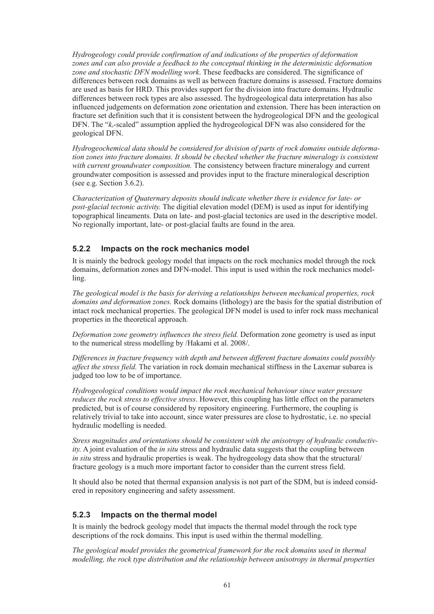*Hydrogeology could provide confirmation of and indications of the properties of deformation zones and can also provide a feedback to the conceptual thinking in the deterministic deformation zone and stochastic DFN modelling work*. These feedbacks are considered. The significance of differences between rock domains as well as between fracture domains is assessed. Fracture domains are used as basis for HRD. This provides support for the division into fracture domains. Hydraulic differences between rock types are also assessed. The hydrogeological data interpretation has also influenced judgements on deformation zone orientation and extension. There has been interaction on fracture set definition such that it is consistent between the hydrogeological DFN and the geological DFN. The "*kr*-scaled" assumption applied the hydrogeological DFN was also considered for the geological DFN.

*Hydrogeochemical data should be considered for division of parts of rock domains outside deformation zones into fracture domains. It should be checked whether the fracture mineralogy is consistent with current groundwater composition.* The consistency between fracture mineralogy and current groundwater composition is assessed and provides input to the fracture mineralogical description (see e.g. Section 3.6.2).

*Characterization of Quaternary deposits should indicate whether there is evidence for late- or post-glacial tectonic activity.* The digitial elevation model (DEM) is used as input for identifying topographical lineaments. Data on late- and post-glacial tectonics are used in the descriptive model. No regionally important, late- or post-glacial faults are found in the area.

### **5.2.2 Impacts on the rock mechanics model**

It is mainly the bedrock geology model that impacts on the rock mechanics model through the rock domains, deformation zones and DFN-model. This input is used within the rock mechanics modelling.

*The geological model is the basis for deriving a relationships between mechanical properties, rock domains and deformation zones.* Rock domains (lithology) are the basis for the spatial distribution of intact rock mechanical properties. The geological DFN model is used to infer rock mass mechanical properties in the theoretical approach.

*Deformation zone geometry influences the stress field.* Deformation zone geometry is used as input to the numerical stress modelling by /Hakami et al. 2008/.

*Differences in fracture frequency with depth and between different fracture domains could possibly affect the stress field.* The variation in rock domain mechanical stiffness in the Laxemar subarea is judged too low to be of importance.

*Hydrogeological conditions would impact the rock mechanical behaviour since water pressure reduces the rock stress to effective stress*. However, this coupling has little effect on the parameters predicted, but is of course considered by repository engineering. Furthermore, the coupling is relatively trivial to take into account, since water pressures are close to hydrostatic, i.e. no special hydraulic modelling is needed.

*Stress magnitudes and orientations should be consistent with the anisotropy of hydraulic conductivity.* A joint evaluation of the *in situ* stress and hydraulic data suggests that the coupling between *in situ* stress and hydraulic properties is weak. The hydrogeology data show that the structural/ fracture geology is a much more important factor to consider than the current stress field.

It should also be noted that thermal expansion analysis is not part of the SDM, but is indeed considered in repository engineering and safety assessment.

#### **5.2.3 Impacts on the thermal model**

It is mainly the bedrock geology model that impacts the thermal model through the rock type descriptions of the rock domains. This input is used within the thermal modelling.

*The geological model provides the geometrical framework for the rock domains used in thermal modelling, the rock type distribution and the relationship between anisotropy in thermal properties*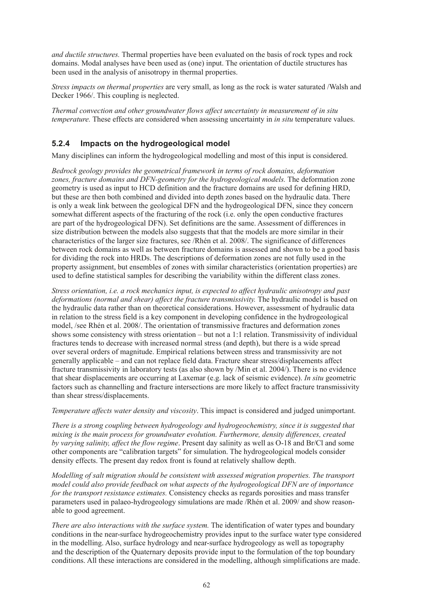*and ductile structures.* Thermal properties have been evaluated on the basis of rock types and rock domains. Modal analyses have been used as (one) input. The orientation of ductile structures has been used in the analysis of anisotropy in thermal properties.

*Stress impacts on thermal properties* are very small, as long as the rock is water saturated /Walsh and Decker 1966/. This coupling is neglected.

*Thermal convection and other groundwater flows affect uncertainty in measurement of in situ temperature.* These effects are considered when assessing uncertainty in *in situ* temperature values.

### **5.2.4 Impacts on the hydrogeological model**

Many disciplines can inform the hydrogeological modelling and most of this input is considered.

*Bedrock geology provides the geometrical framework in terms of rock domains, deformation zones, fracture domains and DFN-geometry for the hydrogeological models.* The deformation zone geometry is used as input to HCD definition and the fracture domains are used for defining HRD, but these are then both combined and divided into depth zones based on the hydraulic data. There is only a weak link between the geological DFN and the hydrogeological DFN, since they concern somewhat different aspects of the fracturing of the rock (i.e. only the open conductive fractures are part of the hydrogeological DFN). Set definitions are the same. Assessment of differences in size distribution between the models also suggests that that the models are more similar in their characteristics of the larger size fractures, see /Rhén et al. 2008/. The significance of differences between rock domains as well as between fracture domains is assessed and shown to be a good basis for dividing the rock into HRDs. The descriptions of deformation zones are not fully used in the property assignment, but ensembles of zones with similar characteristics (orientation properties) are used to define statistical samples for describing the variability within the different class zones.

*Stress orientation, i.e. a rock mechanics input, is expected to affect hydraulic anisotropy and past deformations (normal and shear) affect the fracture transmissivity*. The hydraulic model is based on the hydraulic data rather than on theoretical considerations. However, assessment of hydraulic data in relation to the stress field is a key component in developing confidence in the hydrogeological model, /see Rhén et al. 2008/. The orientation of transmissive fractures and deformation zones shows some consistency with stress orientation – but not a 1:1 relation. Transmissivity of individual fractures tends to decrease with increased normal stress (and depth), but there is a wide spread over several orders of magnitude. Empirical relations between stress and transmissivity are not generally applicable – and can not replace field data. Fracture shear stress/displacements affect fracture transmissivity in laboratory tests (as also shown by /Min et al. 2004/). There is no evidence that shear displacements are occurring at Laxemar (e.g. lack of seismic evidence). *In situ* geometric factors such as channelling and fracture intersections are more likely to affect fracture transmissivity than shear stress/displacements.

*Temperature affects water density and viscosity*. This impact is considered and judged unimportant.

*There is a strong coupling between hydrogeology and hydrogeochemistry, since it is suggested that mixing is the main process for groundwater evolution. Furthermore, density differences, created by varying salinity, affect the flow regime*. Present day salinity as well as O-18 and Br/Cl and some other components are "calibration targets" for simulation. The hydrogeological models consider density effects. The present day redox front is found at relatively shallow depth.

*Modelling of salt migration should be consistent with assessed migration properties. The transport model could also provide feedback on what aspects of the hydrogeological DFN are of importance for the transport resistance estimates.* Consistency checks as regards porosities and mass transfer parameters used in palaeo-hydrogeology simulations are made /Rhén et al. 2009/ and show reasonable to good agreement.

*There are also interactions with the surface system.* The identification of water types and boundary conditions in the near-surface hydrogeochemistry provides input to the surface water type considered in the modelling. Also, surface hydrology and near-surface hydrogeology as well as topography and the description of the Quaternary deposits provide input to the formulation of the top boundary conditions. All these interactions are considered in the modelling, although simplifications are made.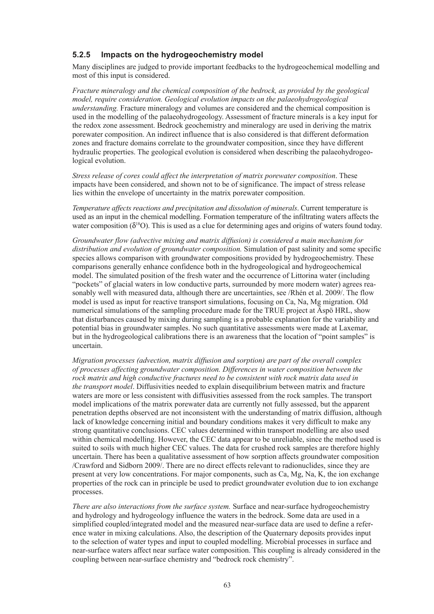### **5.2.5 Impacts on the hydrogeochemistry model**

Many disciplines are judged to provide important feedbacks to the hydrogeochemical modelling and most of this input is considered.

*Fracture mineralogy and the chemical composition of the bedrock, as provided by the geological model, require consideration. Geological evolution impacts on the palaeohydrogeological understanding.* Fracture mineralogy and volumes are considered and the chemical composition is used in the modelling of the palaeohydrogeology. Assessment of fracture minerals is a key input for the redox zone assessment. Bedrock geochemistry and mineralogy are used in deriving the matrix porewater composition. An indirect influence that is also considered is that different deformation zones and fracture domains correlate to the groundwater composition, since they have different hydraulic properties. The geological evolution is considered when describing the palaeohydrogeological evolution.

*Stress release of cores could affect the interpretation of matrix porewater composition*. These impacts have been considered, and shown not to be of significance. The impact of stress release lies within the envelope of uncertainty in the matrix porewater composition.

*Temperature affects reactions and precipitation and dissolution of minerals*. Current temperature is used as an input in the chemical modelling. Formation temperature of the infiltrating waters affects the water composition  $(\delta^{18}O)$ . This is used as a clue for determining ages and origins of waters found today.

*Groundwater flow (advective mixing and matrix diffusion) is considered a main mechanism for distribution and evolution of groundwater composition.* Simulation of past salinity and some specific species allows comparison with groundwater compositions provided by hydrogeochemistry. These comparisons generally enhance confidence both in the hydrogeological and hydrogeochemical model. The simulated position of the fresh water and the occurrence of Littorina water (including "pockets" of glacial waters in low conductive parts, surrounded by more modern water) agrees reasonably well with measured data, although there are uncertainties, see /Rhén et al. 2009/. The flow model is used as input for reactive transport simulations, focusing on Ca, Na, Mg migration. Old numerical simulations of the sampling procedure made for the TRUE project at Äspö HRL, show that disturbances caused by mixing during sampling is a probable explanation for the variability and potential bias in groundwater samples. No such quantitative assessments were made at Laxemar, but in the hydrogeological calibrations there is an awareness that the location of "point samples" is uncertain.

*Migration processes (advection, matrix diffusion and sorption) are part of the overall complex of processes affecting groundwater composition. Differences in water composition between the rock matrix and high conductive fractures need to be consistent with rock matrix data used in the transport model*. Diffusivities needed to explain disequilibrium between matrix and fracture waters are more or less consistent with diffusivities assessed from the rock samples. The transport model implications of the matrix porewater data are currently not fully assessed, but the apparent penetration depths observed are not inconsistent with the understanding of matrix diffusion, although lack of knowledge concerning initial and boundary conditions makes it very difficult to make any strong quantitative conclusions. CEC values determined within transport modelling are also used within chemical modelling. However, the CEC data appear to be unreliable, since the method used is suited to soils with much higher CEC values. The data for crushed rock samples are therefore highly uncertain. There has been a qualitative assessment of how sorption affects groundwater composition /Crawford and Sidborn 2009/. There are no direct effects relevant to radionuclides, since they are present at very low concentrations. For major components, such as Ca, Mg, Na, K, the ion exchange properties of the rock can in principle be used to predict groundwater evolution due to ion exchange processes.

*There are also interactions from the surface system.* Surface and near-surface hydrogeochemistry and hydrology and hydrogeology influence the waters in the bedrock. Some data are used in a simplified coupled/integrated model and the measured near-surface data are used to define a reference water in mixing calculations. Also, the description of the Quaternary deposits provides input to the selection of water types and input to coupled modelling. Microbial processes in surface and near-surface waters affect near surface water composition. This coupling is already considered in the coupling between near-surface chemistry and "bedrock rock chemistry".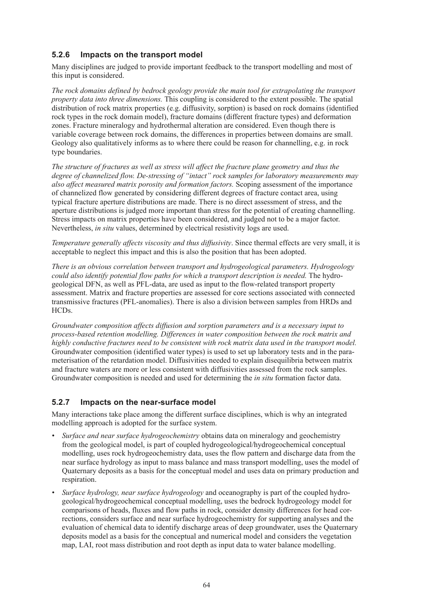### **5.2.6 Impacts on the transport model**

Many disciplines are judged to provide important feedback to the transport modelling and most of this input is considered.

*The rock domains defined by bedrock geology provide the main tool for extrapolating the transport property data into three dimensions.* This coupling is considered to the extent possible. The spatial distribution of rock matrix properties (e.g. diffusivity, sorption) is based on rock domains (identified rock types in the rock domain model), fracture domains (different fracture types) and deformation zones. Fracture mineralogy and hydrothermal alteration are considered. Even though there is variable coverage between rock domains, the differences in properties between domains are small. Geology also qualitatively informs as to where there could be reason for channelling, e.g. in rock type boundaries.

*The structure of fractures as well as stress will affect the fracture plane geometry and thus the degree of channelized flow. De-stressing of "intact" rock samples for laboratory measurements may also affect measured matrix porosity and formation factors.* Scoping assessment of the importance of channelized flow generated by considering different degrees of fracture contact area, using typical fracture aperture distributions are made. There is no direct assessment of stress, and the aperture distributions is judged more important than stress for the potential of creating channelling. Stress impacts on matrix properties have been considered, and judged not to be a major factor. Nevertheless, *in situ* values, determined by electrical resistivity logs are used.

*Temperature generally affects viscosity and thus diffusivity*. Since thermal effects are very small, it is acceptable to neglect this impact and this is also the position that has been adopted.

*There is an obvious correlation between transport and hydrogeological parameters. Hydrogeology could also identify potential flow paths for which a transport description is needed.* The hydrogeological DFN, as well as PFL-data, are used as input to the flow-related transport property assessment. Matrix and fracture properties are assessed for core sections associated with connected transmissive fractures (PFL-anomalies). There is also a division between samples from HRDs and HCDs.

*Groundwater composition affects diffusion and sorption parameters and is a necessary input to process-based retention modelling. Differences in water composition between the rock matrix and highly conductive fractures need to be consistent with rock matrix data used in the transport model.* Groundwater composition (identified water types) is used to set up laboratory tests and in the parameterisation of the retardation model. Diffusivities needed to explain disequilibria between matrix and fracture waters are more or less consistent with diffusivities assessed from the rock samples. Groundwater composition is needed and used for determining the *in situ* formation factor data.

### **5.2.7 Impacts on the near-surface model**

Many interactions take place among the different surface disciplines, which is why an integrated modelling approach is adopted for the surface system.

- *• Surface and near surface hydrogeochemistry* obtains data on mineralogy and geochemistry from the geological model, is part of coupled hydrogeological/hydrogeochemical conceptual modelling, uses rock hydrogeochemistry data, uses the flow pattern and discharge data from the near surface hydrology as input to mass balance and mass transport modelling, uses the model of Quaternary deposits as a basis for the conceptual model and uses data on primary production and respiration.
- *• Surface hydrology, near surface hydrogeology* and oceanography is part of the coupled hydrogeological/hydrogeochemical conceptual modelling, uses the bedrock hydrogeology model for comparisons of heads, fluxes and flow paths in rock, consider density differences for head corrections, considers surface and near surface hydrogeochemistry for supporting analyses and the evaluation of chemical data to identify discharge areas of deep groundwater, uses the Quaternary deposits model as a basis for the conceptual and numerical model and considers the vegetation map, LAI, root mass distribution and root depth as input data to water balance modelling.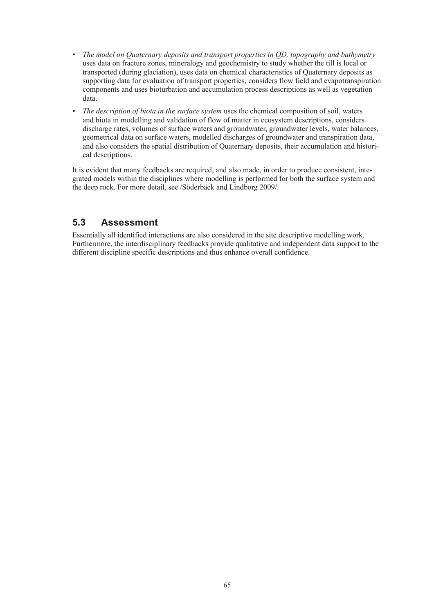- *• The model on Quaternary deposits and transport properties in QD, topography and bathymetry* uses data on fracture zones, mineralogy and geochemistry to study whether the till is local or transported (during glaciation), uses data on chemical characteristics of Quaternary deposits as supporting data for evaluation of transport properties, considers flow field and evapotranspiration components and uses bioturbation and accumulation process descriptions as well as vegetation data.
- *• The description of biota in the surface system* uses the chemical composition of soil, waters and biota in modelling and validation of flow of matter in ecosystem descriptions, considers discharge rates, volumes of surface waters and groundwater, groundwater levels, water balances, geometrical data on surface waters, modelled discharges of groundwater and transpiration data, and also considers the spatial distribution of Quaternary deposits, their accumulation and historical descriptions.

It is evident that many feedbacks are required, and also made, in order to produce consistent, integrated models within the disciplines where modelling is performed for both the surface system and the deep rock. For more detail, see /Söderbäck and Lindborg 2009/.

# **5.3 Assessment**

Essentially all identified interactions are also considered in the site descriptive modelling work. Furthermore, the interdisciplinary feedbacks provide qualitative and independent data support to the different discipline specific descriptions and thus enhance overall confidence.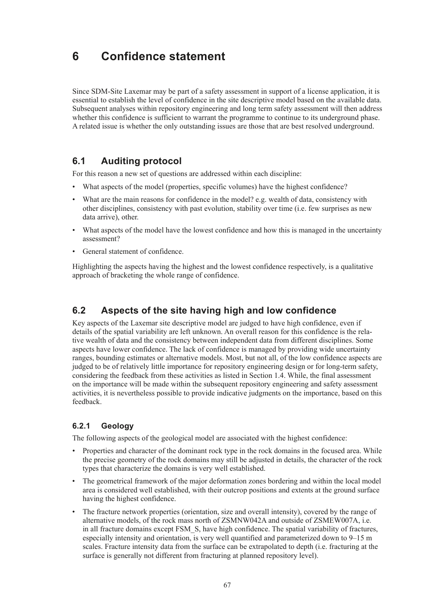# **6 Confidence statement**

Since SDM-Site Laxemar may be part of a safety assessment in support of a license application, it is essential to establish the level of confidence in the site descriptive model based on the available data. Subsequent analyses within repository engineering and long term safety assessment will then address whether this confidence is sufficient to warrant the programme to continue to its underground phase. A related issue is whether the only outstanding issues are those that are best resolved underground.

# **6.1 Auditing protocol**

For this reason a new set of questions are addressed within each discipline:

- What aspects of the model (properties, specific volumes) have the highest confidence?
- What are the main reasons for confidence in the model? e.g. wealth of data, consistency with other disciplines, consistency with past evolution, stability over time (i.e. few surprises as new data arrive), other.
- What aspects of the model have the lowest confidence and how this is managed in the uncertainty assessment?
- General statement of confidence.

Highlighting the aspects having the highest and the lowest confidence respectively, is a qualitative approach of bracketing the whole range of confidence.

# **6.2 Aspects of the site having high and low confidence**

Key aspects of the Laxemar site descriptive model are judged to have high confidence, even if details of the spatial variability are left unknown. An overall reason for this confidence is the relative wealth of data and the consistency between independent data from different disciplines. Some aspects have lower confidence. The lack of confidence is managed by providing wide uncertainty ranges, bounding estimates or alternative models. Most, but not all, of the low confidence aspects are judged to be of relatively little importance for repository engineering design or for long-term safety, considering the feedback from these activities as listed in Section 1.4. While, the final assessment on the importance will be made within the subsequent repository engineering and safety assessment activities, it is nevertheless possible to provide indicative judgments on the importance, based on this feedback.

### **6.2.1 Geology**

The following aspects of the geological model are associated with the highest confidence:

- Properties and character of the dominant rock type in the rock domains in the focused area. While the precise geometry of the rock domains may still be adjusted in details, the character of the rock types that characterize the domains is very well established.
- The geometrical framework of the major deformation zones bordering and within the local model area is considered well established, with their outcrop positions and extents at the ground surface having the highest confidence.
- The fracture network properties (orientation, size and overall intensity), covered by the range of alternative models, of the rock mass north of ZSMNW042A and outside of ZSMEW007A, i.e. in all fracture domains except FSM\_S, have high confidence. The spatial variability of fractures, especially intensity and orientation, is very well quantified and parameterized down to 9–15 m scales. Fracture intensity data from the surface can be extrapolated to depth (i.e. fracturing at the surface is generally not different from fracturing at planned repository level).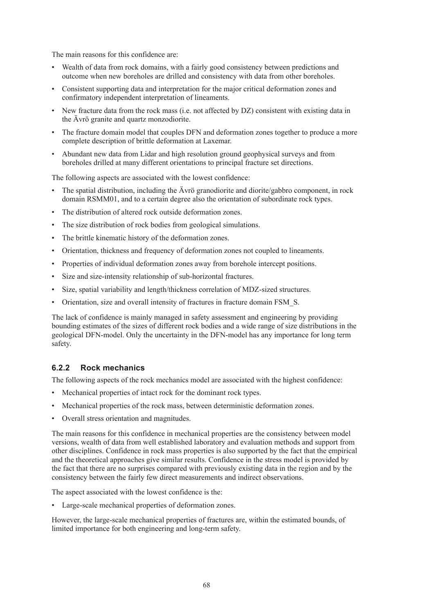The main reasons for this confidence are:

- Wealth of data from rock domains, with a fairly good consistency between predictions and outcome when new boreholes are drilled and consistency with data from other boreholes.
- Consistent supporting data and interpretation for the major critical deformation zones and confirmatory independent interpretation of lineaments.
- New fracture data from the rock mass (i.e. not affected by  $DZ$ ) consistent with existing data in the Ävrö granite and quartz monzodiorite.
- The fracture domain model that couples DFN and deformation zones together to produce a more complete description of brittle deformation at Laxemar.
- Abundant new data from Lidar and high resolution ground geophysical surveys and from boreholes drilled at many different orientations to principal fracture set directions.

The following aspects are associated with the lowest confidence:

- The spatial distribution, including the Avrö granodiorite and diorite/gabbro component, in rock domain RSMM01, and to a certain degree also the orientation of subordinate rock types.
- The distribution of altered rock outside deformation zones.
- The size distribution of rock bodies from geological simulations.
- The brittle kinematic history of the deformation zones.
- • Orientation, thickness and frequency of deformation zones not coupled to lineaments.
- • Properties of individual deformation zones away from borehole intercept positions.
- Size and size-intensity relationship of sub-horizontal fractures.
- Size, spatial variability and length/thickness correlation of MDZ-sized structures.
- Orientation, size and overall intensity of fractures in fracture domain FSM S.

The lack of confidence is mainly managed in safety assessment and engineering by providing bounding estimates of the sizes of different rock bodies and a wide range of size distributions in the geological DFN-model. Only the uncertainty in the DFN-model has any importance for long term safety.

### **6.2.2 Rock mechanics**

The following aspects of the rock mechanics model are associated with the highest confidence:

- Mechanical properties of intact rock for the dominant rock types.
- Mechanical properties of the rock mass, between deterministic deformation zones.
- • Overall stress orientation and magnitudes.

The main reasons for this confidence in mechanical properties are the consistency between model versions, wealth of data from well established laboratory and evaluation methods and support from other disciplines. Confidence in rock mass properties is also supported by the fact that the empirical and the theoretical approaches give similar results. Confidence in the stress model is provided by the fact that there are no surprises compared with previously existing data in the region and by the consistency between the fairly few direct measurements and indirect observations.

The aspect associated with the lowest confidence is the:

• Large-scale mechanical properties of deformation zones.

However, the large-scale mechanical properties of fractures are, within the estimated bounds, of limited importance for both engineering and long-term safety.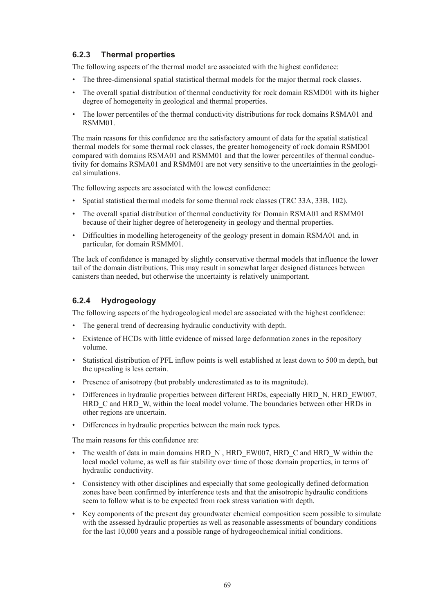# **6.2.3 Thermal properties**

The following aspects of the thermal model are associated with the highest confidence:

- • The three-dimensional spatial statistical thermal models for the major thermal rock classes.
- • The overall spatial distribution of thermal conductivity for rock domain RSMD01 with its higher degree of homogeneity in geological and thermal properties.
- The lower percentiles of the thermal conductivity distributions for rock domains RSMA01 and RSMM01.

The main reasons for this confidence are the satisfactory amount of data for the spatial statistical thermal models for some thermal rock classes, the greater homogeneity of rock domain RSMD01 compared with domains RSMA01 and RSMM01 and that the lower percentiles of thermal conductivity for domains RSMA01 and RSMM01 are not very sensitive to the uncertainties in the geological simulations.

The following aspects are associated with the lowest confidence:

- Spatial statistical thermal models for some thermal rock classes (TRC 33A, 33B, 102).
- • The overall spatial distribution of thermal conductivity for Domain RSMA01 and RSMM01 because of their higher degree of heterogeneity in geology and thermal properties.
- Difficulties in modelling heterogeneity of the geology present in domain RSMA01 and, in particular, for domain RSMM01.

The lack of confidence is managed by slightly conservative thermal models that influence the lower tail of the domain distributions. This may result in somewhat larger designed distances between canisters than needed, but otherwise the uncertainty is relatively unimportant.

### **6.2.4 Hydrogeology**

The following aspects of the hydrogeological model are associated with the highest confidence:

- The general trend of decreasing hydraulic conductivity with depth.
- • Existence of HCDs with little evidence of missed large deformation zones in the repository volume.
- Statistical distribution of PFL inflow points is well established at least down to 500 m depth, but the upscaling is less certain.
- Presence of anisotropy (but probably underestimated as to its magnitude).
- Differences in hydraulic properties between different HRDs, especially HRD N, HRD EW007, HRD C and HRD W, within the local model volume. The boundaries between other HRDs in other regions are uncertain.
- Differences in hydraulic properties between the main rock types.

The main reasons for this confidence are:

- The wealth of data in main domains HRD\_N, HRD\_EW007, HRD\_C and HRD\_W within the local model volume, as well as fair stability over time of those domain properties, in terms of hydraulic conductivity.
- • Consistency with other disciplines and especially that some geologically defined deformation zones have been confirmed by interference tests and that the anisotropic hydraulic conditions seem to follow what is to be expected from rock stress variation with depth.
- • Key components of the present day groundwater chemical composition seem possible to simulate with the assessed hydraulic properties as well as reasonable assessments of boundary conditions for the last 10,000 years and a possible range of hydrogeochemical initial conditions.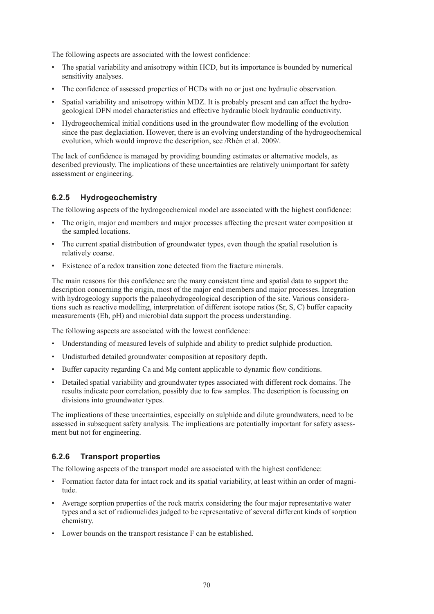The following aspects are associated with the lowest confidence:

- The spatial variability and anisotropy within HCD, but its importance is bounded by numerical sensitivity analyses.
- The confidence of assessed properties of HCDs with no or just one hydraulic observation.
- Spatial variability and anisotropy within MDZ. It is probably present and can affect the hydrogeological DFN model characteristics and effective hydraulic block hydraulic conductivity.
- Hydrogeochemical initial conditions used in the groundwater flow modelling of the evolution since the past deglaciation. However, there is an evolving understanding of the hydrogeochemical evolution, which would improve the description, see /Rhén et al. 2009/.

The lack of confidence is managed by providing bounding estimates or alternative models, as described previously. The implications of these uncertainties are relatively unimportant for safety assessment or engineering.

### **6.2.5 Hydrogeochemistry**

The following aspects of the hydrogeochemical model are associated with the highest confidence:

- The origin, major end members and major processes affecting the present water composition at the sampled locations.
- The current spatial distribution of groundwater types, even though the spatial resolution is relatively coarse.
- Existence of a redox transition zone detected from the fracture minerals.

The main reasons for this confidence are the many consistent time and spatial data to support the description concerning the origin, most of the major end members and major processes. Integration with hydrogeology supports the palaeohydrogeological description of the site. Various considerations such as reactive modelling, interpretation of different isotope ratios (Sr, S, C) buffer capacity measurements (Eh, pH) and microbial data support the process understanding.

The following aspects are associated with the lowest confidence:

- • Understanding of measured levels of sulphide and ability to predict sulphide production.
- Undisturbed detailed groundwater composition at repository depth.
- • Buffer capacity regarding Ca and Mg content applicable to dynamic flow conditions.
- • Detailed spatial variability and groundwater types associated with different rock domains. The results indicate poor correlation, possibly due to few samples. The description is focussing on divisions into groundwater types.

The implications of these uncertainties, especially on sulphide and dilute groundwaters, need to be assessed in subsequent safety analysis. The implications are potentially important for safety assessment but not for engineering.

### **6.2.6 Transport properties**

The following aspects of the transport model are associated with the highest confidence:

- Formation factor data for intact rock and its spatial variability, at least within an order of magnitude.
- Average sorption properties of the rock matrix considering the four major representative water types and a set of radionuclides judged to be representative of several different kinds of sorption chemistry.
- Lower bounds on the transport resistance F can be established.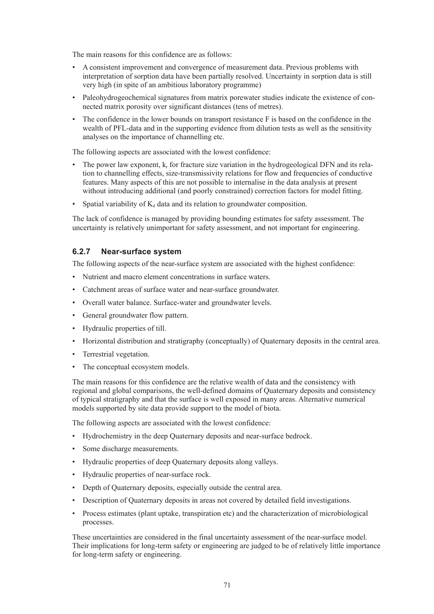The main reasons for this confidence are as follows:

- • A consistent improvement and convergence of measurement data. Previous problems with interpretation of sorption data have been partially resolved. Uncertainty in sorption data is still very high (in spite of an ambitious laboratory programme)
- • Paleohydrogeochemical signatures from matrix porewater studies indicate the existence of connected matrix porosity over significant distances (tens of metres).
- The confidence in the lower bounds on transport resistance F is based on the confidence in the wealth of PFL-data and in the supporting evidence from dilution tests as well as the sensitivity analyses on the importance of channelling etc.

The following aspects are associated with the lowest confidence:

- The power law exponent,  $k<sub>r</sub>$  for fracture size variation in the hydrogeological DFN and its relation to channelling effects, size-transmissivity relations for flow and frequencies of conductive features. Many aspects of this are not possible to internalise in the data analysis at present without introducing additional (and poorly constrained) correction factors for model fitting.
- Spatial variability of  $K_d$  data and its relation to groundwater composition.

The lack of confidence is managed by providing bounding estimates for safety assessment. The uncertainty is relatively unimportant for safety assessment, and not important for engineering.

### **6.2.7 Near-surface system**

The following aspects of the near-surface system are associated with the highest confidence:

- Nutrient and macro element concentrations in surface waters.
- • Catchment areas of surface water and near-surface groundwater.
- • Overall water balance. Surface-water and groundwater levels.
- • General groundwater flow pattern.
- • Hydraulic properties of till.
- • Horizontal distribution and stratigraphy (conceptually) of Quaternary deposits in the central area.
- Terrestrial vegetation.
- The conceptual ecosystem models.

The main reasons for this confidence are the relative wealth of data and the consistency with regional and global comparisons, the well-defined domains of Quaternary deposits and consistency of typical stratigraphy and that the surface is well exposed in many areas. Alternative numerical models supported by site data provide support to the model of biota.

The following aspects are associated with the lowest confidence:

- Hydrochemistry in the deep Quaternary deposits and near-surface bedrock.
- Some discharge measurements.
- • Hydraulic properties of deep Quaternary deposits along valleys.
- Hydraulic properties of near-surface rock.
- Depth of Quaternary deposits, especially outside the central area.
- Description of Quaternary deposits in areas not covered by detailed field investigations.
- Process estimates (plant uptake, transpiration etc) and the characterization of microbiological processes.

These uncertainties are considered in the final uncertainty assessment of the near-surface model. Their implications for long-term safety or engineering are judged to be of relatively little importance for long-term safety or engineering.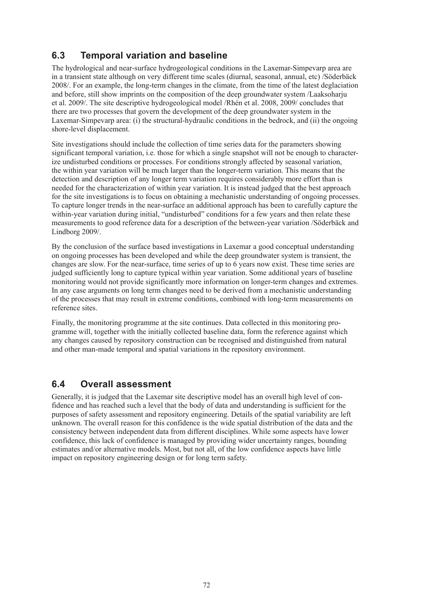## **6.3 Temporal variation and baseline**

The hydrological and near-surface hydrogeological conditions in the Laxemar-Simpevarp area are in a transient state although on very different time scales (diurnal, seasonal, annual, etc) /Söderbäck 2008/. For an example, the long-term changes in the climate, from the time of the latest deglaciation and before, still show imprints on the composition of the deep groundwater system /Laaksoharju et al. 2009/. The site descriptive hydrogeological model /Rhén et al. 2008, 2009/ concludes that there are two processes that govern the development of the deep groundwater system in the Laxemar-Simpevarp area: (i) the structural-hydraulic conditions in the bedrock, and (ii) the ongoing shore-level displacement.

Site investigations should include the collection of time series data for the parameters showing significant temporal variation, i.e. those for which a single snapshot will not be enough to characterize undisturbed conditions or processes. For conditions strongly affected by seasonal variation, the within year variation will be much larger than the longer-term variation. This means that the detection and description of any longer term variation requires considerably more effort than is needed for the characterization of within year variation. It is instead judged that the best approach for the site investigations is to focus on obtaining a mechanistic understanding of ongoing processes. To capture longer trends in the near-surface an additional approach has been to carefully capture the within-year variation during initial, "undisturbed" conditions for a few years and then relate these measurements to good reference data for a description of the between-year variation /Söderbäck and Lindborg 2009/.

By the conclusion of the surface based investigations in Laxemar a good conceptual understanding on ongoing processes has been developed and while the deep groundwater system is transient, the changes are slow. For the near-surface, time series of up to 6 years now exist. These time series are judged sufficiently long to capture typical within year variation. Some additional years of baseline monitoring would not provide significantly more information on longer-term changes and extremes. In any case arguments on long term changes need to be derived from a mechanistic understanding of the processes that may result in extreme conditions, combined with long-term measurements on reference sites.

Finally, the monitoring programme at the site continues. Data collected in this monitoring programme will, together with the initially collected baseline data, form the reference against which any changes caused by repository construction can be recognised and distinguished from natural and other man-made temporal and spatial variations in the repository environment.

## **6.4 Overall assessment**

Generally, it is judged that the Laxemar site descriptive model has an overall high level of confidence and has reached such a level that the body of data and understanding is sufficient for the purposes of safety assessment and repository engineering. Details of the spatial variability are left unknown. The overall reason for this confidence is the wide spatial distribution of the data and the consistency between independent data from different disciplines. While some aspects have lower confidence, this lack of confidence is managed by providing wider uncertainty ranges, bounding estimates and/or alternative models. Most, but not all, of the low confidence aspects have little impact on repository engineering design or for long term safety.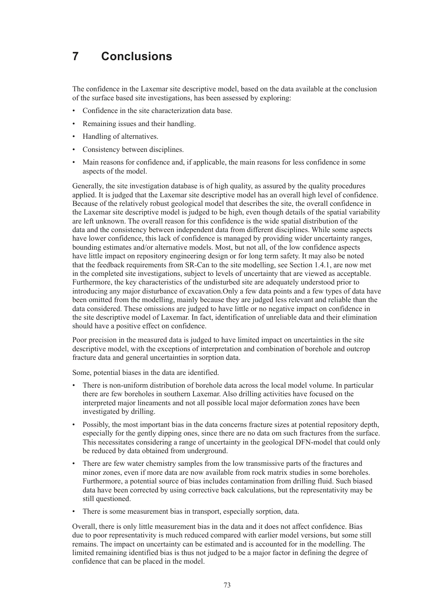## **7 Conclusions**

The confidence in the Laxemar site descriptive model, based on the data available at the conclusion of the surface based site investigations, has been assessed by exploring:

- Confidence in the site characterization data base.
- Remaining issues and their handling.
- • Handling of alternatives.
- Consistency between disciplines.
- Main reasons for confidence and, if applicable, the main reasons for less confidence in some aspects of the model.

Generally, the site investigation database is of high quality, as assured by the quality procedures applied. It is judged that the Laxemar site descriptive model has an overall high level of confidence. Because of the relatively robust geological model that describes the site, the overall confidence in the Laxemar site descriptive model is judged to be high, even though details of the spatial variability are left unknown. The overall reason for this confidence is the wide spatial distribution of the data and the consistency between independent data from different disciplines. While some aspects have lower confidence, this lack of confidence is managed by providing wider uncertainty ranges, bounding estimates and/or alternative models. Most, but not all, of the low confidence aspects have little impact on repository engineering design or for long term safety. It may also be noted that the feedback requirements from SR-Can to the site modelling, see Section 1.4.1, are now met in the completed site investigations, subject to levels of uncertainty that are viewed as acceptable. Furthermore, the key characteristics of the undisturbed site are adequately understood prior to introducing any major disturbance of excavation.Only a few data points and a few types of data have been omitted from the modelling, mainly because they are judged less relevant and reliable than the data considered. These omissions are judged to have little or no negative impact on confidence in the site descriptive model of Laxemar. In fact, identification of unreliable data and their elimination should have a positive effect on confidence.

Poor precision in the measured data is judged to have limited impact on uncertainties in the site descriptive model, with the exceptions of interpretation and combination of borehole and outcrop fracture data and general uncertainties in sorption data.

Some, potential biases in the data are identified.

- There is non-uniform distribution of borehole data across the local model volume. In particular there are few boreholes in southern Laxemar. Also drilling activities have focused on the interpreted major lineaments and not all possible local major deformation zones have been investigated by drilling.
- Possibly, the most important bias in the data concerns fracture sizes at potential repository depth, especially for the gently dipping ones, since there are no data om such fractures from the surface. This necessitates considering a range of uncertainty in the geological DFN-model that could only be reduced by data obtained from underground.
- There are few water chemistry samples from the low transmissive parts of the fractures and minor zones, even if more data are now available from rock matrix studies in some boreholes. Furthermore, a potential source of bias includes contamination from drilling fluid. Such biased data have been corrected by using corrective back calculations, but the representativity may be still questioned.
- There is some measurement bias in transport, especially sorption, data.

Overall, there is only little measurement bias in the data and it does not affect confidence. Bias due to poor representativity is much reduced compared with earlier model versions, but some still remains. The impact on uncertainty can be estimated and is accounted for in the modelling. The limited remaining identified bias is thus not judged to be a major factor in defining the degree of confidence that can be placed in the model.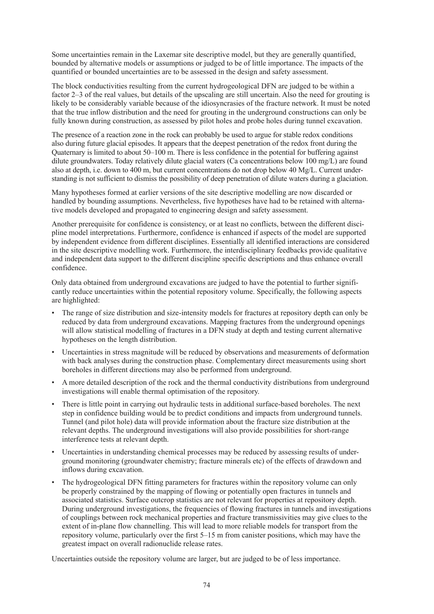Some uncertainties remain in the Laxemar site descriptive model, but they are generally quantified, bounded by alternative models or assumptions or judged to be of little importance. The impacts of the quantified or bounded uncertainties are to be assessed in the design and safety assessment.

The block conductivities resulting from the current hydrogeological DFN are judged to be within a factor 2–3 of the real values, but details of the upscaling are still uncertain. Also the need for grouting is likely to be considerably variable because of the idiosyncrasies of the fracture network. It must be noted that the true inflow distribution and the need for grouting in the underground constructions can only be fully known during construction, as assessed by pilot holes and probe holes during tunnel excavation.

The presence of a reaction zone in the rock can probably be used to argue for stable redox conditions also during future glacial episodes. It appears that the deepest penetration of the redox front during the Quaternary is limited to about 50–100 m. There is less confidence in the potential for buffering against dilute groundwaters. Today relatively dilute glacial waters (Ca concentrations below 100 mg/L) are found also at depth, i.e. down to 400 m, but current concentrations do not drop below 40 Mg/L. Current understanding is not sufficient to dismiss the possibility of deep penetration of dilute waters during a glaciation.

Many hypotheses formed at earlier versions of the site descriptive modelling are now discarded or handled by bounding assumptions. Nevertheless, five hypotheses have had to be retained with alternative models developed and propagated to engineering design and safety assessment.

Another prerequisite for confidence is consistency, or at least no conflicts, between the different discipline model interpretations. Furthermore, confidence is enhanced if aspects of the model are supported by independent evidence from different disciplines. Essentially all identified interactions are considered in the site descriptive modelling work. Furthermore, the interdisciplinary feedbacks provide qualitative and independent data support to the different discipline specific descriptions and thus enhance overall confidence.

Only data obtained from underground excavations are judged to have the potential to further significantly reduce uncertainties within the potential repository volume. Specifically, the following aspects are highlighted:

- The range of size distribution and size-intensity models for fractures at repository depth can only be reduced by data from underground excavations. Mapping fractures from the underground openings will allow statistical modelling of fractures in a DFN study at depth and testing current alternative hypotheses on the length distribution.
- Uncertainties in stress magnitude will be reduced by observations and measurements of deformation with back analyses during the construction phase. Complementary direct measurements using short boreholes in different directions may also be performed from underground.
- A more detailed description of the rock and the thermal conductivity distributions from underground investigations will enable thermal optimisation of the repository.
- There is little point in carrying out hydraulic tests in additional surface-based boreholes. The next step in confidence building would be to predict conditions and impacts from underground tunnels. Tunnel (and pilot hole) data will provide information about the fracture size distribution at the relevant depths. The underground investigations will also provide possibilities for short-range interference tests at relevant depth.
- Uncertainties in understanding chemical processes may be reduced by assessing results of underground monitoring (groundwater chemistry; fracture minerals etc) of the effects of drawdown and inflows during excavation.
- The hydrogeological DFN fitting parameters for fractures within the repository volume can only be properly constrained by the mapping of flowing or potentially open fractures in tunnels and associated statistics. Surface outcrop statistics are not relevant for properties at repository depth. During underground investigations, the frequencies of flowing fractures in tunnels and investigations of couplings between rock mechanical properties and fracture transmissivities may give clues to the extent of in-plane flow channelling. This will lead to more reliable models for transport from the repository volume, particularly over the first 5–15 m from canister positions, which may have the greatest impact on overall radionuclide release rates.

Uncertainties outside the repository volume are larger, but are judged to be of less importance.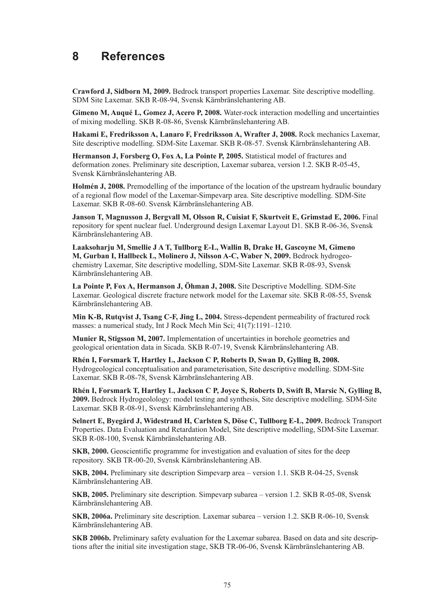## **8 References**

**Crawford J, Sidborn M, 2009.** Bedrock transport properties Laxemar. Site descriptive modelling. SDM Site Laxemar. SKB R-08-94, Svensk Kärnbränslehantering AB.

**Gimeno M, Auqué L, Gomez J, Acero P, 2008.** Water-rock interaction modelling and uncertainties of mixing modelling. SKB R-08-86, Svensk Kärnbränslehantering AB.

**Hakami E, Fredriksson A, Lanaro F, Fredriksson A, Wrafter J, 2008.** Rock mechanics Laxemar, Site descriptive modelling. SDM-Site Laxemar. SKB R-08-57. Svensk Kärnbränslehantering AB.

**Hermanson J, Forsberg O, Fox A, La Pointe P, 2005.** Statistical model of fractures and deformation zones. Preliminary site description, Laxemar subarea, version 1.2. SKB R-05-45, Svensk Kärnbränslehantering AB.

**Holmén J, 2008.** Premodelling of the importance of the location of the upstream hydraulic boundary of a regional flow model of the Laxemar-Simpevarp area. Site descriptive modelling. SDM-Site Laxemar. SKB R-08-60. Svensk Kärnbränslehantering AB.

**Janson T, Magnusson J, Bergvall M, Olsson R, Cuisiat F, Skurtveit E, Grimstad E, 2006.** Final repository for spent nuclear fuel. Underground design Laxemar Layout D1. SKB R-06-36, Svensk Kärnbränslehantering AB.

**Laaksoharju M, Smellie J A T, Tullborg E-L, Wallin B, Drake H, Gascoyne M, Gimeno M, Gurban I, Hallbeck L, Molinero J, Nilsson A-C, Waber N, 2009.** Bedrock hydrogeochemistry Laxemar, Site descriptive modelling, SDM-Site Laxemar. SKB R-08-93, Svensk Kärnbränslehantering AB.

**La Pointe P, Fox A, Hermanson J, Öhman J, 2008.** Site Descriptive Modelling. SDM-Site Laxemar. Geological discrete fracture network model for the Laxemar site. SKB R-08-55, Svensk Kärnbränslehantering AB.

**Min K-B, Rutqvist J, Tsang C-F, Jing L, 2004.** Stress-dependent permeability of fractured rock masses: a numerical study, Int J Rock Mech Min Sci; 41(7):1191–1210.

**Munier R, Stigsson M, 2007.** Implementation of uncertainties in borehole geometries and geological orientation data in Sicada. SKB R-07-19, Svensk Kärnbränslehantering AB.

**Rhén I, Forsmark T, Hartley L, Jackson C P, Roberts D, Swan D, Gylling B, 2008.**  Hydrogeological conceptualisation and parameterisation, Site descriptive modelling. SDM-Site Laxemar. SKB R-08-78, Svensk Kärnbränslehantering AB.

**Rhén I, Forsmark T, Hartley L, Jackson C P, Joyce S, Roberts D, Swift B, Marsic N, Gylling B, 2009.** Bedrock Hydrogeolology: model testing and synthesis, Site descriptive modelling. SDM-Site Laxemar. SKB R-08-91, Svensk Kärnbränslehantering AB.

**Selnert E, Byegård J, Widestrand H, Carlsten S, Döse C, Tullborg E-L, 2009.** Bedrock Transport Properties. Data Evaluation and Retardation Model, Site descriptive modelling, SDM-Site Laxemar. SKB R-08-100, Svensk Kärnbränslehantering AB.

**SKB, 2000.** Geoscientific programme for investigation and evaluation of sites for the deep repository. SKB TR-00-20, Svensk Kärnbränslehantering AB.

**SKB, 2004.** Preliminary site description Simpevarp area – version 1.1. SKB R-04-25, Svensk Kärnbränslehantering AB.

**SKB, 2005.** Preliminary site description. Simpevarp subarea – version 1.2. SKB R-05-08, Svensk Kärnbränslehantering AB.

**SKB, 2006a.** Preliminary site description. Laxemar subarea – version 1.2. SKB R-06-10, Svensk Kärnbränslehantering AB.

**SKB 2006b.** Preliminary safety evaluation for the Laxemar subarea. Based on data and site descriptions after the initial site investigation stage, SKB TR-06-06, Svensk Kärnbränslehantering AB.